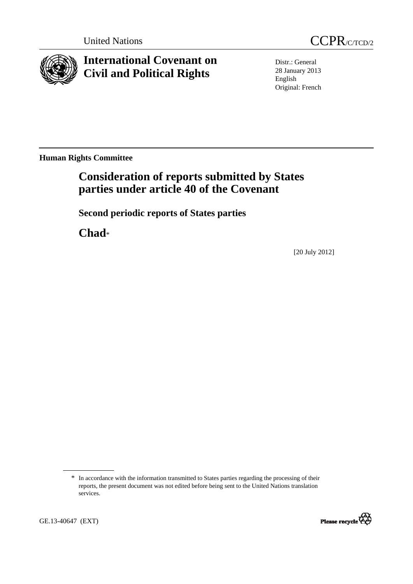



**International Covenant on Civil and Political Rights**

Distr.: General 28 January 2013 English Original: French

**Human Rights Committee** 

# **Consideration of reports submitted by States parties under article 40 of the Covenant**

 **Second periodic reports of States parties** 

 **Chad**\*

[20 July 2012]

<sup>\*</sup> In accordance with the information transmitted to States parties regarding the processing of their reports, the present document was not edited before being sent to the United Nations translation services.

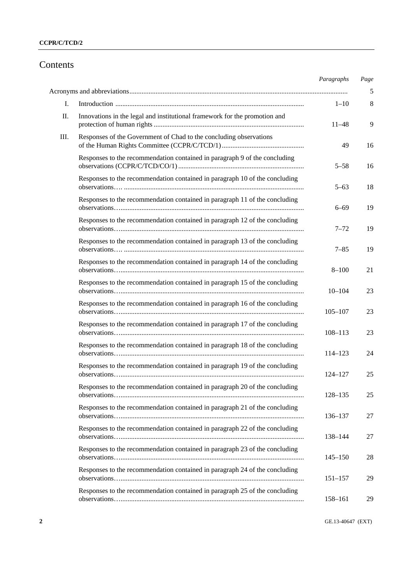# Contents

|    |                                                                             | Paragraphs  | Page |
|----|-----------------------------------------------------------------------------|-------------|------|
|    |                                                                             |             | 5    |
| I. |                                                                             | $1 - 10$    | 8    |
| Π. | Innovations in the legal and institutional framework for the promotion and  | 11–48       | 9    |
| Ш. | Responses of the Government of Chad to the concluding observations          | 49          | 16   |
|    | Responses to the recommendation contained in paragraph 9 of the concluding  | $5 - 58$    | 16   |
|    | Responses to the recommendation contained in paragraph 10 of the concluding | $5 - 63$    | 18   |
|    | Responses to the recommendation contained in paragraph 11 of the concluding | $6 - 69$    | 19   |
|    | Responses to the recommendation contained in paragraph 12 of the concluding | $7 - 72$    | 19   |
|    | Responses to the recommendation contained in paragraph 13 of the concluding | $7 - 85$    | 19   |
|    | Responses to the recommendation contained in paragraph 14 of the concluding | $8 - 100$   | 21   |
|    | Responses to the recommendation contained in paragraph 15 of the concluding | $10 - 104$  | 23   |
|    | Responses to the recommendation contained in paragraph 16 of the concluding | $105 - 107$ | 23   |
|    | Responses to the recommendation contained in paragraph 17 of the concluding | $108 - 113$ | 23   |
|    | Responses to the recommendation contained in paragraph 18 of the concluding | $114 - 123$ | 24   |
|    | Responses to the recommendation contained in paragraph 19 of the concluding | 124–127     | 25   |
|    | Responses to the recommendation contained in paragraph 20 of the concluding | $128 - 135$ | 25   |
|    | Responses to the recommendation contained in paragraph 21 of the concluding | 136–137     | 27   |
|    | Responses to the recommendation contained in paragraph 22 of the concluding | 138-144     | 27   |
|    | Responses to the recommendation contained in paragraph 23 of the concluding | $145 - 150$ | 28   |
|    | Responses to the recommendation contained in paragraph 24 of the concluding | $151 - 157$ | 29   |
|    | Responses to the recommendation contained in paragraph 25 of the concluding | 158-161     | 29   |

**2** GE.13-40647 (EXT)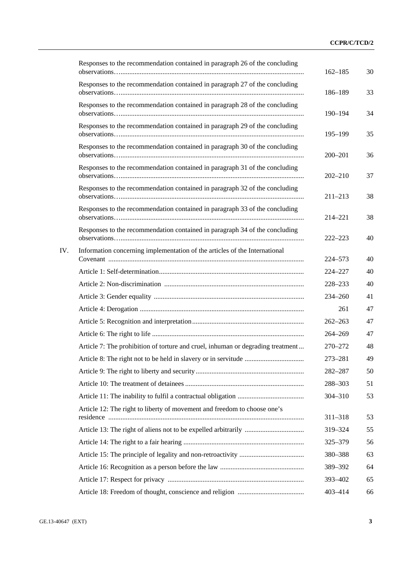|     | Responses to the recommendation contained in paragraph 26 of the concluding     | $162 - 185$ | 30 |
|-----|---------------------------------------------------------------------------------|-------------|----|
|     | Responses to the recommendation contained in paragraph 27 of the concluding     | 186-189     | 33 |
|     | Responses to the recommendation contained in paragraph 28 of the concluding     | $190 - 194$ | 34 |
|     | Responses to the recommendation contained in paragraph 29 of the concluding     | $195 - 199$ | 35 |
|     | Responses to the recommendation contained in paragraph 30 of the concluding     | $200 - 201$ | 36 |
|     | Responses to the recommendation contained in paragraph 31 of the concluding     | $202 - 210$ | 37 |
|     | Responses to the recommendation contained in paragraph 32 of the concluding     | $211 - 213$ | 38 |
|     | Responses to the recommendation contained in paragraph 33 of the concluding     | 214-221     | 38 |
|     | Responses to the recommendation contained in paragraph 34 of the concluding     | $222 - 223$ | 40 |
| IV. | Information concerning implementation of the articles of the International      | 224-573     | 40 |
|     |                                                                                 | 224-227     | 40 |
|     |                                                                                 | 228-233     | 40 |
|     |                                                                                 | 234-260     | 41 |
|     |                                                                                 | 261         | 47 |
|     |                                                                                 | $262 - 263$ | 47 |
|     |                                                                                 | 264-269     | 47 |
|     | Article 7: The prohibition of torture and cruel, inhuman or degrading treatment | 270-272     | 48 |
|     |                                                                                 | 273-281     | 49 |
|     |                                                                                 | 282-287     | 50 |
|     |                                                                                 | 288-303     | 51 |
|     |                                                                                 | 304-310     | 53 |
|     | Article 12: The right to liberty of movement and freedom to choose one's        | 311-318     | 53 |
|     |                                                                                 | 319-324     | 55 |
|     |                                                                                 | 325-379     | 56 |
|     |                                                                                 | 380-388     | 63 |
|     |                                                                                 | 389-392     | 64 |
|     |                                                                                 | 393-402     | 65 |
|     |                                                                                 | 403-414     | 66 |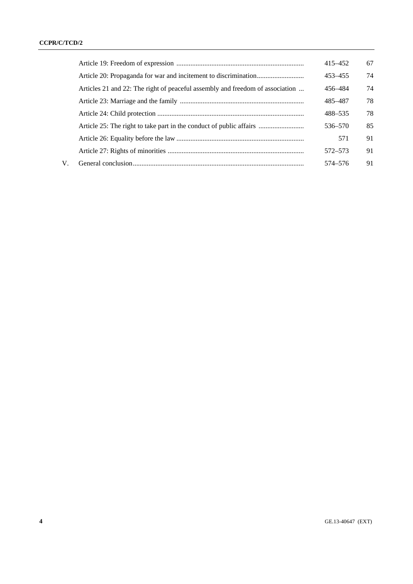|    |                                                                               | 415-452 | 67 |
|----|-------------------------------------------------------------------------------|---------|----|
|    |                                                                               | 453-455 | 74 |
|    | Articles 21 and 22: The right of peaceful assembly and freedom of association | 456-484 | 74 |
|    |                                                                               | 485-487 | 78 |
|    |                                                                               | 488-535 | 78 |
|    | Article 25: The right to take part in the conduct of public affairs           | 536–570 | 85 |
|    |                                                                               | 571     | 91 |
|    |                                                                               | 572–573 | 91 |
| V. |                                                                               | 574–576 | 91 |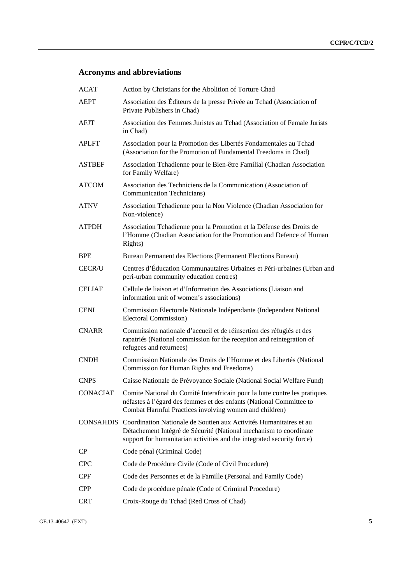# **Acronyms and abbreviations**

| <b>ACAT</b>     | Action by Christians for the Abolition of Torture Chad                                                                                                                                                                      |
|-----------------|-----------------------------------------------------------------------------------------------------------------------------------------------------------------------------------------------------------------------------|
| <b>AEPT</b>     | Association des Éditeurs de la presse Privée au Tchad (Association of<br>Private Publishers in Chad)                                                                                                                        |
| <b>AFJT</b>     | Association des Femmes Juristes au Tchad (Association of Female Jurists<br>in Chad)                                                                                                                                         |
| <b>APLFT</b>    | Association pour la Promotion des Libertés Fondamentales au Tchad<br>(Association for the Promotion of Fundamental Freedoms in Chad)                                                                                        |
| <b>ASTBEF</b>   | Association Tchadienne pour le Bien-être Familial (Chadian Association<br>for Family Welfare)                                                                                                                               |
| <b>ATCOM</b>    | Association des Techniciens de la Communication (Association of<br><b>Communication Technicians</b> )                                                                                                                       |
| <b>ATNV</b>     | Association Tchadienne pour la Non Violence (Chadian Association for<br>Non-violence)                                                                                                                                       |
| <b>ATPDH</b>    | Association Tchadienne pour la Promotion et la Défense des Droits de<br>l'Homme (Chadian Association for the Promotion and Defence of Human<br>Rights)                                                                      |
| <b>BPE</b>      | Bureau Permanent des Elections (Permanent Elections Bureau)                                                                                                                                                                 |
| <b>CECR/U</b>   | Centres d'Éducation Communautaires Urbaines et Péri-urbaines (Urban and<br>peri-urban community education centres)                                                                                                          |
| <b>CELIAF</b>   | Cellule de liaison et d'Information des Associations (Liaison and<br>information unit of women's associations)                                                                                                              |
| <b>CENI</b>     | Commission Electorale Nationale Indépendante (Independent National<br><b>Electoral Commission</b> )                                                                                                                         |
| <b>CNARR</b>    | Commission nationale d'accueil et de réinsertion des réfugiés et des<br>rapatriés (National commission for the reception and reintegration of<br>refugees and returnees)                                                    |
| <b>CNDH</b>     | Commission Nationale des Droits de l'Homme et des Libertés (National<br>Commission for Human Rights and Freedoms)                                                                                                           |
| <b>CNPS</b>     | Caisse Nationale de Prévoyance Sociale (National Social Welfare Fund)                                                                                                                                                       |
| <b>CONACIAF</b> | Comite National du Comité Interafricain pour la lutte contre les pratiques<br>néfastes à l'égard des femmes et des enfants (National Committee to<br>Combat Harmful Practices involving women and children)                 |
|                 | CONSAHDIS Coordination Nationale de Soutien aux Activités Humanitaires et au<br>Détachement Intégré de Sécurité (National mechanism to coordinate<br>support for humanitarian activities and the integrated security force) |
| CP              | Code pénal (Criminal Code)                                                                                                                                                                                                  |
| <b>CPC</b>      | Code de Procédure Civile (Code of Civil Procedure)                                                                                                                                                                          |
| <b>CPF</b>      | Code des Personnes et de la Famille (Personal and Family Code)                                                                                                                                                              |
| <b>CPP</b>      | Code de procédure pénale (Code of Criminal Procedure)                                                                                                                                                                       |
| <b>CRT</b>      | Croix-Rouge du Tchad (Red Cross of Chad)                                                                                                                                                                                    |
|                 |                                                                                                                                                                                                                             |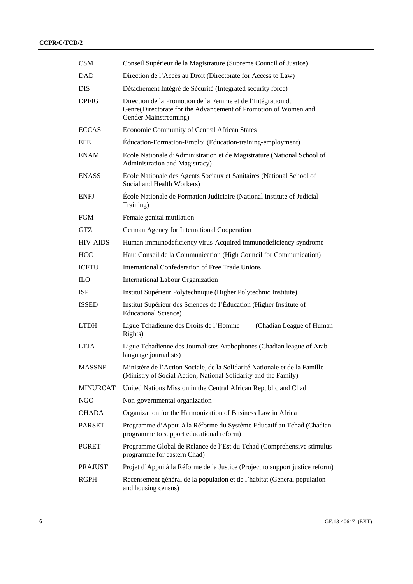| <b>CSM</b>      | Conseil Supérieur de la Magistrature (Supreme Council of Justice)                                                                                        |  |
|-----------------|----------------------------------------------------------------------------------------------------------------------------------------------------------|--|
| <b>DAD</b>      | Direction de l'Accès au Droit (Directorate for Access to Law)                                                                                            |  |
| <b>DIS</b>      | Détachement Intégré de Sécurité (Integrated security force)                                                                                              |  |
| <b>DPFIG</b>    | Direction de la Promotion de la Femme et de l'Intégration du<br>Genre(Directorate for the Advancement of Promotion of Women and<br>Gender Mainstreaming) |  |
| <b>ECCAS</b>    | Economic Community of Central African States                                                                                                             |  |
| <b>EFE</b>      | Éducation-Formation-Emploi (Education-training-employment)                                                                                               |  |
| <b>ENAM</b>     | Ecole Nationale d'Administration et de Magistrature (National School of<br>Administration and Magistracy)                                                |  |
| <b>ENASS</b>    | École Nationale des Agents Sociaux et Sanitaires (National School of<br>Social and Health Workers)                                                       |  |
| <b>ENFJ</b>     | École Nationale de Formation Judiciaire (National Institute of Judicial<br>Training)                                                                     |  |
| <b>FGM</b>      | Female genital mutilation                                                                                                                                |  |
| GTZ             | German Agency for International Cooperation                                                                                                              |  |
| <b>HIV-AIDS</b> | Human immunodeficiency virus-Acquired immunodeficiency syndrome                                                                                          |  |
| <b>HCC</b>      | Haut Conseil de la Communication (High Council for Communication)                                                                                        |  |
| <b>ICFTU</b>    | International Confederation of Free Trade Unions                                                                                                         |  |
| <b>ILO</b>      | <b>International Labour Organization</b>                                                                                                                 |  |
| <b>ISP</b>      | Institut Supérieur Polytechnique (Higher Polytechnic Institute)                                                                                          |  |
| <b>ISSED</b>    | Institut Supérieur des Sciences de l'Éducation (Higher Institute of<br><b>Educational Science</b> )                                                      |  |
| <b>LTDH</b>     | Ligue Tchadienne des Droits de l'Homme<br>(Chadian League of Human<br>Rights)                                                                            |  |
| <b>LTJA</b>     | Ligue Tchadienne des Journalistes Arabophones (Chadian league of Arab-<br>language journalists)                                                          |  |
| <b>MASSNF</b>   | Ministère de l'Action Sociale, de la Solidarité Nationale et de la Famille<br>(Ministry of Social Action, National Solidarity and the Family)            |  |
| <b>MINURCAT</b> | United Nations Mission in the Central African Republic and Chad                                                                                          |  |
| NGO             | Non-governmental organization                                                                                                                            |  |
| <b>OHADA</b>    | Organization for the Harmonization of Business Law in Africa                                                                                             |  |
| <b>PARSET</b>   | Programme d'Appui à la Réforme du Système Educatif au Tchad (Chadian<br>programme to support educational reform)                                         |  |
| <b>PGRET</b>    | Programme Global de Relance de l'Est du Tchad (Comprehensive stimulus<br>programme for eastern Chad)                                                     |  |
| <b>PRAJUST</b>  | Projet d'Appui à la Réforme de la Justice (Project to support justice reform)                                                                            |  |
| <b>RGPH</b>     | Recensement général de la population et de l'habitat (General population<br>and housing census)                                                          |  |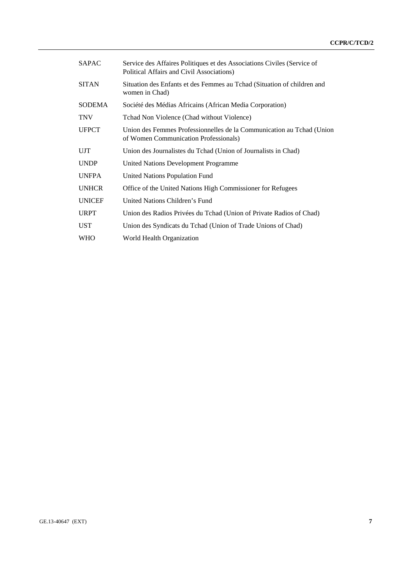| SAPAC         | Service des Affaires Politiques et des Associations Civiles (Service of<br>Political Affairs and Civil Associations) |
|---------------|----------------------------------------------------------------------------------------------------------------------|
| <b>SITAN</b>  | Situation des Enfants et des Femmes au Tchad (Situation of children and<br>women in Chad)                            |
| SODEMA        | Société des Médias Africains (African Media Corporation)                                                             |
| <b>TNV</b>    | Tchad Non Violence (Chad without Violence)                                                                           |
| <b>UFPCT</b>  | Union des Femmes Professionnelles de la Communication au Tchad (Union<br>of Women Communication Professionals)       |
| UJT           | Union des Journalistes du Tchad (Union of Journalists in Chad)                                                       |
| <b>UNDP</b>   | United Nations Development Programme                                                                                 |
| <b>UNFPA</b>  | <b>United Nations Population Fund</b>                                                                                |
| <b>UNHCR</b>  | Office of the United Nations High Commissioner for Refugees                                                          |
| <b>UNICEF</b> | United Nations Children's Fund                                                                                       |
| <b>URPT</b>   | Union des Radios Privées du Tchad (Union of Private Radios of Chad)                                                  |
| <b>UST</b>    | Union des Syndicats du Tchad (Union of Trade Unions of Chad)                                                         |
| <b>WHO</b>    | World Health Organization                                                                                            |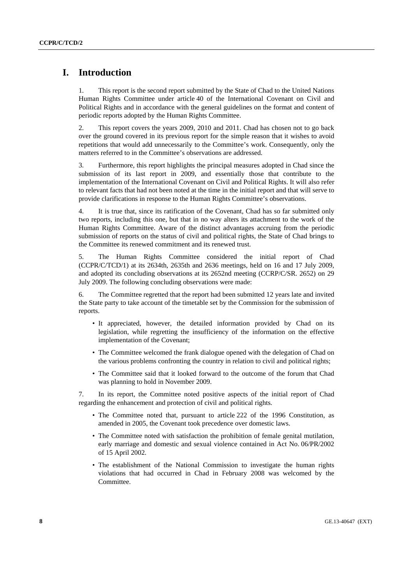## **I. Introduction**

1. This report is the second report submitted by the State of Chad to the United Nations Human Rights Committee under article 40 of the International Covenant on Civil and Political Rights and in accordance with the general guidelines on the format and content of periodic reports adopted by the Human Rights Committee.

2. This report covers the years 2009, 2010 and 2011. Chad has chosen not to go back over the ground covered in its previous report for the simple reason that it wishes to avoid repetitions that would add unnecessarily to the Committee's work. Consequently, only the matters referred to in the Committee's observations are addressed.

3. Furthermore, this report highlights the principal measures adopted in Chad since the submission of its last report in 2009, and essentially those that contribute to the implementation of the International Covenant on Civil and Political Rights. It will also refer to relevant facts that had not been noted at the time in the initial report and that will serve to provide clarifications in response to the Human Rights Committee's observations.

4. It is true that, since its ratification of the Covenant, Chad has so far submitted only two reports, including this one, but that in no way alters its attachment to the work of the Human Rights Committee. Aware of the distinct advantages accruing from the periodic submission of reports on the status of civil and political rights, the State of Chad brings to the Committee its renewed commitment and its renewed trust.

5. The Human Rights Committee considered the initial report of Chad (CCPR/C/TCD/1) at its 2634th, 2635th and 2636 meetings, held on 16 and 17 July 2009, and adopted its concluding observations at its 2652nd meeting (CCRP/C/SR. 2652) on 29 July 2009. The following concluding observations were made:

6. The Committee regretted that the report had been submitted 12 years late and invited the State party to take account of the timetable set by the Commission for the submission of reports.

- It appreciated, however, the detailed information provided by Chad on its legislation, while regretting the insufficiency of the information on the effective implementation of the Covenant;
- The Committee welcomed the frank dialogue opened with the delegation of Chad on the various problems confronting the country in relation to civil and political rights;
- The Committee said that it looked forward to the outcome of the forum that Chad was planning to hold in November 2009.

7. In its report, the Committee noted positive aspects of the initial report of Chad regarding the enhancement and protection of civil and political rights.

- The Committee noted that, pursuant to article 222 of the 1996 Constitution, as amended in 2005, the Covenant took precedence over domestic laws.
- The Committee noted with satisfaction the prohibition of female genital mutilation, early marriage and domestic and sexual violence contained in Act No. 06/PR/2002 of 15 April 2002.
- The establishment of the National Commission to investigate the human rights violations that had occurred in Chad in February 2008 was welcomed by the Committee.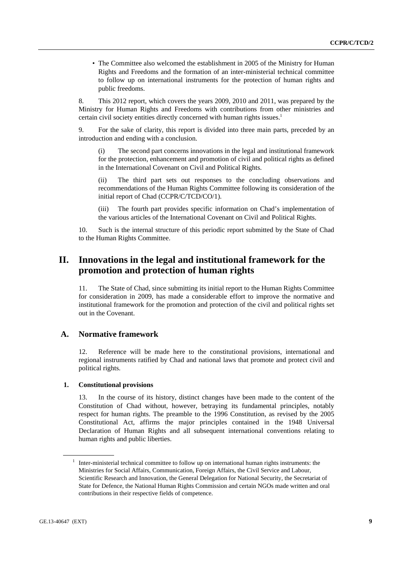• The Committee also welcomed the establishment in 2005 of the Ministry for Human Rights and Freedoms and the formation of an inter-ministerial technical committee to follow up on international instruments for the protection of human rights and public freedoms.

8. This 2012 report, which covers the years 2009, 2010 and 2011, was prepared by the Ministry for Human Rights and Freedoms with contributions from other ministries and certain civil society entities directly concerned with human rights issues.<sup>1</sup>

9. For the sake of clarity, this report is divided into three main parts, preceded by an introduction and ending with a conclusion.

 (i) The second part concerns innovations in the legal and institutional framework for the protection, enhancement and promotion of civil and political rights as defined in the International Covenant on Civil and Political Rights.

 (ii) The third part sets out responses to the concluding observations and recommendations of the Human Rights Committee following its consideration of the initial report of Chad (CCPR/C/TCD/CO/1).

 (iii) The fourth part provides specific information on Chad's implementation of the various articles of the International Covenant on Civil and Political Rights.

10. Such is the internal structure of this periodic report submitted by the State of Chad to the Human Rights Committee.

## **II. Innovations in the legal and institutional framework for the promotion and protection of human rights**

11. The State of Chad, since submitting its initial report to the Human Rights Committee for consideration in 2009, has made a considerable effort to improve the normative and institutional framework for the promotion and protection of the civil and political rights set out in the Covenant.

#### **A. Normative framework**

12. Reference will be made here to the constitutional provisions, international and regional instruments ratified by Chad and national laws that promote and protect civil and political rights.

#### **1. Constitutional provisions**

13. In the course of its history, distinct changes have been made to the content of the Constitution of Chad without, however, betraying its fundamental principles, notably respect for human rights. The preamble to the 1996 Constitution, as revised by the 2005 Constitutional Act, affirms the major principles contained in the 1948 Universal Declaration of Human Rights and all subsequent international conventions relating to human rights and public liberties.

<sup>&</sup>lt;sup>1</sup> Inter-ministerial technical committee to follow up on international human rights instruments: the Ministries for Social Affairs, Communication, Foreign Affairs, the Civil Service and Labour, Scientific Research and Innovation, the General Delegation for National Security, the Secretariat of State for Defence, the National Human Rights Commission and certain NGOs made written and oral contributions in their respective fields of competence.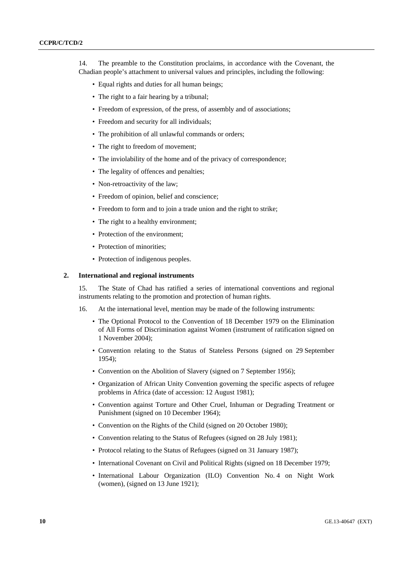14. The preamble to the Constitution proclaims, in accordance with the Covenant, the Chadian people's attachment to universal values and principles, including the following:

- Equal rights and duties for all human beings;
- The right to a fair hearing by a tribunal;
- Freedom of expression, of the press, of assembly and of associations;
- Freedom and security for all individuals;
- The prohibition of all unlawful commands or orders;
- The right to freedom of movement;
- The inviolability of the home and of the privacy of correspondence;
- The legality of offences and penalties;
- Non-retroactivity of the law;
- Freedom of opinion, belief and conscience;
- Freedom to form and to join a trade union and the right to strike;
- The right to a healthy environment;
- Protection of the environment:
- Protection of minorities;
- Protection of indigenous peoples.

#### **2. International and regional instruments**

15. The State of Chad has ratified a series of international conventions and regional instruments relating to the promotion and protection of human rights.

- 16. At the international level, mention may be made of the following instruments:
	- The Optional Protocol to the Convention of 18 December 1979 on the Elimination of All Forms of Discrimination against Women (instrument of ratification signed on 1 November 2004);
	- Convention relating to the Status of Stateless Persons (signed on 29 September 1954);
	- Convention on the Abolition of Slavery (signed on 7 September 1956);
	- Organization of African Unity Convention governing the specific aspects of refugee problems in Africa (date of accession: 12 August 1981);
	- Convention against Torture and Other Cruel, Inhuman or Degrading Treatment or Punishment (signed on 10 December 1964);
	- Convention on the Rights of the Child (signed on 20 October 1980);
	- Convention relating to the Status of Refugees (signed on 28 July 1981);
	- Protocol relating to the Status of Refugees (signed on 31 January 1987);
	- International Covenant on Civil and Political Rights (signed on 18 December 1979;
	- International Labour Organization (ILO) Convention No. 4 on Night Work (women), (signed on 13 June 1921);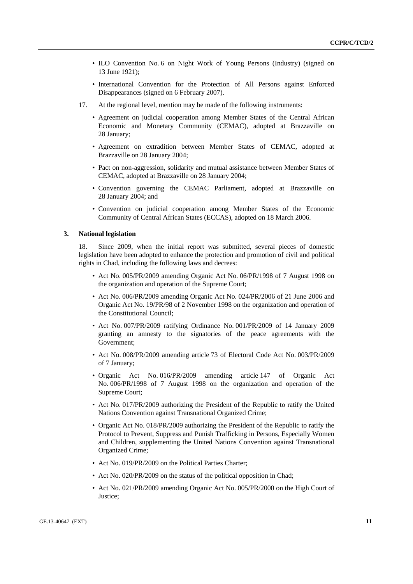- ILO Convention No. 6 on Night Work of Young Persons (Industry) (signed on 13 June 1921);
- International Convention for the Protection of All Persons against Enforced Disappearances (signed on 6 February 2007).
- 17. At the regional level, mention may be made of the following instruments:
	- Agreement on judicial cooperation among Member States of the Central African Economic and Monetary Community (CEMAC), adopted at Brazzaville on 28 January;
	- Agreement on extradition between Member States of CEMAC, adopted at Brazzaville on 28 January 2004;
	- Pact on non-aggression, solidarity and mutual assistance between Member States of CEMAC, adopted at Brazzaville on 28 January 2004;
	- Convention governing the CEMAC Parliament, adopted at Brazzaville on 28 January 2004; and
	- Convention on judicial cooperation among Member States of the Economic Community of Central African States (ECCAS), adopted on 18 March 2006.

#### **3. National legislation**

18. Since 2009, when the initial report was submitted, several pieces of domestic legislation have been adopted to enhance the protection and promotion of civil and political rights in Chad, including the following laws and decrees:

- Act No. 005/PR/2009 amending Organic Act No. 06/PR/1998 of 7 August 1998 on the organization and operation of the Supreme Court;
- Act No. 006/PR/2009 amending Organic Act No. 024/PR/2006 of 21 June 2006 and Organic Act No. 19/PR/98 of 2 November 1998 on the organization and operation of the Constitutional Council;
- Act No. 007/PR/2009 ratifying Ordinance No. 001/PR/2009 of 14 January 2009 granting an amnesty to the signatories of the peace agreements with the Government;
- Act No. 008/PR/2009 amending article 73 of Electoral Code Act No. 003/PR/2009 of 7 January;
- Organic Act No. 016/PR/2009 amending article 147 of Organic Act No. 006/PR/1998 of 7 August 1998 on the organization and operation of the Supreme Court;
- Act No. 017/PR/2009 authorizing the President of the Republic to ratify the United Nations Convention against Transnational Organized Crime;
- Organic Act No. 018/PR/2009 authorizing the President of the Republic to ratify the Protocol to Prevent, Suppress and Punish Trafficking in Persons, Especially Women and Children, supplementing the United Nations Convention against Transnational Organized Crime;
- Act No. 019/PR/2009 on the Political Parties Charter;
- Act No. 020/PR/2009 on the status of the political opposition in Chad;
- Act No. 021/PR/2009 amending Organic Act No. 005/PR/2000 on the High Court of Justice;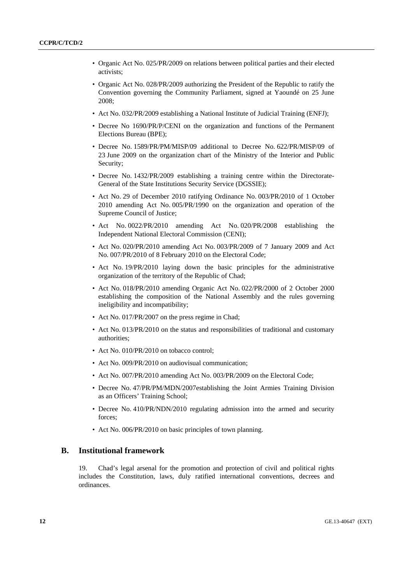- Organic Act No. 025/PR/2009 on relations between political parties and their elected activists;
- Organic Act No. 028/PR/2009 authorizing the President of the Republic to ratify the Convention governing the Community Parliament, signed at Yaoundé on 25 June 2008;
- Act No. 032/PR/2009 establishing a National Institute of Judicial Training (ENFJ);
- Decree No 1690/PR/P/CENI on the organization and functions of the Permanent Elections Bureau (BPE);
- Decree No. 1589/PR/PM/MISP/09 additional to Decree No. 622/PR/MISP/09 of 23 June 2009 on the organization chart of the Ministry of the Interior and Public Security;
- Decree No. 1432/PR/2009 establishing a training centre within the Directorate-General of the State Institutions Security Service (DGSSIE);
- Act No. 29 of December 2010 ratifying Ordinance No. 003/PR/2010 of 1 October 2010 amending Act No. 005/PR/1990 on the organization and operation of the Supreme Council of Justice;
- Act No. 0022/PR/2010 amending Act No. 020/PR/2008 establishing the Independent National Electoral Commission (CENI);
- Act No. 020/PR/2010 amending Act No. 003/PR/2009 of 7 January 2009 and Act No. 007/PR/2010 of 8 February 2010 on the Electoral Code;
- Act No. 19/PR/2010 laying down the basic principles for the administrative organization of the territory of the Republic of Chad;
- Act No. 018/PR/2010 amending Organic Act No. 022/PR/2000 of 2 October 2000 establishing the composition of the National Assembly and the rules governing ineligibility and incompatibility;
- Act No. 017/PR/2007 on the press regime in Chad;
- Act No. 013/PR/2010 on the status and responsibilities of traditional and customary authorities;
- Act No. 010/PR/2010 on tobacco control;
- Act No. 009/PR/2010 on audiovisual communication;
- Act No. 007/PR/2010 amending Act No. 003/PR/2009 on the Electoral Code;
- Decree No. 47/PR/PM/MDN/2007establishing the Joint Armies Training Division as an Officers' Training School;
- Decree No. 410/PR/NDN/2010 regulating admission into the armed and security forces;
- Act No. 006/PR/2010 on basic principles of town planning.

#### **B. Institutional framework**

19. Chad's legal arsenal for the promotion and protection of civil and political rights includes the Constitution, laws, duly ratified international conventions, decrees and ordinances.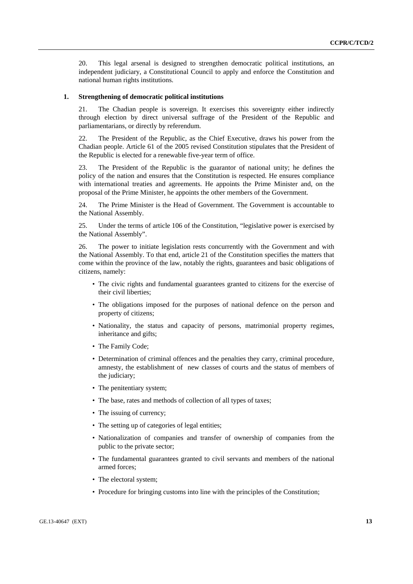20. This legal arsenal is designed to strengthen democratic political institutions, an independent judiciary, a Constitutional Council to apply and enforce the Constitution and national human rights institutions.

#### **1. Strengthening of democratic political institutions**

21. The Chadian people is sovereign. It exercises this sovereignty either indirectly through election by direct universal suffrage of the President of the Republic and parliamentarians, or directly by referendum.

22. The President of the Republic, as the Chief Executive, draws his power from the Chadian people. Article 61 of the 2005 revised Constitution stipulates that the President of the Republic is elected for a renewable five-year term of office.

23. The President of the Republic is the guarantor of national unity; he defines the policy of the nation and ensures that the Constitution is respected. He ensures compliance with international treaties and agreements. He appoints the Prime Minister and, on the proposal of the Prime Minister, he appoints the other members of the Government.

24. The Prime Minister is the Head of Government. The Government is accountable to the National Assembly.

25. Under the terms of article 106 of the Constitution, "legislative power is exercised by the National Assembly".

26. The power to initiate legislation rests concurrently with the Government and with the National Assembly. To that end, article 21 of the Constitution specifies the matters that come within the province of the law, notably the rights, guarantees and basic obligations of citizens, namely:

- The civic rights and fundamental guarantees granted to citizens for the exercise of their civil liberties;
- The obligations imposed for the purposes of national defence on the person and property of citizens;
- Nationality, the status and capacity of persons, matrimonial property regimes, inheritance and gifts;
- The Family Code;
- Determination of criminal offences and the penalties they carry, criminal procedure, amnesty, the establishment of new classes of courts and the status of members of the judiciary;
- The penitentiary system;
- The base, rates and methods of collection of all types of taxes;
- The issuing of currency;
- The setting up of categories of legal entities;
- Nationalization of companies and transfer of ownership of companies from the public to the private sector;
- The fundamental guarantees granted to civil servants and members of the national armed forces;
- The electoral system;
- Procedure for bringing customs into line with the principles of the Constitution;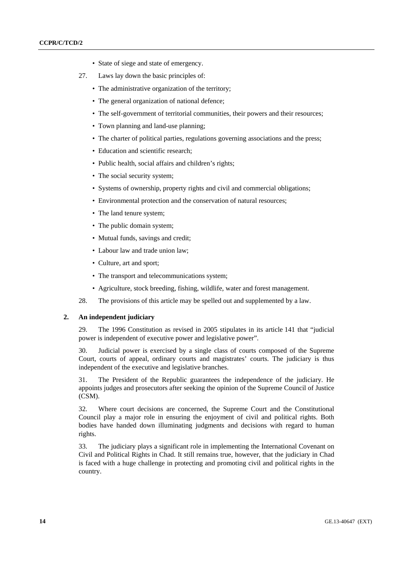- State of siege and state of emergency.
- 27. Laws lay down the basic principles of:
	- The administrative organization of the territory:
	- The general organization of national defence;
	- The self-government of territorial communities, their powers and their resources:
	- Town planning and land-use planning;
	- The charter of political parties, regulations governing associations and the press;
	- Education and scientific research:
	- Public health, social affairs and children's rights;
	- The social security system;
	- Systems of ownership, property rights and civil and commercial obligations;
	- Environmental protection and the conservation of natural resources;
	- The land tenure system;
	- The public domain system;
	- Mutual funds, savings and credit;
	- Labour law and trade union law;
	- Culture, art and sport;
	- The transport and telecommunications system;
	- Agriculture, stock breeding, fishing, wildlife, water and forest management.
- 28. The provisions of this article may be spelled out and supplemented by a law.

#### **2. An independent judiciary**

29. The 1996 Constitution as revised in 2005 stipulates in its article 141 that "judicial power is independent of executive power and legislative power".

30. Judicial power is exercised by a single class of courts composed of the Supreme Court, courts of appeal, ordinary courts and magistrates' courts. The judiciary is thus independent of the executive and legislative branches.

31. The President of the Republic guarantees the independence of the judiciary. He appoints judges and prosecutors after seeking the opinion of the Supreme Council of Justice (CSM).

32. Where court decisions are concerned, the Supreme Court and the Constitutional Council play a major role in ensuring the enjoyment of civil and political rights. Both bodies have handed down illuminating judgments and decisions with regard to human rights.

33. The judiciary plays a significant role in implementing the International Covenant on Civil and Political Rights in Chad. It still remains true, however, that the judiciary in Chad is faced with a huge challenge in protecting and promoting civil and political rights in the country.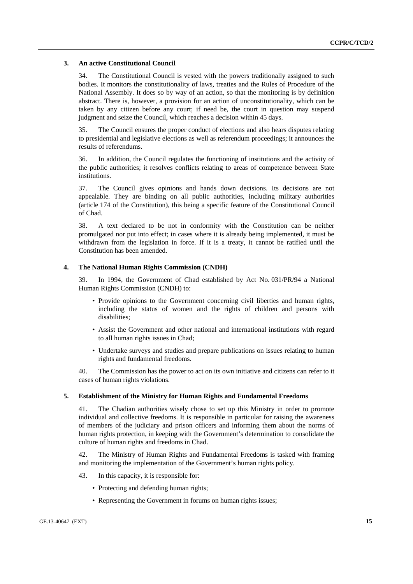#### **3. An active Constitutional Council**

34. The Constitutional Council is vested with the powers traditionally assigned to such bodies. It monitors the constitutionality of laws, treaties and the Rules of Procedure of the National Assembly. It does so by way of an action, so that the monitoring is by definition abstract. There is, however, a provision for an action of unconstitutionality, which can be taken by any citizen before any court; if need be, the court in question may suspend judgment and seize the Council, which reaches a decision within 45 days.

35. The Council ensures the proper conduct of elections and also hears disputes relating to presidential and legislative elections as well as referendum proceedings; it announces the results of referendums.

36. In addition, the Council regulates the functioning of institutions and the activity of the public authorities; it resolves conflicts relating to areas of competence between State institutions.

37. The Council gives opinions and hands down decisions. Its decisions are not appealable. They are binding on all public authorities, including military authorities (article 174 of the Constitution), this being a specific feature of the Constitutional Council of Chad.

38. A text declared to be not in conformity with the Constitution can be neither promulgated nor put into effect; in cases where it is already being implemented, it must be withdrawn from the legislation in force. If it is a treaty, it cannot be ratified until the Constitution has been amended.

#### **4. The National Human Rights Commission (CNDH)**

39. In 1994, the Government of Chad established by Act No. 031/PR/94 a National Human Rights Commission (CNDH) to:

- Provide opinions to the Government concerning civil liberties and human rights, including the status of women and the rights of children and persons with disabilities;
- Assist the Government and other national and international institutions with regard to all human rights issues in Chad;
- Undertake surveys and studies and prepare publications on issues relating to human rights and fundamental freedoms.

40. The Commission has the power to act on its own initiative and citizens can refer to it cases of human rights violations.

#### **5. Establishment of the Ministry for Human Rights and Fundamental Freedoms**

41. The Chadian authorities wisely chose to set up this Ministry in order to promote individual and collective freedoms. It is responsible in particular for raising the awareness of members of the judiciary and prison officers and informing them about the norms of human rights protection, in keeping with the Government's determination to consolidate the culture of human rights and freedoms in Chad.

42. The Ministry of Human Rights and Fundamental Freedoms is tasked with framing and monitoring the implementation of the Government's human rights policy.

- 43. In this capacity, it is responsible for:
	- Protecting and defending human rights;
	- Representing the Government in forums on human rights issues;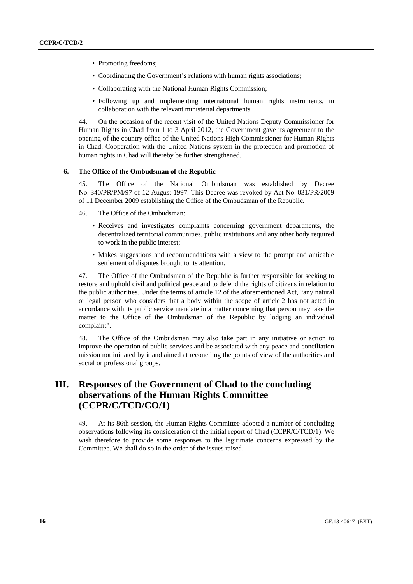- Promoting freedoms;
- Coordinating the Government's relations with human rights associations;
- Collaborating with the National Human Rights Commission;
- Following up and implementing international human rights instruments, in collaboration with the relevant ministerial departments.

44. On the occasion of the recent visit of the United Nations Deputy Commissioner for Human Rights in Chad from 1 to 3 April 2012, the Government gave its agreement to the opening of the country office of the United Nations High Commissioner for Human Rights in Chad. Cooperation with the United Nations system in the protection and promotion of human rights in Chad will thereby be further strengthened.

#### **6. The Office of the Ombudsman of the Republic**

45. The Office of the National Ombudsman was established by Decree No. 340/PR/PM/97 of 12 August 1997. This Decree was revoked by Act No. 031/PR/2009 of 11 December 2009 establishing the Office of the Ombudsman of the Republic.

- 46. The Office of the Ombudsman:
	- Receives and investigates complaints concerning government departments, the decentralized territorial communities, public institutions and any other body required to work in the public interest;
	- Makes suggestions and recommendations with a view to the prompt and amicable settlement of disputes brought to its attention.

47. The Office of the Ombudsman of the Republic is further responsible for seeking to restore and uphold civil and political peace and to defend the rights of citizens in relation to the public authorities. Under the terms of article 12 of the aforementioned Act, "any natural or legal person who considers that a body within the scope of article 2 has not acted in accordance with its public service mandate in a matter concerning that person may take the matter to the Office of the Ombudsman of the Republic by lodging an individual complaint".

48. The Office of the Ombudsman may also take part in any initiative or action to improve the operation of public services and be associated with any peace and conciliation mission not initiated by it and aimed at reconciling the points of view of the authorities and social or professional groups.

# **III. Responses of the Government of Chad to the concluding observations of the Human Rights Committee (CCPR/C/TCD/CO/1)**

49. At its 86th session, the Human Rights Committee adopted a number of concluding observations following its consideration of the initial report of Chad (CCPR/C/TCD/1). We wish therefore to provide some responses to the legitimate concerns expressed by the Committee. We shall do so in the order of the issues raised.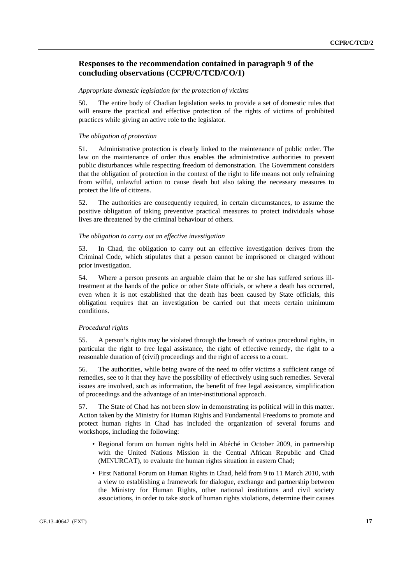### **Responses to the recommendation contained in paragraph 9 of the concluding observations (CCPR/C/TCD/CO/1)**

#### *Appropriate domestic legislation for the protection of victims*

50. The entire body of Chadian legislation seeks to provide a set of domestic rules that will ensure the practical and effective protection of the rights of victims of prohibited practices while giving an active role to the legislator.

#### *The obligation of protection*

51. Administrative protection is clearly linked to the maintenance of public order. The law on the maintenance of order thus enables the administrative authorities to prevent public disturbances while respecting freedom of demonstration. The Government considers that the obligation of protection in the context of the right to life means not only refraining from wilful, unlawful action to cause death but also taking the necessary measures to protect the life of citizens.

52. The authorities are consequently required, in certain circumstances, to assume the positive obligation of taking preventive practical measures to protect individuals whose lives are threatened by the criminal behaviour of others.

#### *The obligation to carry out an effective investigation*

53. In Chad, the obligation to carry out an effective investigation derives from the Criminal Code, which stipulates that a person cannot be imprisoned or charged without prior investigation.

54. Where a person presents an arguable claim that he or she has suffered serious illtreatment at the hands of the police or other State officials, or where a death has occurred, even when it is not established that the death has been caused by State officials, this obligation requires that an investigation be carried out that meets certain minimum conditions.

#### *Procedural rights*

55. A person's rights may be violated through the breach of various procedural rights, in particular the right to free legal assistance, the right of effective remedy, the right to a reasonable duration of (civil) proceedings and the right of access to a court.

56. The authorities, while being aware of the need to offer victims a sufficient range of remedies, see to it that they have the possibility of effectively using such remedies. Several issues are involved, such as information, the benefit of free legal assistance, simplification of proceedings and the advantage of an inter-institutional approach.

57. The State of Chad has not been slow in demonstrating its political will in this matter. Action taken by the Ministry for Human Rights and Fundamental Freedoms to promote and protect human rights in Chad has included the organization of several forums and workshops, including the following:

- Regional forum on human rights held in Abéché in October 2009, in partnership with the United Nations Mission in the Central African Republic and Chad (MINURCAT), to evaluate the human rights situation in eastern Chad;
- First National Forum on Human Rights in Chad, held from 9 to 11 March 2010, with a view to establishing a framework for dialogue, exchange and partnership between the Ministry for Human Rights, other national institutions and civil society associations, in order to take stock of human rights violations, determine their causes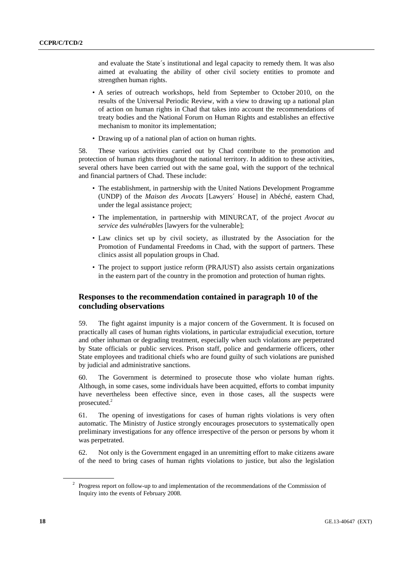and evaluate the State´s institutional and legal capacity to remedy them. It was also aimed at evaluating the ability of other civil society entities to promote and strengthen human rights.

- A series of outreach workshops, held from September to October 2010, on the results of the Universal Periodic Review, with a view to drawing up a national plan of action on human rights in Chad that takes into account the recommendations of treaty bodies and the National Forum on Human Rights and establishes an effective mechanism to monitor its implementation;
- Drawing up of a national plan of action on human rights.

58. These various activities carried out by Chad contribute to the promotion and protection of human rights throughout the national territory. In addition to these activities, several others have been carried out with the same goal, with the support of the technical and financial partners of Chad. These include:

- The establishment, in partnership with the United Nations Development Programme (UNDP) of the *Maison des Avocats* [Lawyers´ House] in Abéché, eastern Chad, under the legal assistance project;
- The implementation, in partnership with MINURCAT, of the project *Avocat au service des vulnérables* [lawyers for the vulnerable];
- Law clinics set up by civil society, as illustrated by the Association for the Promotion of Fundamental Freedoms in Chad, with the support of partners. These clinics assist all population groups in Chad.
- The project to support justice reform (PRAJUST) also assists certain organizations in the eastern part of the country in the promotion and protection of human rights.

### **Responses to the recommendation contained in paragraph 10 of the concluding observations**

59. The fight against impunity is a major concern of the Government. It is focused on practically all cases of human rights violations, in particular extrajudicial execution, torture and other inhuman or degrading treatment, especially when such violations are perpetrated by State officials or public services. Prison staff, police and gendarmerie officers, other State employees and traditional chiefs who are found guilty of such violations are punished by judicial and administrative sanctions.

60. The Government is determined to prosecute those who violate human rights. Although, in some cases, some individuals have been acquitted, efforts to combat impunity have nevertheless been effective since, even in those cases, all the suspects were prosecuted.<sup>2</sup>

61. The opening of investigations for cases of human rights violations is very often automatic. The Ministry of Justice strongly encourages prosecutors to systematically open preliminary investigations for any offence irrespective of the person or persons by whom it was perpetrated.

62. Not only is the Government engaged in an unremitting effort to make citizens aware of the need to bring cases of human rights violations to justice, but also the legislation

<sup>&</sup>lt;sup>2</sup> Progress report on follow-up to and implementation of the recommendations of the Commission of Inquiry into the events of February 2008.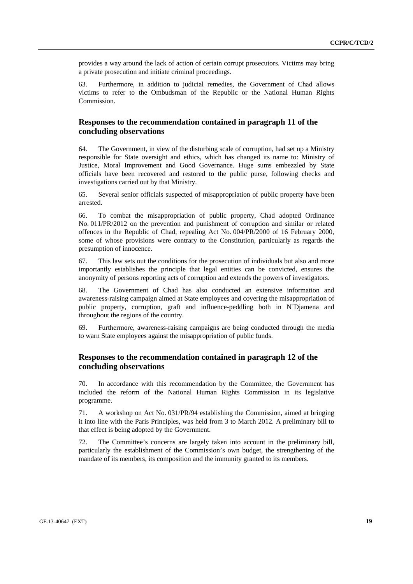provides a way around the lack of action of certain corrupt prosecutors. Victims may bring a private prosecution and initiate criminal proceedings.

63. Furthermore, in addition to judicial remedies, the Government of Chad allows victims to refer to the Ombudsman of the Republic or the National Human Rights Commission.

### **Responses to the recommendation contained in paragraph 11 of the concluding observations**

64. The Government, in view of the disturbing scale of corruption, had set up a Ministry responsible for State oversight and ethics, which has changed its name to: Ministry of Justice, Moral Improvement and Good Governance. Huge sums embezzled by State officials have been recovered and restored to the public purse, following checks and investigations carried out by that Ministry.

65. Several senior officials suspected of misappropriation of public property have been arrested.

66. To combat the misappropriation of public property, Chad adopted Ordinance No. 011/PR/2012 on the prevention and punishment of corruption and similar or related offences in the Republic of Chad, repealing Act No. 004/PR/2000 of 16 February 2000, some of whose provisions were contrary to the Constitution, particularly as regards the presumption of innocence.

67. This law sets out the conditions for the prosecution of individuals but also and more importantly establishes the principle that legal entities can be convicted, ensures the anonymity of persons reporting acts of corruption and extends the powers of investigators.

68. The Government of Chad has also conducted an extensive information and awareness-raising campaign aimed at State employees and covering the misappropriation of public property, corruption, graft and influence-peddling both in N´Djamena and throughout the regions of the country.

69. Furthermore, awareness-raising campaigns are being conducted through the media to warn State employees against the misappropriation of public funds.

### **Responses to the recommendation contained in paragraph 12 of the concluding observations**

70. In accordance with this recommendation by the Committee, the Government has included the reform of the National Human Rights Commission in its legislative programme.

71. A workshop on Act No. 031/PR/94 establishing the Commission, aimed at bringing it into line with the Paris Principles, was held from 3 to March 2012. A preliminary bill to that effect is being adopted by the Government.

72. The Committee's concerns are largely taken into account in the preliminary bill, particularly the establishment of the Commission's own budget, the strengthening of the mandate of its members, its composition and the immunity granted to its members.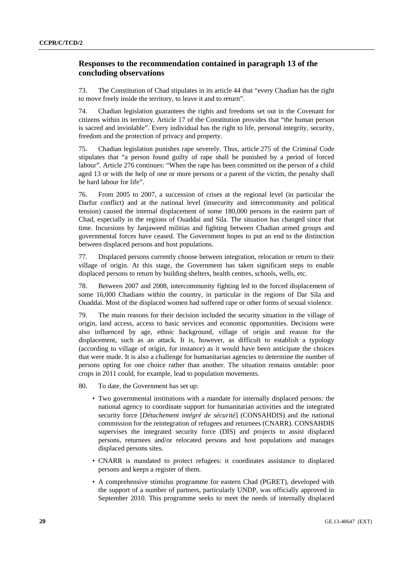### **Responses to the recommendation contained in paragraph 13 of the concluding observations**

73. The Constitution of Chad stipulates in its article 44 that "every Chadian has the right to move freely inside the territory, to leave it and to return".

74. Chadian legislation guarantees the rights and freedoms set out in the Covenant for citizens within its territory. Article 17 of the Constitution provides that "the human person is sacred and inviolable". Every individual has the right to life, personal integrity, security, freedom and the protection of privacy and property.

75. Chadian legislation punishes rape severely. Thus, article 275 of the Criminal Code stipulates that "a person found guilty of rape shall be punished by a period of forced labour". Article 276 continues: "When the rape has been committed on the person of a child aged 13 or with the help of one or more persons or a parent of the victim, the penalty shall be hard labour for life".

76. From 2005 to 2007, a succession of crises at the regional level (in particular the Darfur conflict) and at the national level (insecurity and intercommunity and political tension) caused the internal displacement of some 180,000 persons in the eastern part of Chad, especially in the regions of Ouaddai and Sila. The situation has changed since that time. Incursions by Janjaweed militias and fighting between Chadian armed groups and governmental forces have ceased. The Government hopes to put an end to the distinction between displaced persons and host populations.

77. Displaced persons currently choose between integration, relocation or return to their village of origin. At this stage, the Government has taken significant steps to enable displaced persons to return by building shelters, health centres, schools, wells, etc.

78. Between 2007 and 2008, intercommunity fighting led to the forced displacement of some 16,000 Chadians within the country, in particular in the regions of Dar Sila and Ouaddai. Most of the displaced women had suffered rape or other forms of sexual violence.

79. The main reasons for their decision included the security situation in the village of origin, land access, access to basic services and economic opportunities. Decisions were also influenced by age, ethnic background, village of origin and reason for the displacement, such as an attack. It is, however, as difficult to establish a typology (according to village of origin, for instance) as it would have been anticipate the choices that were made. It is also a challenge for humanitarian agencies to determine the number of persons opting for one choice rather than another. The situation remains unstable: poor crops in 2011 could, for example, lead to population movements.

80. To date, the Government has set up:

- Two governmental institutions with a mandate for internally displaced persons: the national agency to coordinate support for humanitarian activities and the integrated security force [*Détachement intégré de sécurité*] (CONSAHDIS) and the national commission for the reintegration of refugees and returnees (CNARR). CONSAHDIS supervises the integrated security force (DIS) and projects to assist displaced persons, returnees and/or relocated persons and host populations and manages displaced persons sites.
- CNARR is mandated to protect refugees: it coordinates assistance to displaced persons and keeps a register of them.
- A comprehensive stimulus programme for eastern Chad (PGRET), developed with the support of a number of partners, particularly UNDP, was officially approved in September 2010. This programme seeks to meet the needs of internally displaced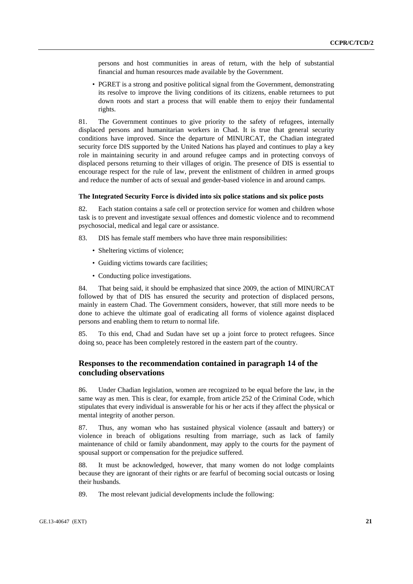persons and host communities in areas of return, with the help of substantial financial and human resources made available by the Government.

• PGRET is a strong and positive political signal from the Government, demonstrating its resolve to improve the living conditions of its citizens, enable returnees to put down roots and start a process that will enable them to enjoy their fundamental rights.

81. The Government continues to give priority to the safety of refugees, internally displaced persons and humanitarian workers in Chad. It is true that general security conditions have improved. Since the departure of MINURCAT, the Chadian integrated security force DIS supported by the United Nations has played and continues to play a key role in maintaining security in and around refugee camps and in protecting convoys of displaced persons returning to their villages of origin. The presence of DIS is essential to encourage respect for the rule of law, prevent the enlistment of children in armed groups and reduce the number of acts of sexual and gender-based violence in and around camps.

#### **The Integrated Security Force is divided into six police stations and six police posts**

82. Each station contains a safe cell or protection service for women and children whose task is to prevent and investigate sexual offences and domestic violence and to recommend psychosocial, medical and legal care or assistance.

83. DIS has female staff members who have three main responsibilities:

- Sheltering victims of violence;
- Guiding victims towards care facilities;
- Conducting police investigations.

84. That being said, it should be emphasized that since 2009, the action of MINURCAT followed by that of DIS has ensured the security and protection of displaced persons, mainly in eastern Chad. The Government considers, however, that still more needs to be done to achieve the ultimate goal of eradicating all forms of violence against displaced persons and enabling them to return to normal life.

85. To this end, Chad and Sudan have set up a joint force to protect refugees. Since doing so, peace has been completely restored in the eastern part of the country.

### **Responses to the recommendation contained in paragraph 14 of the concluding observations**

86. Under Chadian legislation, women are recognized to be equal before the law, in the same way as men. This is clear, for example, from article 252 of the Criminal Code, which stipulates that every individual is answerable for his or her acts if they affect the physical or mental integrity of another person.

87. Thus, any woman who has sustained physical violence (assault and battery) or violence in breach of obligations resulting from marriage, such as lack of family maintenance of child or family abandonment, may apply to the courts for the payment of spousal support or compensation for the prejudice suffered.

88. It must be acknowledged, however, that many women do not lodge complaints because they are ignorant of their rights or are fearful of becoming social outcasts or losing their husbands.

89. The most relevant judicial developments include the following: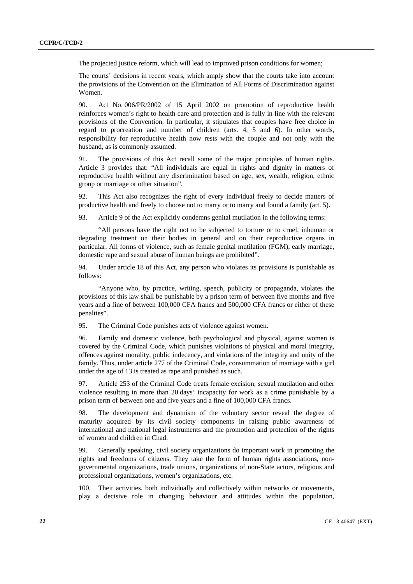The projected justice reform, which will lead to improved prison conditions for women;

The courts' decisions in recent years, which amply show that the courts take into account the provisions of the Convention on the Elimination of All Forms of Discrimination against Women.

90. Act No. 006/PR/2002 of 15 April 2002 on promotion of reproductive health reinforces women's right to health care and protection and is fully in line with the relevant provisions of the Convention. In particular, it stipulates that couples have free choice in regard to procreation and number of children (arts. 4, 5 and 6). In other words, responsibility for reproductive health now rests with the couple and not only with the husband, as is commonly assumed.

91. The provisions of this Act recall some of the major principles of human rights. Article 3 provides that: "All individuals are equal in rights and dignity in matters of reproductive health without any discrimination based on age, sex, wealth, religion, ethnic group or marriage or other situation".

92. This Act also recognizes the right of every individual freely to decide matters of productive health and freely to choose not to marry or to marry and found a family (art. 5).

93. Article 9 of the Act explicitly condemns genital mutilation in the following terms:

 "All persons have the right not to be subjected to torture or to cruel, inhuman or degrading treatment on their bodies in general and on their reproductive organs in particular. All forms of violence, such as female genital mutilation (FGM), early marriage, domestic rape and sexual abuse of human beings are prohibited".

94. Under article 18 of this Act, any person who violates its provisions is punishable as follows:

 "Anyone who, by practice, writing, speech, publicity or propaganda, violates the provisions of this law shall be punishable by a prison term of between five months and five years and a fine of between 100,000 CFA francs and 500,000 CFA francs or either of these penalties".

95. The Criminal Code punishes acts of violence against women.

96. Family and domestic violence, both psychological and physical, against women is covered by the Criminal Code, which punishes violations of physical and moral integrity, offences against morality, public indecency, and violations of the integrity and unity of the family. Thus, under article 277 of the Criminal Code, consummation of marriage with a girl under the age of 13 is treated as rape and punished as such.

97. Article 253 of the Criminal Code treats female excision, sexual mutilation and other violence resulting in more than 20 days' incapacity for work as a crime punishable by a prison term of between one and five years and a fine of 100,000 CFA francs.

98. The development and dynamism of the voluntary sector reveal the degree of maturity acquired by its civil society components in raising public awareness of international and national legal instruments and the promotion and protection of the rights of women and children in Chad.

99. Generally speaking, civil society organizations do important work in promoting the rights and freedoms of citizens. They take the form of human rights associations, nongovernmental organizations, trade unions, organizations of non-State actors, religious and professional organizations, women's organizations, etc.

100. Their activities, both individually and collectively within networks or movements, play a decisive role in changing behaviour and attitudes within the population,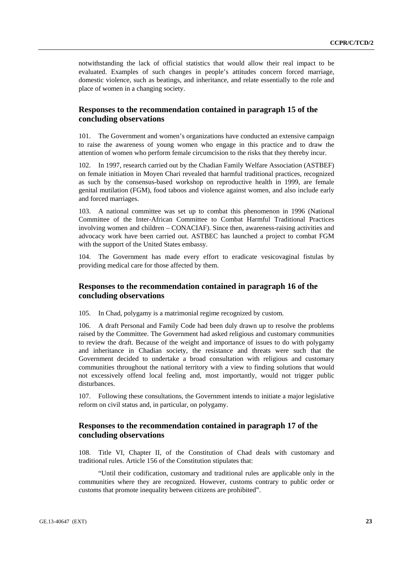notwithstanding the lack of official statistics that would allow their real impact to be evaluated. Examples of such changes in people's attitudes concern forced marriage, domestic violence, such as beatings, and inheritance, and relate essentially to the role and place of women in a changing society.

### **Responses to the recommendation contained in paragraph 15 of the concluding observations**

101. The Government and women's organizations have conducted an extensive campaign to raise the awareness of young women who engage in this practice and to draw the attention of women who perform female circumcision to the risks that they thereby incur.

102. In 1997, research carried out by the Chadian Family Welfare Association (ASTBEF) on female initiation in Moyen Chari revealed that harmful traditional practices, recognized as such by the consensus-based workshop on reproductive health in 1999, are female genital mutilation (FGM), food taboos and violence against women, and also include early and forced marriages.

103. A national committee was set up to combat this phenomenon in 1996 (National Committee of the Inter-African Committee to Combat Harmful Traditional Practices involving women and children – CONACIAF). Since then, awareness-raising activities and advocacy work have been carried out. ASTBEC has launched a project to combat FGM with the support of the United States embassy.

104. The Government has made every effort to eradicate vesicovaginal fistulas by providing medical care for those affected by them.

### **Responses to the recommendation contained in paragraph 16 of the concluding observations**

105. In Chad, polygamy is a matrimonial regime recognized by custom.

106. A draft Personal and Family Code had been duly drawn up to resolve the problems raised by the Committee. The Government had asked religious and customary communities to review the draft. Because of the weight and importance of issues to do with polygamy and inheritance in Chadian society, the resistance and threats were such that the Government decided to undertake a broad consultation with religious and customary communities throughout the national territory with a view to finding solutions that would not excessively offend local feeling and, most importantly, would not trigger public disturbances.

107. Following these consultations, the Government intends to initiate a major legislative reform on civil status and, in particular, on polygamy.

### **Responses to the recommendation contained in paragraph 17 of the concluding observations**

108. Title VI, Chapter II, of the Constitution of Chad deals with customary and traditional rules. Article 156 of the Constitution stipulates that:

 "Until their codification, customary and traditional rules are applicable only in the communities where they are recognized. However, customs contrary to public order or customs that promote inequality between citizens are prohibited".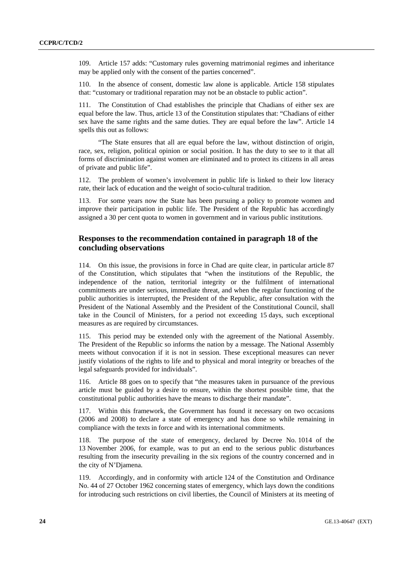109. Article 157 adds: "Customary rules governing matrimonial regimes and inheritance may be applied only with the consent of the parties concerned".

110. In the absence of consent, domestic law alone is applicable. Article 158 stipulates that: "customary or traditional reparation may not be an obstacle to public action".

111. The Constitution of Chad establishes the principle that Chadians of either sex are equal before the law. Thus, article 13 of the Constitution stipulates that: "Chadians of either sex have the same rights and the same duties. They are equal before the law". Article 14 spells this out as follows:

"The State ensures that all are equal before the law, without distinction of origin, race, sex, religion, political opinion or social position. It has the duty to see to it that all forms of discrimination against women are eliminated and to protect its citizens in all areas of private and public life".

112. The problem of women's involvement in public life is linked to their low literacy rate, their lack of education and the weight of socio-cultural tradition.

113. For some years now the State has been pursuing a policy to promote women and improve their participation in public life. The President of the Republic has accordingly assigned a 30 per cent quota to women in government and in various public institutions.

### **Responses to the recommendation contained in paragraph 18 of the concluding observations**

114. On this issue, the provisions in force in Chad are quite clear, in particular article 87 of the Constitution, which stipulates that "when the institutions of the Republic, the independence of the nation, territorial integrity or the fulfilment of international commitments are under serious, immediate threat, and when the regular functioning of the public authorities is interrupted, the President of the Republic, after consultation with the President of the National Assembly and the President of the Constitutional Council, shall take in the Council of Ministers, for a period not exceeding 15 days, such exceptional measures as are required by circumstances.

115. This period may be extended only with the agreement of the National Assembly. The President of the Republic so informs the nation by a message. The National Assembly meets without convocation if it is not in session. These exceptional measures can never justify violations of the rights to life and to physical and moral integrity or breaches of the legal safeguards provided for individuals".

116. Article 88 goes on to specify that "the measures taken in pursuance of the previous article must be guided by a desire to ensure, within the shortest possible time, that the constitutional public authorities have the means to discharge their mandate".

117. Within this framework, the Government has found it necessary on two occasions (2006 and 2008) to declare a state of emergency and has done so while remaining in compliance with the texts in force and with its international commitments.

118. The purpose of the state of emergency, declared by Decree No. 1014 of the 13 November 2006, for example, was to put an end to the serious public disturbances resulting from the insecurity prevailing in the six regions of the country concerned and in the city of N'Djamena.

119. Accordingly, and in conformity with article 124 of the Constitution and Ordinance No. 44 of 27 October 1962 concerning states of emergency, which lays down the conditions for introducing such restrictions on civil liberties, the Council of Ministers at its meeting of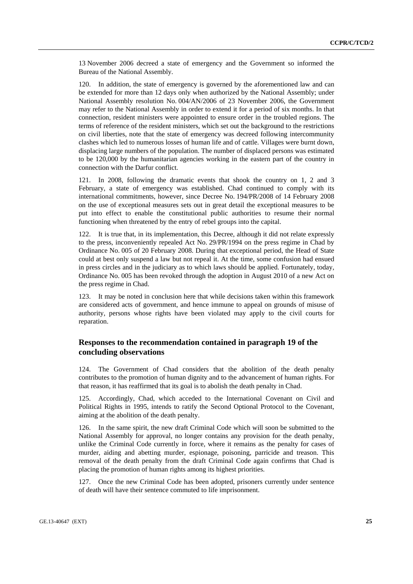13 November 2006 decreed a state of emergency and the Government so informed the Bureau of the National Assembly.

120. In addition, the state of emergency is governed by the aforementioned law and can be extended for more than 12 days only when authorized by the National Assembly; under National Assembly resolution No. 004/AN/2006 of 23 November 2006, the Government may refer to the National Assembly in order to extend it for a period of six months. In that connection, resident ministers were appointed to ensure order in the troubled regions. The terms of reference of the resident ministers, which set out the background to the restrictions on civil liberties, note that the state of emergency was decreed following intercommunity clashes which led to numerous losses of human life and of cattle. Villages were burnt down, displacing large numbers of the population. The number of displaced persons was estimated to be 120,000 by the humanitarian agencies working in the eastern part of the country in connection with the Darfur conflict.

121. In 2008, following the dramatic events that shook the country on 1, 2 and 3 February, a state of emergency was established. Chad continued to comply with its international commitments, however, since Decree No. 194/PR/2008 of 14 February 2008 on the use of exceptional measures sets out in great detail the exceptional measures to be put into effect to enable the constitutional public authorities to resume their normal functioning when threatened by the entry of rebel groups into the capital.

122. It is true that, in its implementation, this Decree, although it did not relate expressly to the press, inconveniently repealed Act No. 29/PR/1994 on the press regime in Chad by Ordinance No. 005 of 20 February 2008. During that exceptional period, the Head of State could at best only suspend a law but not repeal it. At the time, some confusion had ensued in press circles and in the judiciary as to which laws should be applied. Fortunately, today, Ordinance No. 005 has been revoked through the adoption in August 2010 of a new Act on the press regime in Chad.

123. It may be noted in conclusion here that while decisions taken within this framework are considered acts of government, and hence immune to appeal on grounds of misuse of authority, persons whose rights have been violated may apply to the civil courts for reparation.

### **Responses to the recommendation contained in paragraph 19 of the concluding observations**

124. The Government of Chad considers that the abolition of the death penalty contributes to the promotion of human dignity and to the advancement of human rights. For that reason, it has reaffirmed that its goal is to abolish the death penalty in Chad.

125. Accordingly, Chad, which acceded to the International Covenant on Civil and Political Rights in 1995, intends to ratify the Second Optional Protocol to the Covenant, aiming at the abolition of the death penalty.

126. In the same spirit, the new draft Criminal Code which will soon be submitted to the National Assembly for approval, no longer contains any provision for the death penalty, unlike the Criminal Code currently in force, where it remains as the penalty for cases of murder, aiding and abetting murder, espionage, poisoning, parricide and treason. This removal of the death penalty from the draft Criminal Code again confirms that Chad is placing the promotion of human rights among its highest priorities.

127. Once the new Criminal Code has been adopted, prisoners currently under sentence of death will have their sentence commuted to life imprisonment.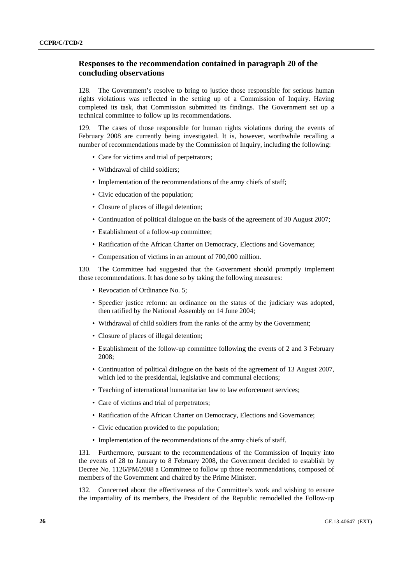### **Responses to the recommendation contained in paragraph 20 of the concluding observations**

128. The Government's resolve to bring to justice those responsible for serious human rights violations was reflected in the setting up of a Commission of Inquiry. Having completed its task, that Commission submitted its findings. The Government set up a technical committee to follow up its recommendations.

129. The cases of those responsible for human rights violations during the events of February 2008 are currently being investigated. It is, however, worthwhile recalling a number of recommendations made by the Commission of Inquiry, including the following:

- Care for victims and trial of perpetrators;
- Withdrawal of child soldiers;
- Implementation of the recommendations of the army chiefs of staff;
- Civic education of the population;
- Closure of places of illegal detention;
- Continuation of political dialogue on the basis of the agreement of 30 August 2007;
- Establishment of a follow-up committee;
- Ratification of the African Charter on Democracy, Elections and Governance;
- Compensation of victims in an amount of 700,000 million.

130. The Committee had suggested that the Government should promptly implement those recommendations. It has done so by taking the following measures:

- Revocation of Ordinance No. 5;
- Speedier justice reform: an ordinance on the status of the judiciary was adopted, then ratified by the National Assembly on 14 June 2004;
- Withdrawal of child soldiers from the ranks of the army by the Government;
- Closure of places of illegal detention;
- Establishment of the follow-up committee following the events of 2 and 3 February 2008;
- Continuation of political dialogue on the basis of the agreement of 13 August 2007, which led to the presidential, legislative and communal elections;
- Teaching of international humanitarian law to law enforcement services;
- Care of victims and trial of perpetrators;
- Ratification of the African Charter on Democracy, Elections and Governance;
- Civic education provided to the population;
- Implementation of the recommendations of the army chiefs of staff.

131. Furthermore, pursuant to the recommendations of the Commission of Inquiry into the events of 28 to January to 8 February 2008, the Government decided to establish by Decree No. 1126/PM/2008 a Committee to follow up those recommendations, composed of members of the Government and chaired by the Prime Minister.

132. Concerned about the effectiveness of the Committee's work and wishing to ensure the impartiality of its members, the President of the Republic remodelled the Follow-up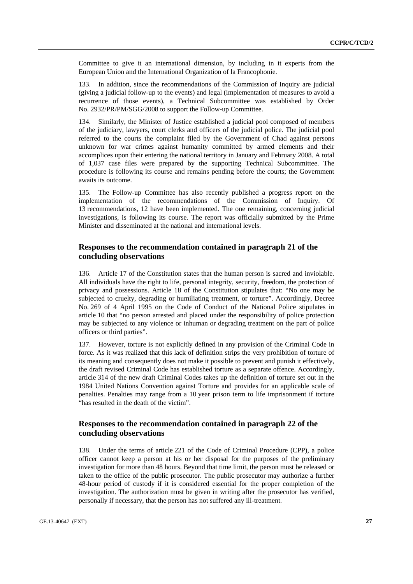Committee to give it an international dimension, by including in it experts from the European Union and the International Organization of la Francophonie.

133. In addition, since the recommendations of the Commission of Inquiry are judicial (giving a judicial follow-up to the events) and legal (implementation of measures to avoid a recurrence of those events), a Technical Subcommittee was established by Order No. 2932/PR/PM/SGG/2008 to support the Follow-up Committee.

134. Similarly, the Minister of Justice established a judicial pool composed of members of the judiciary, lawyers, court clerks and officers of the judicial police. The judicial pool referred to the courts the complaint filed by the Government of Chad against persons unknown for war crimes against humanity committed by armed elements and their accomplices upon their entering the national territory in January and February 2008. A total of 1,037 case files were prepared by the supporting Technical Subcommittee. The procedure is following its course and remains pending before the courts; the Government awaits its outcome.

135. The Follow-up Committee has also recently published a progress report on the implementation of the recommendations of the Commission of Inquiry. Of 13 recommendations, 12 have been implemented. The one remaining, concerning judicial investigations, is following its course. The report was officially submitted by the Prime Minister and disseminated at the national and international levels.

### **Responses to the recommendation contained in paragraph 21 of the concluding observations**

136. Article 17 of the Constitution states that the human person is sacred and inviolable. All individuals have the right to life, personal integrity, security, freedom, the protection of privacy and possessions. Article 18 of the Constitution stipulates that: "No one may be subjected to cruelty, degrading or humiliating treatment, or torture". Accordingly, Decree No. 269 of 4 April 1995 on the Code of Conduct of the National Police stipulates in article 10 that "no person arrested and placed under the responsibility of police protection may be subjected to any violence or inhuman or degrading treatment on the part of police officers or third parties".

137. However, torture is not explicitly defined in any provision of the Criminal Code in force. As it was realized that this lack of definition strips the very prohibition of torture of its meaning and consequently does not make it possible to prevent and punish it effectively, the draft revised Criminal Code has established torture as a separate offence. Accordingly, article 314 of the new draft Criminal Codes takes up the definition of torture set out in the 1984 United Nations Convention against Torture and provides for an applicable scale of penalties. Penalties may range from a 10 year prison term to life imprisonment if torture "has resulted in the death of the victim".

### **Responses to the recommendation contained in paragraph 22 of the concluding observations**

138. Under the terms of article 221 of the Code of Criminal Procedure (CPP), a police officer cannot keep a person at his or her disposal for the purposes of the preliminary investigation for more than 48 hours. Beyond that time limit, the person must be released or taken to the office of the public prosecutor. The public prosecutor may authorize a further 48-hour period of custody if it is considered essential for the proper completion of the investigation. The authorization must be given in writing after the prosecutor has verified, personally if necessary, that the person has not suffered any ill-treatment.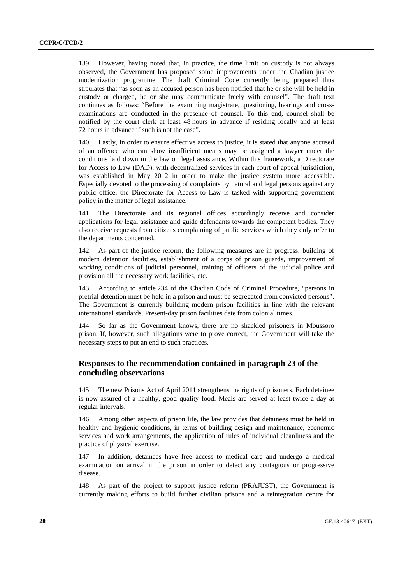139. However, having noted that, in practice, the time limit on custody is not always observed, the Government has proposed some improvements under the Chadian justice modernization programme. The draft Criminal Code currently being prepared thus stipulates that "as soon as an accused person has been notified that he or she will be held in custody or charged, he or she may communicate freely with counsel". The draft text continues as follows: "Before the examining magistrate, questioning, hearings and crossexaminations are conducted in the presence of counsel. To this end, counsel shall be notified by the court clerk at least 48 hours in advance if residing locally and at least 72 hours in advance if such is not the case".

140. Lastly, in order to ensure effective access to justice, it is stated that anyone accused of an offence who can show insufficient means may be assigned a lawyer under the conditions laid down in the law on legal assistance. Within this framework, a Directorate for Access to Law (DAD), with decentralized services in each court of appeal jurisdiction, was established in May 2012 in order to make the justice system more accessible. Especially devoted to the processing of complaints by natural and legal persons against any public office, the Directorate for Access to Law is tasked with supporting government policy in the matter of legal assistance.

141. The Directorate and its regional offices accordingly receive and consider applications for legal assistance and guide defendants towards the competent bodies. They also receive requests from citizens complaining of public services which they duly refer to the departments concerned.

142. As part of the justice reform, the following measures are in progress: building of modern detention facilities, establishment of a corps of prison guards, improvement of working conditions of judicial personnel, training of officers of the judicial police and provision all the necessary work facilities, etc.

143. According to article 234 of the Chadian Code of Criminal Procedure, "persons in pretrial detention must be held in a prison and must be segregated from convicted persons". The Government is currently building modern prison facilities in line with the relevant international standards. Present-day prison facilities date from colonial times.

144. So far as the Government knows, there are no shackled prisoners in Moussoro prison. If, however, such allegations were to prove correct, the Government will take the necessary steps to put an end to such practices.

### **Responses to the recommendation contained in paragraph 23 of the concluding observations**

145. The new Prisons Act of April 2011 strengthens the rights of prisoners. Each detainee is now assured of a healthy, good quality food. Meals are served at least twice a day at regular intervals.

146. Among other aspects of prison life, the law provides that detainees must be held in healthy and hygienic conditions, in terms of building design and maintenance, economic services and work arrangements, the application of rules of individual cleanliness and the practice of physical exercise.

147. In addition, detainees have free access to medical care and undergo a medical examination on arrival in the prison in order to detect any contagious or progressive disease.

148. As part of the project to support justice reform (PRAJUST), the Government is currently making efforts to build further civilian prisons and a reintegration centre for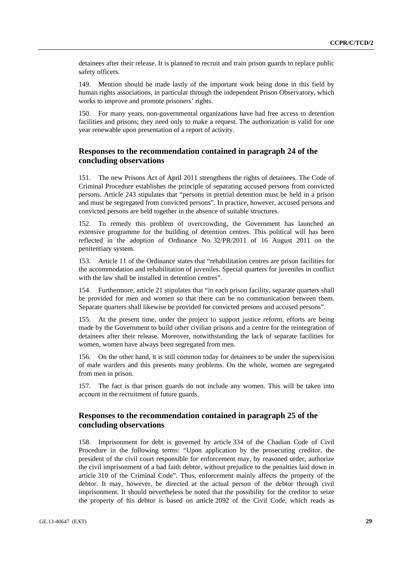detainees after their release. It is planned to recruit and train prison guards to replace public safety officers.

149. Mention should be made lastly of the important work being done in this field by human rights associations, in particular through the independent Prison Observatory, which works to improve and promote prisoners' rights.

150. For many years, non-governmental organizations have had free access to detention facilities and prisons; they need only to make a request. The authorization is valid for one year renewable upon presentation of a report of activity.

### **Responses to the recommendation contained in paragraph 24 of the concluding observations**

151. The new Prisons Act of April 2011 strengthens the rights of detainees. The Code of Criminal Procedure establishes the principle of separating accused persons from convicted persons. Article 243 stipulates that "persons in pretrial detention must be held in a prison and must be segregated from convicted persons". In practice, however, accused persons and convicted persons are held together in the absence of suitable structures.

152. To remedy this problem of overcrowding, the Government has launched an extensive programme for the building of detention centres. This political will has been reflected in the adoption of Ordinance No. 32/PR/2011 of 16 August 2011 on the penitentiary system.

153. Article 11 of the Ordinance states that "rehabilitation centres are prison facilities for the accommodation and rehabilitation of juveniles. Special quarters for juveniles in conflict with the law shall be installed in detention centres".

154. Furthermore, article 21 stipulates that "in each prison facility, separate quarters shall be provided for men and women so that there can be no communication between them. Separate quarters shall likewise be provided for convicted persons and accused persons".

155. At the present time, under the project to support justice reform, efforts are being made by the Government to build other civilian prisons and a centre for the reintegration of detainees after their release. Moreover, notwithstanding the lack of separate facilities for women, women have always been segregated from men.

156. On the other hand, it is still common today for detainees to be under the supervision of male warders and this presents many problems. On the whole, women are segregated from men in prison.

157. The fact is that prison guards do not include any women. This will be taken into account in the recruitment of future guards.

### **Responses to the recommendation contained in paragraph 25 of the concluding observations**

158. Imprisonment for debt is governed by article 334 of the Chadian Code of Civil Procedure in the following terms: "Upon application by the prosecuting creditor, the president of the civil court responsible for enforcement may, by reasoned order, authorize the civil imprisonment of a bad faith debtor, without prejudice to the penalties laid down in article 310 of the Criminal Code". Thus, enforcement mainly affects the property of the debtor. It may, however, be directed at the actual person of the debtor through civil imprisonment. It should nevertheless be noted that the possibility for the creditor to seize the property of his debtor is based on article 2092 of the Civil Code, which reads as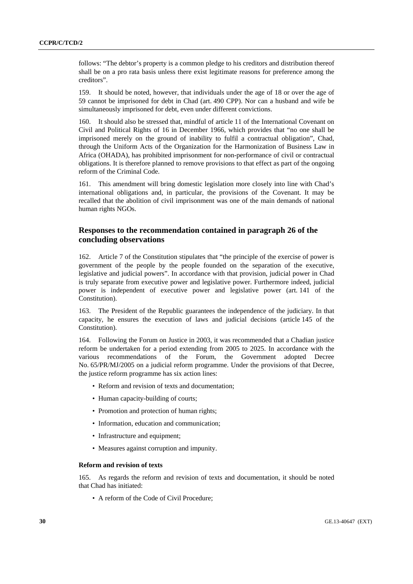follows: "The debtor's property is a common pledge to his creditors and distribution thereof shall be on a pro rata basis unless there exist legitimate reasons for preference among the creditors".

159. It should be noted, however, that individuals under the age of 18 or over the age of 59 cannot be imprisoned for debt in Chad (art. 490 CPP). Nor can a husband and wife be simultaneously imprisoned for debt, even under different convictions.

160. It should also be stressed that, mindful of article 11 of the International Covenant on Civil and Political Rights of 16 in December 1966, which provides that "no one shall be imprisoned merely on the ground of inability to fulfil a contractual obligation", Chad, through the Uniform Acts of the Organization for the Harmonization of Business Law in Africa (OHADA), has prohibited imprisonment for non-performance of civil or contractual obligations. It is therefore planned to remove provisions to that effect as part of the ongoing reform of the Criminal Code.

161. This amendment will bring domestic legislation more closely into line with Chad's international obligations and, in particular, the provisions of the Covenant. It may be recalled that the abolition of civil imprisonment was one of the main demands of national human rights NGOs.

### **Responses to the recommendation contained in paragraph 26 of the concluding observations**

162. Article 7 of the Constitution stipulates that "the principle of the exercise of power is government of the people by the people founded on the separation of the executive, legislative and judicial powers". In accordance with that provision, judicial power in Chad is truly separate from executive power and legislative power. Furthermore indeed, judicial power is independent of executive power and legislative power (art. 141 of the Constitution).

The President of the Republic guarantees the independence of the judiciary. In that capacity, he ensures the execution of laws and judicial decisions (article 145 of the Constitution).

164. Following the Forum on Justice in 2003, it was recommended that a Chadian justice reform be undertaken for a period extending from 2005 to 2025. In accordance with the various recommendations of the Forum, the Government adopted Decree No. 65/PR/MJ/2005 on a judicial reform programme. Under the provisions of that Decree, the justice reform programme has six action lines:

- Reform and revision of texts and documentation;
- Human capacity-building of courts;
- Promotion and protection of human rights;
- Information, education and communication;
- Infrastructure and equipment;
- Measures against corruption and impunity.

#### **Reform and revision of texts**

165. As regards the reform and revision of texts and documentation, it should be noted that Chad has initiated:

• A reform of the Code of Civil Procedure;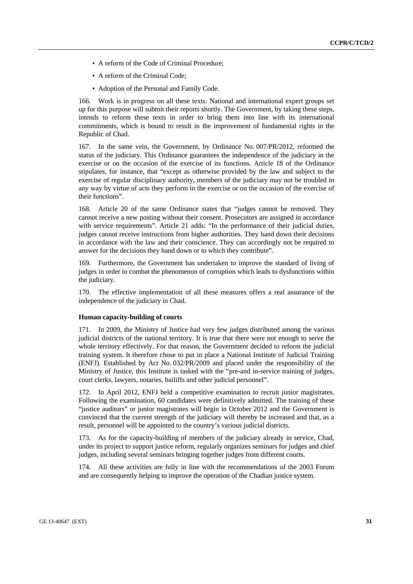- A reform of the Code of Criminal Procedure;
- A reform of the Criminal Code;
- Adoption of the Personal and Family Code.

166. Work is in progress on all these texts. National and international expert groups set up for this purpose will submit their reports shortly. The Government, by taking these steps, intends to reform these texts in order to bring them into line with its international commitments, which is bound to result in the improvement of fundamental rights in the Republic of Chad.

167. In the same vein, the Government, by Ordinance No. 007/PR/2012, reformed the status of the judiciary. This Ordinance guarantees the independence of the judiciary in the exercise or on the occasion of the exercise of its functions. Article 18 of the Ordinance stipulates, for instance, that "except as otherwise provided by the law and subject to the exercise of regular disciplinary authority, members of the judiciary may not be troubled in any way by virtue of acts they perform in the exercise or on the occasion of the exercise of their functions".

168. Article 20 of the same Ordinance states that "judges cannot be removed. They cannot receive a new posting without their consent. Prosecutors are assigned in accordance with service requirements". Article 21 adds: "In the performance of their judicial duties, judges cannot receive instructions from higher authorities. They hand down their decisions in accordance with the law and their conscience. They can accordingly not be required to answer for the decisions they hand down or to which they contribute".

169. Furthermore, the Government has undertaken to improve the standard of living of judges in order to combat the phenomenon of corruption which leads to dysfunctions within the judiciary.

170. The effective implementation of all these measures offers a real assurance of the independence of the judiciary in Chad.

#### **Human capacity-building of courts**

171. In 2009, the Ministry of Justice had very few judges distributed among the various judicial districts of the national territory. It is true that there were not enough to serve the whole territory effectively. For that reason, the Government decided to reform the judicial training system. It therefore chose to put in place a National Institute of Judicial Training (ENFJ). Established by Act No. 032/PR/2009 and placed under the responsibility of the Ministry of Justice, this Institute is tasked with the "pre-and in-service training of judges, court clerks, lawyers, notaries, bailiffs and other judicial personnel".

172. In April 2012, ENFJ held a competitive examination to recruit junior magistrates. Following the examination, 60 candidates were definitively admitted. The training of these "justice auditors" or junior magistrates will begin in October 2012 and the Government is convinced that the current strength of the judiciary will thereby be increased and that, as a result, personnel will be appointed to the country's various judicial districts.

173. As for the capacity-building of members of the judiciary already in service, Chad, under its project to support justice reform, regularly organizes seminars for judges and chief judges, including several seminars bringing together judges from different courts.

174. All these activities are fully in line with the recommendations of the 2003 Forum and are consequently helping to improve the operation of the Chadian justice system.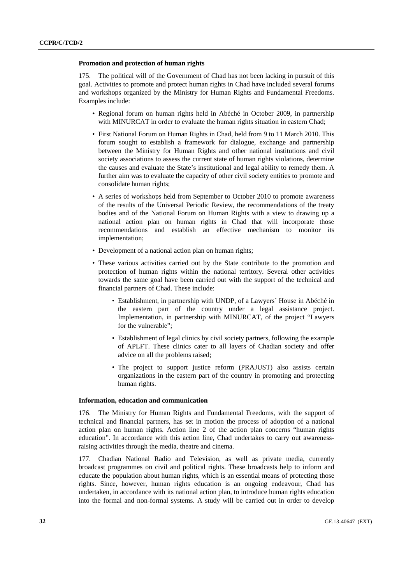#### **Promotion and protection of human rights**

175. The political will of the Government of Chad has not been lacking in pursuit of this goal. Activities to promote and protect human rights in Chad have included several forums and workshops organized by the Ministry for Human Rights and Fundamental Freedoms. Examples include:

- Regional forum on human rights held in Abéché in October 2009, in partnership with MINURCAT in order to evaluate the human rights situation in eastern Chad;
- First National Forum on Human Rights in Chad, held from 9 to 11 March 2010. This forum sought to establish a framework for dialogue, exchange and partnership between the Ministry for Human Rights and other national institutions and civil society associations to assess the current state of human rights violations, determine the causes and evaluate the State's institutional and legal ability to remedy them. A further aim was to evaluate the capacity of other civil society entities to promote and consolidate human rights;
- A series of workshops held from September to October 2010 to promote awareness of the results of the Universal Periodic Review, the recommendations of the treaty bodies and of the National Forum on Human Rights with a view to drawing up a national action plan on human rights in Chad that will incorporate those recommendations and establish an effective mechanism to monitor its implementation;
- Development of a national action plan on human rights;
- These various activities carried out by the State contribute to the promotion and protection of human rights within the national territory. Several other activities towards the same goal have been carried out with the support of the technical and financial partners of Chad. These include:
	- Establishment, in partnership with UNDP, of a Lawyers´ House in Abéché in the eastern part of the country under a legal assistance project. Implementation, in partnership with MINURCAT, of the project "Lawyers for the vulnerable";
	- Establishment of legal clinics by civil society partners, following the example of APLFT. These clinics cater to all layers of Chadian society and offer advice on all the problems raised;
	- The project to support justice reform (PRAJUST) also assists certain organizations in the eastern part of the country in promoting and protecting human rights.

#### **Information, education and communication**

176. The Ministry for Human Rights and Fundamental Freedoms, with the support of technical and financial partners, has set in motion the process of adoption of a national action plan on human rights. Action line 2 of the action plan concerns "human rights education". In accordance with this action line, Chad undertakes to carry out awarenessraising activities through the media, theatre and cinema.

177. Chadian National Radio and Television, as well as private media, currently broadcast programmes on civil and political rights. These broadcasts help to inform and educate the population about human rights, which is an essential means of protecting those rights. Since, however, human rights education is an ongoing endeavour, Chad has undertaken, in accordance with its national action plan, to introduce human rights education into the formal and non-formal systems. A study will be carried out in order to develop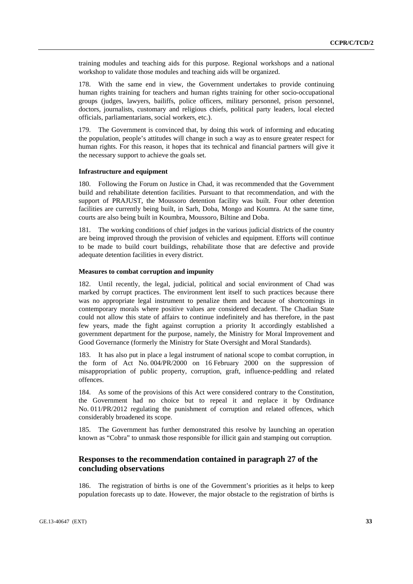training modules and teaching aids for this purpose. Regional workshops and a national workshop to validate those modules and teaching aids will be organized.

178. With the same end in view, the Government undertakes to provide continuing human rights training for teachers and human rights training for other socio-occupational groups (judges, lawyers, bailiffs, police officers, military personnel, prison personnel, doctors, journalists, customary and religious chiefs, political party leaders, local elected officials, parliamentarians, social workers, etc.).

179. The Government is convinced that, by doing this work of informing and educating the population, people's attitudes will change in such a way as to ensure greater respect for human rights. For this reason, it hopes that its technical and financial partners will give it the necessary support to achieve the goals set.

#### **Infrastructure and equipment**

180. Following the Forum on Justice in Chad, it was recommended that the Government build and rehabilitate detention facilities. Pursuant to that recommendation, and with the support of PRAJUST, the Moussoro detention facility was built. Four other detention facilities are currently being built, in Sarh, Doba, Mongo and Koumra. At the same time, courts are also being built in Koumbra, Moussoro, Biltine and Doba.

181. The working conditions of chief judges in the various judicial districts of the country are being improved through the provision of vehicles and equipment. Efforts will continue to be made to build court buildings, rehabilitate those that are defective and provide adequate detention facilities in every district.

#### **Measures to combat corruption and impunity**

182. Until recently, the legal, judicial, political and social environment of Chad was marked by corrupt practices. The environment lent itself to such practices because there was no appropriate legal instrument to penalize them and because of shortcomings in contemporary morals where positive values are considered decadent. The Chadian State could not allow this state of affairs to continue indefinitely and has therefore, in the past few years, made the fight against corruption a priority It accordingly established a government department for the purpose, namely, the Ministry for Moral Improvement and Good Governance (formerly the Ministry for State Oversight and Moral Standards).

183. It has also put in place a legal instrument of national scope to combat corruption, in the form of Act No. 004/PR/2000 on 16 February 2000 on the suppression of misappropriation of public property, corruption, graft, influence-peddling and related offences.

184. As some of the provisions of this Act were considered contrary to the Constitution, the Government had no choice but to repeal it and replace it by Ordinance No. 011/PR/2012 regulating the punishment of corruption and related offences, which considerably broadened its scope.

185. The Government has further demonstrated this resolve by launching an operation known as "Cobra" to unmask those responsible for illicit gain and stamping out corruption.

### **Responses to the recommendation contained in paragraph 27 of the concluding observations**

186. The registration of births is one of the Government's priorities as it helps to keep population forecasts up to date. However, the major obstacle to the registration of births is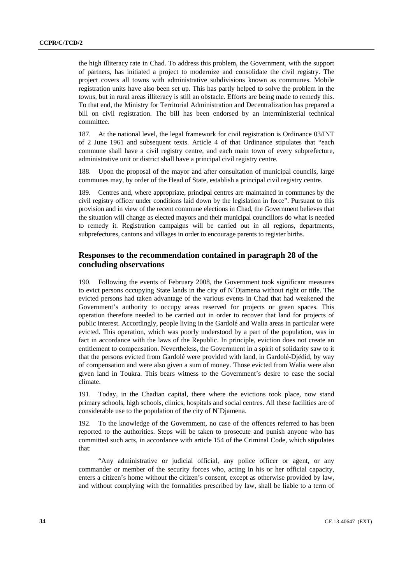the high illiteracy rate in Chad. To address this problem, the Government, with the support of partners, has initiated a project to modernize and consolidate the civil registry. The project covers all towns with administrative subdivisions known as communes. Mobile registration units have also been set up. This has partly helped to solve the problem in the towns, but in rural areas illiteracy is still an obstacle. Efforts are being made to remedy this. To that end, the Ministry for Territorial Administration and Decentralization has prepared a bill on civil registration. The bill has been endorsed by an interministerial technical committee.

187. At the national level, the legal framework for civil registration is Ordinance 03/INT of 2 June 1961 and subsequent texts. Article 4 of that Ordinance stipulates that "each commune shall have a civil registry centre, and each main town of every subprefecture, administrative unit or district shall have a principal civil registry centre.

188. Upon the proposal of the mayor and after consultation of municipal councils, large communes may, by order of the Head of State, establish a principal civil registry centre.

189. Centres and, where appropriate, principal centres are maintained in communes by the civil registry officer under conditions laid down by the legislation in force". Pursuant to this provision and in view of the recent commune elections in Chad, the Government believes that the situation will change as elected mayors and their municipal councillors do what is needed to remedy it. Registration campaigns will be carried out in all regions, departments, subprefectures, cantons and villages in order to encourage parents to register births.

### **Responses to the recommendation contained in paragraph 28 of the concluding observations**

190. Following the events of February 2008, the Government took significant measures to evict persons occupying State lands in the city of N´Djamena without right or title. The evicted persons had taken advantage of the various events in Chad that had weakened the Government's authority to occupy areas reserved for projects or green spaces. This operation therefore needed to be carried out in order to recover that land for projects of public interest. Accordingly, people living in the Gardolé and Walia areas in particular were evicted. This operation, which was poorly understood by a part of the population, was in fact in accordance with the laws of the Republic. In principle, eviction does not create an entitlement to compensation. Nevertheless, the Government in a spirit of solidarity saw to it that the persons evicted from Gardolé were provided with land, in Gardolé-Djédid, by way of compensation and were also given a sum of money. Those evicted from Walia were also given land in Toukra. This bears witness to the Government's desire to ease the social climate.

191. Today, in the Chadian capital, there where the evictions took place, now stand primary schools, high schools, clinics, hospitals and social centres. All these facilities are of considerable use to the population of the city of N´Djamena.

192. To the knowledge of the Government, no case of the offences referred to has been reported to the authorities. Steps will be taken to prosecute and punish anyone who has committed such acts, in accordance with article 154 of the Criminal Code, which stipulates that:

 "Any administrative or judicial official, any police officer or agent, or any commander or member of the security forces who, acting in his or her official capacity, enters a citizen's home without the citizen's consent, except as otherwise provided by law, and without complying with the formalities prescribed by law, shall be liable to a term of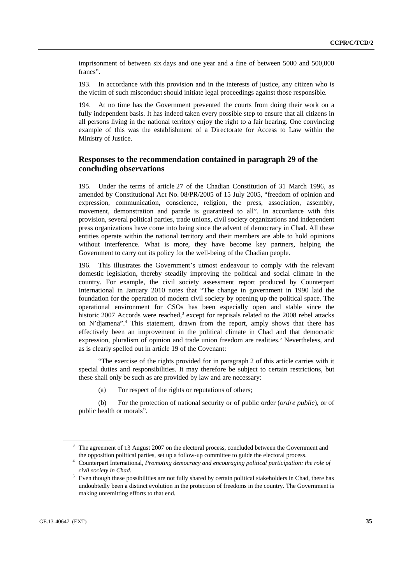imprisonment of between six days and one year and a fine of between 5000 and 500,000 francs".

193. In accordance with this provision and in the interests of justice, any citizen who is the victim of such misconduct should initiate legal proceedings against those responsible.

194. At no time has the Government prevented the courts from doing their work on a fully independent basis. It has indeed taken every possible step to ensure that all citizens in all persons living in the national territory enjoy the right to a fair hearing. One convincing example of this was the establishment of a Directorate for Access to Law within the Ministry of Justice.

### **Responses to the recommendation contained in paragraph 29 of the concluding observations**

195. Under the terms of article 27 of the Chadian Constitution of 31 March 1996, as amended by Constitutional Act No. 08/PR/2005 of 15 July 2005, "freedom of opinion and expression, communication, conscience, religion, the press, association, assembly, movement, demonstration and parade is guaranteed to all". In accordance with this provision, several political parties, trade unions, civil society organizations and independent press organizations have come into being since the advent of democracy in Chad. All these entities operate within the national territory and their members are able to hold opinions without interference. What is more, they have become key partners, helping the Government to carry out its policy for the well-being of the Chadian people.

196. This illustrates the Government's utmost endeavour to comply with the relevant domestic legislation, thereby steadily improving the political and social climate in the country. For example, the civil society assessment report produced by Counterpart International in January 2010 notes that "The change in government in 1990 laid the foundation for the operation of modern civil society by opening up the political space. The operational environment for CSOs has been especially open and stable since the historic 2007 Accords were reached,<sup>3</sup> except for reprisals related to the 2008 rebel attacks on N'djamena".4 This statement, drawn from the report, amply shows that there has effectively been an improvement in the political climate in Chad and that democratic expression, pluralism of opinion and trade union freedom are realities.<sup>5</sup> Nevertheless, and as is clearly spelled out in article 19 of the Covenant:

 "The exercise of the rights provided for in paragraph 2 of this article carries with it special duties and responsibilities. It may therefore be subject to certain restrictions, but these shall only be such as are provided by law and are necessary:

(a) For respect of the rights or reputations of others;

 (b) For the protection of national security or of public order (*ordre public*), or of public health or morals".

 $3$  The agreement of 13 August 2007 on the electoral process, concluded between the Government and the opposition political parties, set up a follow-up committee to guide the electoral process. 4

Counterpart International, *Promoting democracy and encouraging political participation: the role of civil society in Chad.* 

 $5$  Even though these possibilities are not fully shared by certain political stakeholders in Chad, there has undoubtedly been a distinct evolution in the protection of freedoms in the country. The Government is making unremitting efforts to that end.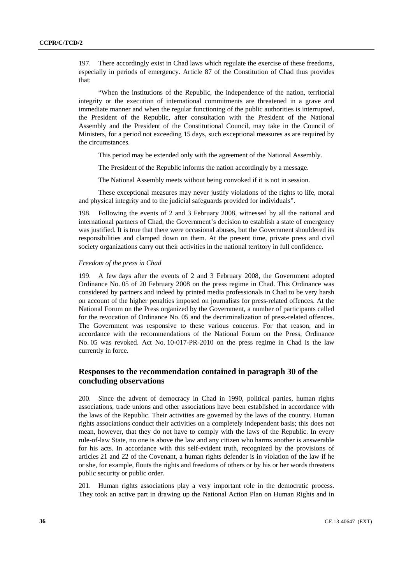197. There accordingly exist in Chad laws which regulate the exercise of these freedoms, especially in periods of emergency. Article 87 of the Constitution of Chad thus provides that:

 "When the institutions of the Republic, the independence of the nation, territorial integrity or the execution of international commitments are threatened in a grave and immediate manner and when the regular functioning of the public authorities is interrupted, the President of the Republic, after consultation with the President of the National Assembly and the President of the Constitutional Council, may take in the Council of Ministers, for a period not exceeding 15 days, such exceptional measures as are required by the circumstances.

This period may be extended only with the agreement of the National Assembly.

The President of the Republic informs the nation accordingly by a message.

The National Assembly meets without being convoked if it is not in session.

 These exceptional measures may never justify violations of the rights to life, moral and physical integrity and to the judicial safeguards provided for individuals".

198. Following the events of 2 and 3 February 2008, witnessed by all the national and international partners of Chad, the Government's decision to establish a state of emergency was justified. It is true that there were occasional abuses, but the Government shouldered its responsibilities and clamped down on them. At the present time, private press and civil society organizations carry out their activities in the national territory in full confidence.

#### *Freedom of the press in Chad*

199. A few days after the events of 2 and 3 February 2008, the Government adopted Ordinance No. 05 of 20 February 2008 on the press regime in Chad. This Ordinance was considered by partners and indeed by printed media professionals in Chad to be very harsh on account of the higher penalties imposed on journalists for press-related offences. At the National Forum on the Press organized by the Government, a number of participants called for the revocation of Ordinance No. 05 and the decriminalization of press-related offences. The Government was responsive to these various concerns. For that reason, and in accordance with the recommendations of the National Forum on the Press, Ordinance No. 05 was revoked. Act No. 10-017-PR-2010 on the press regime in Chad is the law currently in force.

### **Responses to the recommendation contained in paragraph 30 of the concluding observations**

200. Since the advent of democracy in Chad in 1990, political parties, human rights associations, trade unions and other associations have been established in accordance with the laws of the Republic. Their activities are governed by the laws of the country. Human rights associations conduct their activities on a completely independent basis; this does not mean, however, that they do not have to comply with the laws of the Republic. In every rule-of-law State, no one is above the law and any citizen who harms another is answerable for his acts. In accordance with this self-evident truth, recognized by the provisions of articles 21 and 22 of the Covenant, a human rights defender is in violation of the law if he or she, for example, flouts the rights and freedoms of others or by his or her words threatens public security or public order.

201. Human rights associations play a very important role in the democratic process. They took an active part in drawing up the National Action Plan on Human Rights and in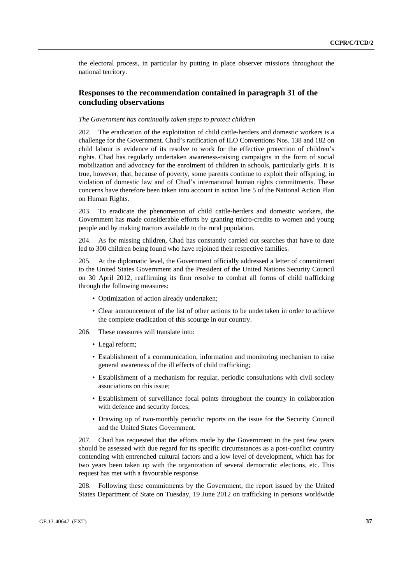the electoral process, in particular by putting in place observer missions throughout the national territory.

# **Responses to the recommendation contained in paragraph 31 of the concluding observations**

### *The Government has continually taken steps to protect children*

202. The eradication of the exploitation of child cattle-herders and domestic workers is a challenge for the Government. Chad's ratification of ILO Conventions Nos. 138 and 182 on child labour is evidence of its resolve to work for the effective protection of children's rights. Chad has regularly undertaken awareness-raising campaigns in the form of social mobilization and advocacy for the enrolment of children in schools, particularly girls. It is true, however, that, because of poverty, some parents continue to exploit their offspring, in violation of domestic law and of Chad's international human rights commitments. These concerns have therefore been taken into account in action line 5 of the National Action Plan on Human Rights.

203. To eradicate the phenomenon of child cattle-herders and domestic workers, the Government has made considerable efforts by granting micro-credits to women and young people and by making tractors available to the rural population.

204. As for missing children, Chad has constantly carried out searches that have to date led to 300 children being found who have rejoined their respective families.

205. At the diplomatic level, the Government officially addressed a letter of commitment to the United States Government and the President of the United Nations Security Council on 30 April 2012, reaffirming its firm resolve to combat all forms of child trafficking through the following measures:

- Optimization of action already undertaken;
- Clear announcement of the list of other actions to be undertaken in order to achieve the complete eradication of this scourge in our country.
- 206. These measures will translate into:
	- Legal reform;
	- Establishment of a communication, information and monitoring mechanism to raise general awareness of the ill effects of child trafficking;
	- Establishment of a mechanism for regular, periodic consultations with civil society associations on this issue;
	- Establishment of surveillance focal points throughout the country in collaboration with defence and security forces;
	- Drawing up of two-monthly periodic reports on the issue for the Security Council and the United States Government.

207. Chad has requested that the efforts made by the Government in the past few years should be assessed with due regard for its specific circumstances as a post-conflict country contending with entrenched cultural factors and a low level of development, which has for two years been taken up with the organization of several democratic elections, etc. This request has met with a favourable response.

208. Following these commitments by the Government, the report issued by the United States Department of State on Tuesday, 19 June 2012 on trafficking in persons worldwide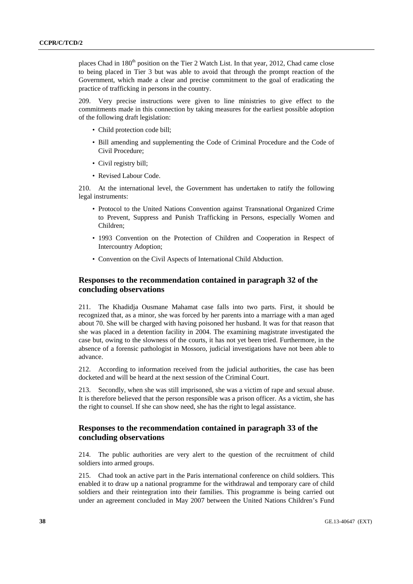places Chad in 180<sup>th</sup> position on the Tier 2 Watch List. In that year, 2012, Chad came close to being placed in Tier 3 but was able to avoid that through the prompt reaction of the Government, which made a clear and precise commitment to the goal of eradicating the practice of trafficking in persons in the country.

209. Very precise instructions were given to line ministries to give effect to the commitments made in this connection by taking measures for the earliest possible adoption of the following draft legislation:

- Child protection code bill;
- Bill amending and supplementing the Code of Criminal Procedure and the Code of Civil Procedure;
- Civil registry bill;
- Revised Labour Code.

210. At the international level, the Government has undertaken to ratify the following legal instruments:

- Protocol to the United Nations Convention against Transnational Organized Crime to Prevent, Suppress and Punish Trafficking in Persons, especially Women and Children;
- 1993 Convention on the Protection of Children and Cooperation in Respect of Intercountry Adoption;
- Convention on the Civil Aspects of International Child Abduction.

# **Responses to the recommendation contained in paragraph 32 of the concluding observations**

211. The Khadidja Ousmane Mahamat case falls into two parts. First, it should be recognized that, as a minor, she was forced by her parents into a marriage with a man aged about 70. She will be charged with having poisoned her husband. It was for that reason that she was placed in a detention facility in 2004. The examining magistrate investigated the case but, owing to the slowness of the courts, it has not yet been tried. Furthermore, in the absence of a forensic pathologist in Mossoro, judicial investigations have not been able to advance.

212. According to information received from the judicial authorities, the case has been docketed and will be heard at the next session of the Criminal Court.

213. Secondly, when she was still imprisoned, she was a victim of rape and sexual abuse. It is therefore believed that the person responsible was a prison officer. As a victim, she has the right to counsel. If she can show need, she has the right to legal assistance.

# **Responses to the recommendation contained in paragraph 33 of the concluding observations**

214. The public authorities are very alert to the question of the recruitment of child soldiers into armed groups.

215. Chad took an active part in the Paris international conference on child soldiers. This enabled it to draw up a national programme for the withdrawal and temporary care of child soldiers and their reintegration into their families. This programme is being carried out under an agreement concluded in May 2007 between the United Nations Children's Fund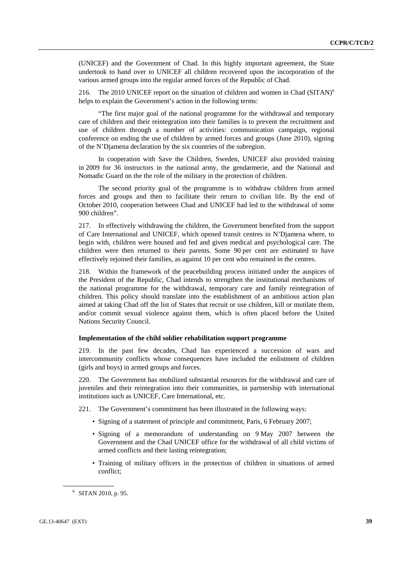(UNICEF) and the Government of Chad. In this highly important agreement, the State undertook to hand over to UNICEF all children recovered upon the incorporation of the various armed groups into the regular armed forces of the Republic of Chad.

216. The 2010 UNICEF report on the situation of children and women in Chad  $(SITAN)$ <sup>6</sup> helps to explain the Government's action in the following terms:

 "The first major goal of the national programme for the withdrawal and temporary care of children and their reintegration into their families is to prevent the recruitment and use of children through a number of activities: communication campaign, regional conference on ending the use of children by armed forces and groups (June 2010), signing of the N'Djamena declaration by the six countries of the subregion.

 In cooperation with Save the Children, Sweden, UNICEF also provided training in 2009 for 36 instructors in the national army, the gendarmerie, and the National and Nomadic Guard on the the role of the military in the protection of children.

 The second priority goal of the programme is to withdraw children from armed forces and groups and then to facilitate their return to civilian life. By the end of October 2010, cooperation between Chad and UNICEF had led to the withdrawal of some 900 children".

217. In effectively withdrawing the children, the Government benefited from the support of Care International and UNICEF, which opened transit centres in N'Djamena where, to begin with, children were housed and fed and given medical and psychological care. The children were then returned to their parents. Some 90 per cent are estimated to have effectively rejoined their families, as against 10 per cent who remained in the centres.

218. Within the framework of the peacebuilding process initiated under the auspices of the President of the Republic, Chad intends to strengthen the institutional mechanisms of the national programme for the withdrawal, temporary care and family reintegration of children. This policy should translate into the establishment of an ambitious action plan aimed at taking Chad off the list of States that recruit or use children, kill or mutilate them, and/or commit sexual violence against them, which is often placed before the United Nations Security Council.

### **Implementation of the child soldier rehabilitation support programme**

219. In the past few decades, Chad has experienced a succession of wars and intercommunity conflicts whose consequences have included the enlistment of children (girls and boys) in armed groups and forces.

220. The Government has mobilized substantial resources for the withdrawal and care of juveniles and their reintegration into their communities, in partnership with international institutions such as UNICEF, Care International, etc.

- 221. The Government's commitment has been illustrated in the following ways:
	- Signing of a statement of principle and commitment, Paris, 6 February 2007;
	- Signing of a memorandum of understanding on 9 May 2007 between the Government and the Chad UNICEF office for the withdrawal of all child victims of armed conflicts and their lasting reintegration;
	- Training of military officers in the protection of children in situations of armed conflict;

<sup>6</sup> SITAN 2010, p. 95.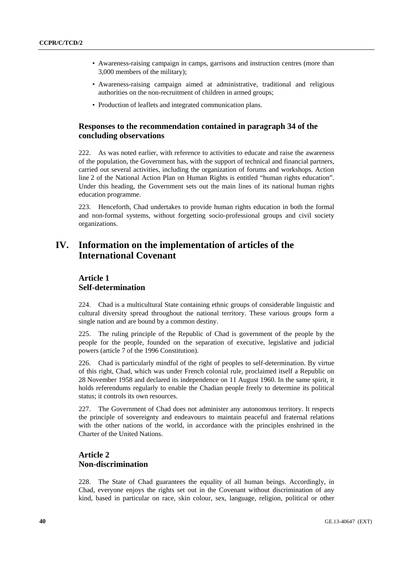- Awareness-raising campaign in camps, garrisons and instruction centres (more than 3,000 members of the military);
- Awareness-raising campaign aimed at administrative, traditional and religious authorities on the non-recruitment of children in armed groups;
- Production of leaflets and integrated communication plans.

# **Responses to the recommendation contained in paragraph 34 of the concluding observations**

222. As was noted earlier, with reference to activities to educate and raise the awareness of the population, the Government has, with the support of technical and financial partners, carried out several activities, including the organization of forums and workshops. Action line 2 of the National Action Plan on Human Rights is entitled "human rights education". Under this heading, the Government sets out the main lines of its national human rights education programme.

223. Henceforth, Chad undertakes to provide human rights education in both the formal and non-formal systems, without forgetting socio-professional groups and civil society organizations.

# **IV. Information on the implementation of articles of the International Covenant**

# **Article 1 Self-determination**

224. Chad is a multicultural State containing ethnic groups of considerable linguistic and cultural diversity spread throughout the national territory. These various groups form a single nation and are bound by a common destiny.

225. The ruling principle of the Republic of Chad is government of the people by the people for the people, founded on the separation of executive, legislative and judicial powers (article 7 of the 1996 Constitution).

226. Chad is particularly mindful of the right of peoples to self-determination. By virtue of this right, Chad, which was under French colonial rule, proclaimed itself a Republic on 28 November 1958 and declared its independence on 11 August 1960. In the same spirit, it holds referendums regularly to enable the Chadian people freely to determine its political status; it controls its own resources.

227. The Government of Chad does not administer any autonomous territory. It respects the principle of sovereignty and endeavours to maintain peaceful and fraternal relations with the other nations of the world, in accordance with the principles enshrined in the Charter of the United Nations.

# **Article 2 Non-discrimination**

228. The State of Chad guarantees the equality of all human beings. Accordingly, in Chad, everyone enjoys the rights set out in the Covenant without discrimination of any kind, based in particular on race, skin colour, sex, language, religion, political or other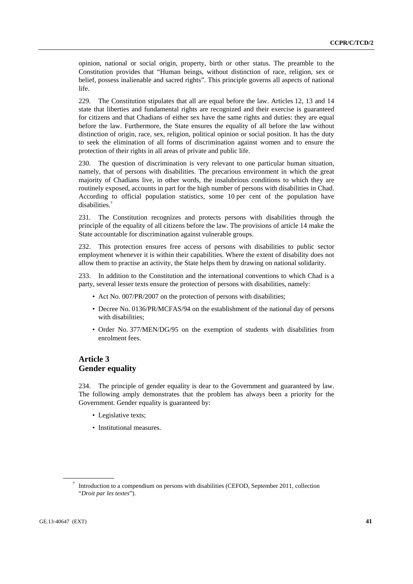opinion, national or social origin, property, birth or other status. The preamble to the Constitution provides that "Human beings, without distinction of race, religion, sex or belief, possess inalienable and sacred rights". This principle governs all aspects of national life.

229. The Constitution stipulates that all are equal before the law. Articles 12, 13 and 14 state that liberties and fundamental rights are recognized and their exercise is guaranteed for citizens and that Chadians of either sex have the same rights and duties: they are equal before the law. Furthermore, the State ensures the equality of all before the law without distinction of origin, race, sex, religion, political opinion or social position. It has the duty to seek the elimination of all forms of discrimination against women and to ensure the protection of their rights in all areas of private and public life.

230. The question of discrimination is very relevant to one particular human situation, namely, that of persons with disabilities. The precarious environment in which the great majority of Chadians live, in other words, the insalubrious conditions to which they are routinely exposed, accounts in part for the high number of persons with disabilities in Chad. According to official population statistics, some 10 per cent of the population have disabilities.<sup>7</sup>

231. The Constitution recognizes and protects persons with disabilities through the principle of the equality of all citizens before the law. The provisions of article 14 make the State accountable for discrimination against vulnerable groups.

232. This protection ensures free access of persons with disabilities to public sector employment whenever it is within their capabilities. Where the extent of disability does not allow them to practise an activity, the State helps them by drawing on national solidarity.

233. In addition to the Constitution and the international conventions to which Chad is a party, several lesser texts ensure the protection of persons with disabilities, namely:

- Act No. 007/PR/2007 on the protection of persons with disabilities;
- Decree No. 0136/PR/MCFAS/94 on the establishment of the national day of persons with disabilities;
- Order No. 377/MEN/DG/95 on the exemption of students with disabilities from enrolment fees.

# **Article 3 Gender equality**

234. The principle of gender equality is dear to the Government and guaranteed by law. The following amply demonstrates that the problem has always been a priority for the Government. Gender equality is guaranteed by:

- Legislative texts;
- Institutional measures.

 $7$  Introduction to a compendium on persons with disabilities (CEFOD, September 2011, collection "*Droit par les textes*").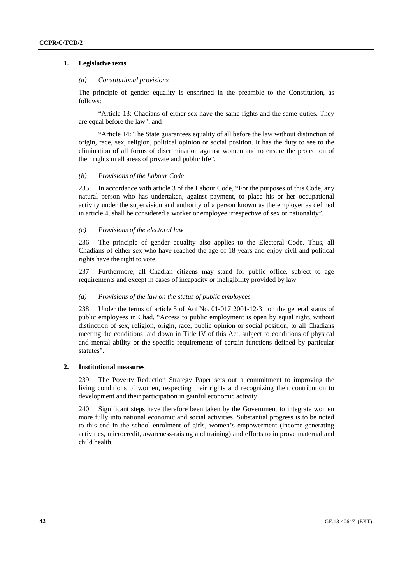## **1. Legislative texts**

## *(a) Constitutional provisions*

The principle of gender equality is enshrined in the preamble to the Constitution, as follows:

 "Article 13: Chadians of either sex have the same rights and the same duties. They are equal before the law", and

 "Article 14: The State guarantees equality of all before the law without distinction of origin, race, sex, religion, political opinion or social position. It has the duty to see to the elimination of all forms of discrimination against women and to ensure the protection of their rights in all areas of private and public life".

## *(b) Provisions of the Labour Code*

235. In accordance with article 3 of the Labour Code, "For the purposes of this Code, any natural person who has undertaken, against payment, to place his or her occupational activity under the supervision and authority of a person known as the employer as defined in article 4, shall be considered a worker or employee irrespective of sex or nationality".

## *(c) Provisions of the electoral law*

236. The principle of gender equality also applies to the Electoral Code. Thus, all Chadians of either sex who have reached the age of 18 years and enjoy civil and political rights have the right to vote.

237. Furthermore, all Chadian citizens may stand for public office, subject to age requirements and except in cases of incapacity or ineligibility provided by law.

## *(d) Provisions of the law on the status of public employees*

238. Under the terms of article 5 of Act No. 01-017 2001-12-31 on the general status of public employees in Chad, "Access to public employment is open by equal right, without distinction of sex, religion, origin, race, public opinion or social position, to all Chadians meeting the conditions laid down in Title IV of this Act, subject to conditions of physical and mental ability or the specific requirements of certain functions defined by particular statutes".

# **2. Institutional measures**

239. The Poverty Reduction Strategy Paper sets out a commitment to improving the living conditions of women, respecting their rights and recognizing their contribution to development and their participation in gainful economic activity.

240. Significant steps have therefore been taken by the Government to integrate women more fully into national economic and social activities. Substantial progress is to be noted to this end in the school enrolment of girls, women's empowerment (income-generating activities, microcredit, awareness-raising and training) and efforts to improve maternal and child health.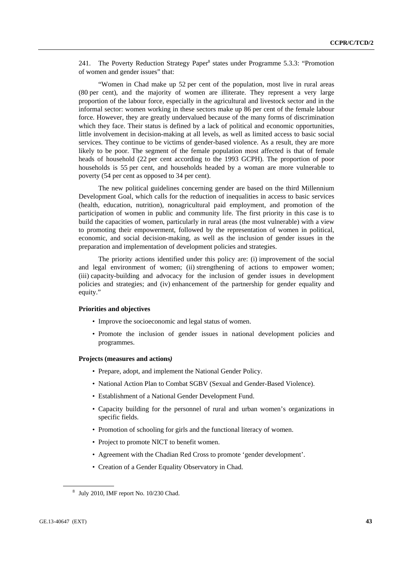241. The Poverty Reduction Strategy Paper<sup>8</sup> states under Programme 5.3.3: "Promotion of women and gender issues" that:

 "Women in Chad make up 52 per cent of the population, most live in rural areas (80 per cent), and the majority of women are illiterate. They represent a very large proportion of the labour force, especially in the agricultural and livestock sector and in the informal sector: women working in these sectors make up 86 per cent of the female labour force. However, they are greatly undervalued because of the many forms of discrimination which they face. Their status is defined by a lack of political and economic opportunities, little involvement in decision-making at all levels, as well as limited access to basic social services. They continue to be victims of gender-based violence. As a result, they are more likely to be poor. The segment of the female population most affected is that of female heads of household (22 per cent according to the 1993 GCPH). The proportion of poor households is 55 per cent, and households headed by a woman are more vulnerable to poverty (54 per cent as opposed to 34 per cent).

 The new political guidelines concerning gender are based on the third Millennium Development Goal, which calls for the reduction of inequalities in access to basic services (health, education, nutrition), nonagricultural paid employment, and promotion of the participation of women in public and community life. The first priority in this case is to build the capacities of women, particularly in rural areas (the most vulnerable) with a view to promoting their empowerment, followed by the representation of women in political, economic, and social decision-making, as well as the inclusion of gender issues in the preparation and implementation of development policies and strategies.

 The priority actions identified under this policy are: (i) improvement of the social and legal environment of women; (ii) strengthening of actions to empower women; (iii) capacity-building and advocacy for the inclusion of gender issues in development policies and strategies; and (iv) enhancement of the partnership for gender equality and equity."

#### **Priorities and objectives**

- Improve the socioeconomic and legal status of women.
- Promote the inclusion of gender issues in national development policies and programmes.

#### **Projects (measures and actions***)*

- Prepare, adopt, and implement the National Gender Policy.
- National Action Plan to Combat SGBV (Sexual and Gender-Based Violence).
- Establishment of a National Gender Development Fund.
- Capacity building for the personnel of rural and urban women's organizations in specific fields.
- Promotion of schooling for girls and the functional literacy of women.
- Project to promote NICT to benefit women.
- Agreement with the Chadian Red Cross to promote 'gender development'.
- Creation of a Gender Equality Observatory in Chad.

 $8$  July 2010, IMF report No. 10/230 Chad.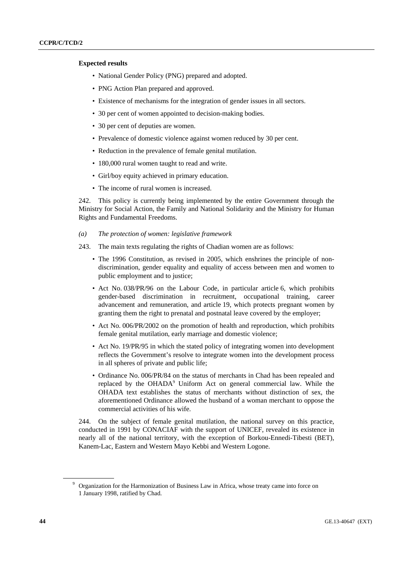## **Expected results**

- National Gender Policy (PNG) prepared and adopted.
- PNG Action Plan prepared and approved.
- Existence of mechanisms for the integration of gender issues in all sectors.
- 30 per cent of women appointed to decision-making bodies.
- 30 per cent of deputies are women.
- Prevalence of domestic violence against women reduced by 30 per cent.
- Reduction in the prevalence of female genital mutilation.
- 180,000 rural women taught to read and write.
- Girl/boy equity achieved in primary education.
- The income of rural women is increased.

242. This policy is currently being implemented by the entire Government through the Ministry for Social Action, the Family and National Solidarity and the Ministry for Human Rights and Fundamental Freedoms.

- *(a) The protection of women: legislative framework*
- 243. The main texts regulating the rights of Chadian women are as follows:
	- The 1996 Constitution, as revised in 2005, which enshrines the principle of nondiscrimination, gender equality and equality of access between men and women to public employment and to justice;
	- Act No. 038/PR/96 on the Labour Code, in particular article 6, which prohibits gender-based discrimination in recruitment, occupational training, career advancement and remuneration, and article 19, which protects pregnant women by granting them the right to prenatal and postnatal leave covered by the employer;
	- Act No. 006/PR/2002 on the promotion of health and reproduction, which prohibits female genital mutilation, early marriage and domestic violence;
	- Act No. 19/PR/95 in which the stated policy of integrating women into development reflects the Government's resolve to integrate women into the development process in all spheres of private and public life;
	- Ordinance No. 006/PR/84 on the status of merchants in Chad has been repealed and replaced by the OHADA<sup>9</sup> Uniform Act on general commercial law. While the OHADA text establishes the status of merchants without distinction of sex, the aforementioned Ordinance allowed the husband of a woman merchant to oppose the commercial activities of his wife.

244. On the subject of female genital mutilation, the national survey on this practice, conducted in 1991 by CONACIAF with the support of UNICEF, revealed its existence in nearly all of the national territory, with the exception of Borkou-Ennedi-Tibesti (BET), Kanem-Lac, Eastern and Western Mayo Kebbi and Western Logone.

<sup>&</sup>lt;sup>9</sup> Organization for the Harmonization of Business Law in Africa, whose treaty came into force on 1 January 1998, ratified by Chad.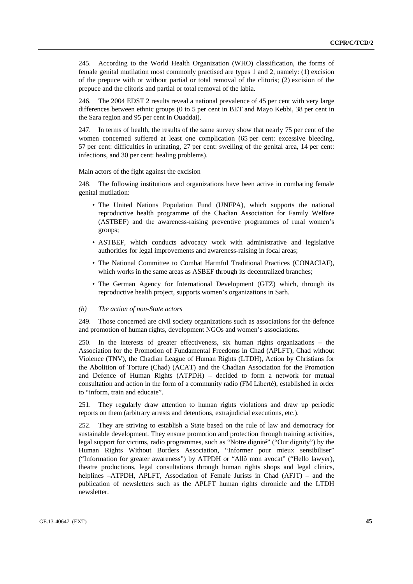245. According to the World Health Organization (WHO) classification, the forms of female genital mutilation most commonly practised are types 1 and 2, namely: (1) excision of the prepuce with or without partial or total removal of the clitoris; (2) excision of the prepuce and the clitoris and partial or total removal of the labia.

246. The 2004 EDST 2 results reveal a national prevalence of 45 per cent with very large differences between ethnic groups (0 to 5 per cent in BET and Mayo Kebbi, 38 per cent in the Sara region and 95 per cent in Ouaddai).

247. In terms of health, the results of the same survey show that nearly 75 per cent of the women concerned suffered at least one complication (65 per cent: excessive bleeding, 57 per cent: difficulties in urinating, 27 per cent: swelling of the genital area, 14 per cent: infections, and 30 per cent: healing problems).

Main actors of the fight against the excision

248. The following institutions and organizations have been active in combating female genital mutilation:

- The United Nations Population Fund (UNFPA), which supports the national reproductive health programme of the Chadian Association for Family Welfare (ASTBEF) and the awareness-raising preventive programmes of rural women's groups;
- ASTBEF, which conducts advocacy work with administrative and legislative authorities for legal improvements and awareness-raising in focal areas;
- The National Committee to Combat Harmful Traditional Practices (CONACIAF), which works in the same areas as ASBEF through its decentralized branches;
- The German Agency for International Development (GTZ) which, through its reproductive health project, supports women's organizations in Sarh.

### *(b) The action of non-State actors*

249. Those concerned are civil society organizations such as associations for the defence and promotion of human rights, development NGOs and women's associations.

250. In the interests of greater effectiveness, six human rights organizations – the Association for the Promotion of Fundamental Freedoms in Chad (APLFT), Chad without Violence (TNV), the Chadian League of Human Rights (LTDH), Action by Christians for the Abolition of Torture (Chad) (ACAT) and the Chadian Association for the Promotion and Defence of Human Rights (ATPDH) – decided to form a network for mutual consultation and action in the form of a community radio (FM Liberté), established in order to "inform, train and educate".

251. They regularly draw attention to human rights violations and draw up periodic reports on them (arbitrary arrests and detentions, extrajudicial executions, etc.).

252. They are striving to establish a State based on the rule of law and democracy for sustainable development. They ensure promotion and protection through training activities, legal support for victims, radio programmes, such as "Notre dignité" ("Our dignity") by the Human Rights Without Borders Association, "Informer pour mieux sensibiliser" ("Information for greater awareness") by ATPDH or "Allô mon avocat" ("Hello lawyer), theatre productions, legal consultations through human rights shops and legal clinics, helplines –ATPDH, APLFT, Association of Female Jurists in Chad (AFJT) – and the publication of newsletters such as the APLFT human rights chronicle and the LTDH newsletter.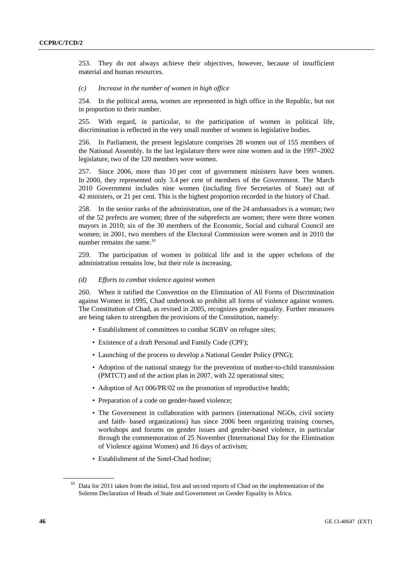253. They do not always achieve their objectives, however, because of insufficient material and human resources.

## *(c) Increase in the number of women in high office*

254. In the political arena, women are represented in high office in the Republic, but not in proportion to their number.

255. With regard, in particular, to the participation of women in political life, discrimination is reflected in the very small number of women in legislative bodies.

256. In Parliament, the present legislature comprises 28 women out of 155 members of the National Assembly. In the last legislature there were nine women and in the 1997–2002 legislature, two of the 120 members were women.

257. Since 2006, more than 10 per cent of government ministers have been women. In 2000, they represented only 3.4 per cent of members of the Government. The March 2010 Government includes nine women (including five Secretaries of State) out of 42 ministers, or 21 per cent. This is the highest proportion recorded in the history of Chad.

258. In the senior ranks of the administration, one of the 24 ambassadors is a woman; two of the 52 prefects are women; three of the subprefects are women; there were three women mayors in 2010; six of the 30 members of the Economic, Social and cultural Council are women; in 2001, two members of the Electoral Commission were women and in 2010 the number remains the same.<sup>10</sup>

259. The participation of women in political life and in the upper echelons of the administration remains low, but their role is increasing.

### *(d) Efforts to combat violence against women*

260. When it ratified the Convention on the Elimination of All Forms of Discrimination against Women in 1995, Chad undertook to prohibit all forms of violence against women. The Constitution of Chad, as revised in 2005, recognizes gender equality. Further measures are being taken to strengthen the provisions of the Constitution, namely:

- Establishment of committees to combat SGBV on refugee sites;
- Existence of a draft Personal and Family Code (CPF);
- Launching of the process to develop a National Gender Policy (PNG);
- Adoption of the national strategy for the prevention of mother-to-child transmission (PMTCT) and of the action plan in 2007, with 22 operational sites;
- Adoption of Act 006/PR/02 on the promotion of reproductive health;
- Preparation of a code on gender-based violence;
- The Government in collaboration with partners (international NGOs, civil society and faith- based organizations) has since 2006 been organizing training courses, workshops and forums on gender issues and gender-based violence, in particular through the commemoration of 25 November (International Day for the Elimination of Violence against Women) and 16 days of activism;
- Establishment of the Sotel-Chad hotline;

<sup>&</sup>lt;sup>10</sup> Data for 2011 taken from the initial, first and second reports of Chad on the implementation of the Solemn Declaration of Heads of State and Government on Gender Equality in Africa.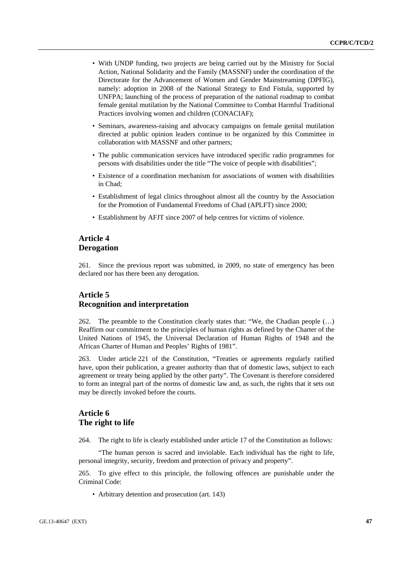- With UNDP funding, two projects are being carried out by the Ministry for Social Action, National Solidarity and the Family (MASSNF) under the coordination of the Directorate for the Advancement of Women and Gender Mainstreaming (DPFIG), namely: adoption in 2008 of the National Strategy to End Fistula, supported by UNFPA; launching of the process of preparation of the national roadmap to combat female genital mutilation by the National Committee to Combat Harmful Traditional Practices involving women and children (CONACIAF);
- Seminars, awareness-raising and advocacy campaigns on female genital mutilation directed at public opinion leaders continue to be organized by this Committee in collaboration with MASSNF and other partners;
- The public communication services have introduced specific radio programmes for persons with disabilities under the title "The voice of people with disabilities";
- Existence of a coordination mechanism for associations of women with disabilities in Chad;
- Establishment of legal clinics throughout almost all the country by the Association for the Promotion of Fundamental Freedoms of Chad (APLFT) since 2000;
- Establishment by AFJT since 2007 of help centres for victims of violence.

# **Article 4 Derogation**

261. Since the previous report was submitted, in 2009, no state of emergency has been declared nor has there been any derogation.

# **Article 5 Recognition and interpretation**

262. The preamble to the Constitution clearly states that: "We, the Chadian people (…) Reaffirm our commitment to the principles of human rights as defined by the Charter of the United Nations of 1945, the Universal Declaration of Human Rights of 1948 and the African Charter of Human and Peoples' Rights of 1981".

263. Under article 221 of the Constitution, "Treaties or agreements regularly ratified have, upon their publication, a greater authority than that of domestic laws, subject to each agreement or treaty being applied by the other party". The Covenant is therefore considered to form an integral part of the norms of domestic law and, as such, the rights that it sets out may be directly invoked before the courts.

# **Article 6 The right to life**

264. The right to life is clearly established under article 17 of the Constitution as follows:

 "The human person is sacred and inviolable. Each individual has the right to life, personal integrity, security, freedom and protection of privacy and property".

265. To give effect to this principle, the following offences are punishable under the Criminal Code:

• Arbitrary detention and prosecution (art. 143)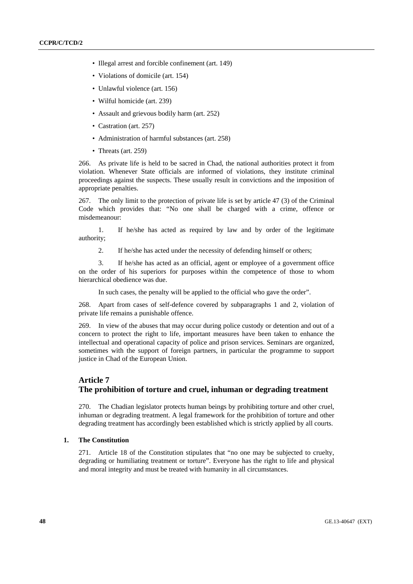- Illegal arrest and forcible confinement (art. 149)
- Violations of domicile (art. 154)
- Unlawful violence (art. 156)
- Wilful homicide (art. 239)
- Assault and grievous bodily harm (art. 252)
- Castration (art. 257)
- Administration of harmful substances (art. 258)
- Threats (art. 259)

266. As private life is held to be sacred in Chad, the national authorities protect it from violation. Whenever State officials are informed of violations, they institute criminal proceedings against the suspects. These usually result in convictions and the imposition of appropriate penalties.

267. The only limit to the protection of private life is set by article 47 (3) of the Criminal Code which provides that: "No one shall be charged with a crime, offence or misdemeanour:

 1. If he/she has acted as required by law and by order of the legitimate authority;

2. If he/she has acted under the necessity of defending himself or others;

 3. If he/she has acted as an official, agent or employee of a government office on the order of his superiors for purposes within the competence of those to whom hierarchical obedience was due.

In such cases, the penalty will be applied to the official who gave the order".

268. Apart from cases of self-defence covered by subparagraphs 1 and 2, violation of private life remains a punishable offence.

269. In view of the abuses that may occur during police custody or detention and out of a concern to protect the right to life, important measures have been taken to enhance the intellectual and operational capacity of police and prison services. Seminars are organized, sometimes with the support of foreign partners, in particular the programme to support justice in Chad of the European Union.

# **Article 7 The prohibition of torture and cruel, inhuman or degrading treatment**

270. The Chadian legislator protects human beings by prohibiting torture and other cruel, inhuman or degrading treatment. A legal framework for the prohibition of torture and other degrading treatment has accordingly been established which is strictly applied by all courts.

### **1. The Constitution**

271. Article 18 of the Constitution stipulates that "no one may be subjected to cruelty, degrading or humiliating treatment or torture". Everyone has the right to life and physical and moral integrity and must be treated with humanity in all circumstances.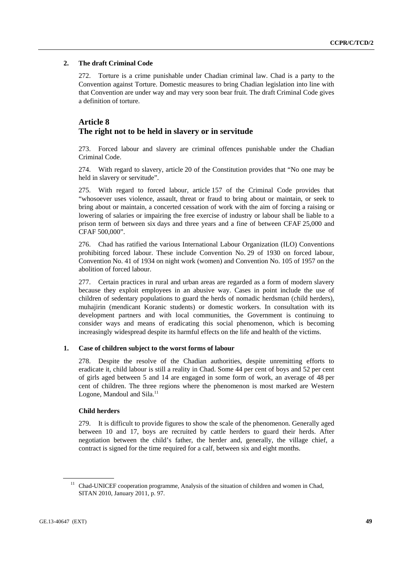## **2. The draft Criminal Code**

272. Torture is a crime punishable under Chadian criminal law. Chad is a party to the Convention against Torture. Domestic measures to bring Chadian legislation into line with that Convention are under way and may very soon bear fruit. The draft Criminal Code gives a definition of torture.

# **Article 8 The right not to be held in slavery or in servitude**

273. Forced labour and slavery are criminal offences punishable under the Chadian Criminal Code.

274. With regard to slavery, article 20 of the Constitution provides that "No one may be held in slavery or servitude".

275. With regard to forced labour, article 157 of the Criminal Code provides that "whosoever uses violence, assault, threat or fraud to bring about or maintain, or seek to bring about or maintain, a concerted cessation of work with the aim of forcing a raising or lowering of salaries or impairing the free exercise of industry or labour shall be liable to a prison term of between six days and three years and a fine of between CFAF 25,000 and CFAF 500,000".

276. Chad has ratified the various International Labour Organization (ILO) Conventions prohibiting forced labour. These include Convention No. 29 of 1930 on forced labour, Convention No. 41 of 1934 on night work (women) and Convention No. 105 of 1957 on the abolition of forced labour.

277. Certain practices in rural and urban areas are regarded as a form of modern slavery because they exploit employees in an abusive way. Cases in point include the use of children of sedentary populations to guard the herds of nomadic herdsman (child herders), muhajirin (mendicant Koranic students) or domestic workers. In consultation with its development partners and with local communities, the Government is continuing to consider ways and means of eradicating this social phenomenon, which is becoming increasingly widespread despite its harmful effects on the life and health of the victims.

## **1. Case of children subject to the worst forms of labour**

278. Despite the resolve of the Chadian authorities, despite unremitting efforts to eradicate it, child labour is still a reality in Chad. Some 44 per cent of boys and 52 per cent of girls aged between 5 and 14 are engaged in some form of work, an average of 48 per cent of children. The three regions where the phenomenon is most marked are Western Logone, Mandoul and Sila.<sup>11</sup>

### **Child herders**

279. It is difficult to provide figures to show the scale of the phenomenon. Generally aged between 10 and 17, boys are recruited by cattle herders to guard their herds. After negotiation between the child's father, the herder and, generally, the village chief, a contract is signed for the time required for a calf, between six and eight months.

 $11$  Chad-UNICEF cooperation programme, Analysis of the situation of children and women in Chad, SITAN 2010, January 2011, p. 97.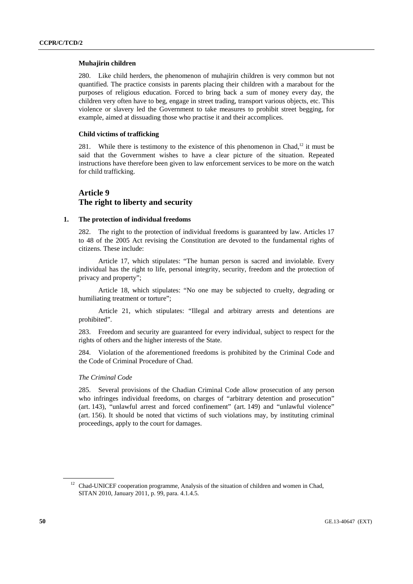## **Muhajirin children**

280. Like child herders, the phenomenon of muhajirin children is very common but not quantified. The practice consists in parents placing their children with a marabout for the purposes of religious education. Forced to bring back a sum of money every day, the children very often have to beg, engage in street trading, transport various objects, etc. This violence or slavery led the Government to take measures to prohibit street begging, for example, aimed at dissuading those who practise it and their accomplices.

# **Child victims of trafficking**

281. While there is testimony to the existence of this phenomenon in Chad,<sup>12</sup> it must be said that the Government wishes to have a clear picture of the situation. Repeated instructions have therefore been given to law enforcement services to be more on the watch for child trafficking.

# **Article 9 The right to liberty and security**

### **1. The protection of individual freedoms**

282. The right to the protection of individual freedoms is guaranteed by law. Articles 17 to 48 of the 2005 Act revising the Constitution are devoted to the fundamental rights of citizens. These include:

 Article 17, which stipulates: "The human person is sacred and inviolable. Every individual has the right to life, personal integrity, security, freedom and the protection of privacy and property";

 Article 18, which stipulates: "No one may be subjected to cruelty, degrading or humiliating treatment or torture";

 Article 21, which stipulates: "Illegal and arbitrary arrests and detentions are prohibited".

283. Freedom and security are guaranteed for every individual, subject to respect for the rights of others and the higher interests of the State.

284. Violation of the aforementioned freedoms is prohibited by the Criminal Code and the Code of Criminal Procedure of Chad.

### *The Criminal Code*

285. Several provisions of the Chadian Criminal Code allow prosecution of any person who infringes individual freedoms, on charges of "arbitrary detention and prosecution" (art. 143), "unlawful arrest and forced confinement" (art. 149) and "unlawful violence" (art. 156). It should be noted that victims of such violations may, by instituting criminal proceedings, apply to the court for damages.

 $12$  Chad-UNICEF cooperation programme, Analysis of the situation of children and women in Chad, SITAN 2010, January 2011, p. 99, para. 4.1.4.5.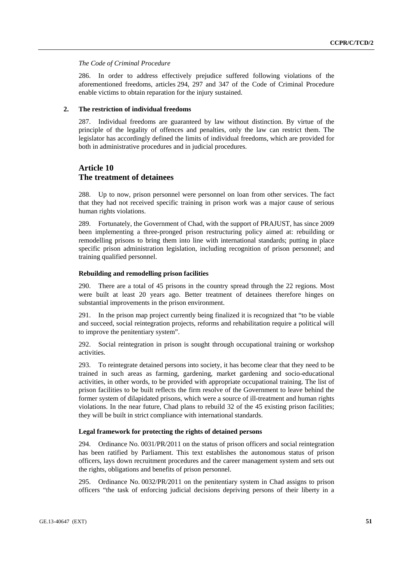### *The Code of Criminal Procedure*

286. In order to address effectively prejudice suffered following violations of the aforementioned freedoms, articles 294, 297 and 347 of the Code of Criminal Procedure enable victims to obtain reparation for the injury sustained.

### **2. The restriction of individual freedoms**

287. Individual freedoms are guaranteed by law without distinction. By virtue of the principle of the legality of offences and penalties, only the law can restrict them. The legislator has accordingly defined the limits of individual freedoms, which are provided for both in administrative procedures and in judicial procedures.

# **Article 10 The treatment of detainees**

288. Up to now, prison personnel were personnel on loan from other services. The fact that they had not received specific training in prison work was a major cause of serious human rights violations.

289. Fortunately, the Government of Chad, with the support of PRAJUST, has since 2009 been implementing a three-pronged prison restructuring policy aimed at: rebuilding or remodelling prisons to bring them into line with international standards; putting in place specific prison administration legislation, including recognition of prison personnel; and training qualified personnel.

### **Rebuilding and remodelling prison facilities**

290. There are a total of 45 prisons in the country spread through the 22 regions. Most were built at least 20 years ago. Better treatment of detainees therefore hinges on substantial improvements in the prison environment.

291. In the prison map project currently being finalized it is recognized that "to be viable and succeed, social reintegration projects, reforms and rehabilitation require a political will to improve the penitentiary system".

292. Social reintegration in prison is sought through occupational training or workshop activities.

293. To reintegrate detained persons into society, it has become clear that they need to be trained in such areas as farming, gardening, market gardening and socio-educational activities, in other words, to be provided with appropriate occupational training. The list of prison facilities to be built reflects the firm resolve of the Government to leave behind the former system of dilapidated prisons, which were a source of ill-treatment and human rights violations. In the near future, Chad plans to rebuild 32 of the 45 existing prison facilities; they will be built in strict compliance with international standards.

## **Legal framework for protecting the rights of detained persons**

294. Ordinance No. 0031/PR/2011 on the status of prison officers and social reintegration has been ratified by Parliament. This text establishes the autonomous status of prison officers, lays down recruitment procedures and the career management system and sets out the rights, obligations and benefits of prison personnel.

295. Ordinance No. 0032/PR/2011 on the penitentiary system in Chad assigns to prison officers "the task of enforcing judicial decisions depriving persons of their liberty in a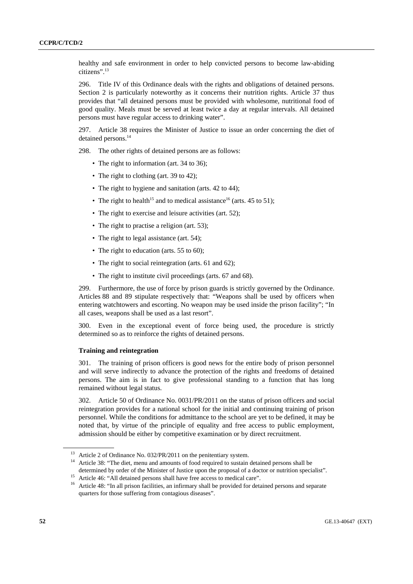healthy and safe environment in order to help convicted persons to become law-abiding citizens".13

296. Title IV of this Ordinance deals with the rights and obligations of detained persons. Section 2 is particularly noteworthy as it concerns their nutrition rights. Article 37 thus provides that "all detained persons must be provided with wholesome, nutritional food of good quality. Meals must be served at least twice a day at regular intervals. All detained persons must have regular access to drinking water".

297. Article 38 requires the Minister of Justice to issue an order concerning the diet of detained persons.<sup>14</sup>

298. The other rights of detained persons are as follows:

- The right to information (art. 34 to 36);
- The right to clothing (art. 39 to 42);
- The right to hygiene and sanitation (arts. 42 to 44);
- The right to health<sup>15</sup> and to medical assistance<sup>16</sup> (arts. 45 to 51);
- The right to exercise and leisure activities (art. 52);
- The right to practise a religion (art. 53);
- The right to legal assistance (art. 54);
- The right to education (arts. 55 to 60);
- The right to social reintegration (arts. 61 and 62);
- The right to institute civil proceedings (arts. 67 and 68).

299. Furthermore, the use of force by prison guards is strictly governed by the Ordinance. Articles 88 and 89 stipulate respectively that: "Weapons shall be used by officers when entering watchtowers and escorting. No weapon may be used inside the prison facility"; "In all cases, weapons shall be used as a last resort".

300. Even in the exceptional event of force being used, the procedure is strictly determined so as to reinforce the rights of detained persons.

### **Training and reintegration**

301. The training of prison officers is good news for the entire body of prison personnel and will serve indirectly to advance the protection of the rights and freedoms of detained persons. The aim is in fact to give professional standing to a function that has long remained without legal status.

302. Article 50 of Ordinance No. 0031/PR/2011 on the status of prison officers and social reintegration provides for a national school for the initial and continuing training of prison personnel. While the conditions for admittance to the school are yet to be defined, it may be noted that, by virtue of the principle of equality and free access to public employment, admission should be either by competitive examination or by direct recruitment.

<sup>&</sup>lt;sup>13</sup> Article 2 of Ordinance No. 032/PR/2011 on the penitentiary system.<br><sup>14</sup> Article 38: "The diet, menu and amounts of food required to sustain detained persons shall be

determined by order of the Minister of Justice upon the proposal of a doctor or nutrition specialist".<br><sup>15</sup> Article 46: "All detained persons shall have free access to medical care".

<sup>&</sup>lt;sup>16</sup> Article 48: "In all prison facilities, an infirmary shall be provided for detained persons and separate quarters for those suffering from contagious diseases".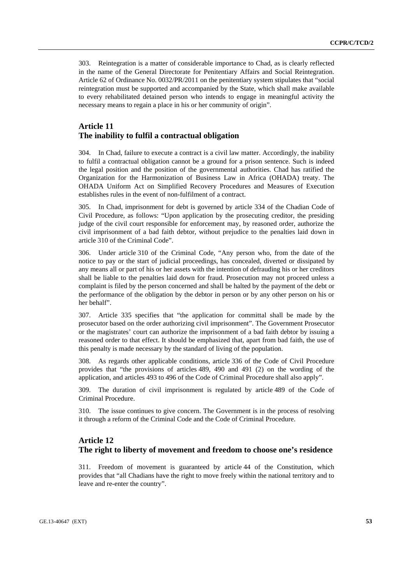303. Reintegration is a matter of considerable importance to Chad, as is clearly reflected in the name of the General Directorate for Penitentiary Affairs and Social Reintegration. Article 62 of Ordinance No. 0032/PR/2011 on the penitentiary system stipulates that "social reintegration must be supported and accompanied by the State, which shall make available to every rehabilitated detained person who intends to engage in meaningful activity the necessary means to regain a place in his or her community of origin".

# **Article 11 The inability to fulfil a contractual obligation**

304. In Chad, failure to execute a contract is a civil law matter. Accordingly, the inability to fulfil a contractual obligation cannot be a ground for a prison sentence. Such is indeed the legal position and the position of the governmental authorities. Chad has ratified the Organization for the Harmonization of Business Law in Africa (OHADA) treaty. The OHADA Uniform Act on Simplified Recovery Procedures and Measures of Execution establishes rules in the event of non-fulfilment of a contract.

305. In Chad, imprisonment for debt is governed by article 334 of the Chadian Code of Civil Procedure, as follows: "Upon application by the prosecuting creditor, the presiding judge of the civil court responsible for enforcement may, by reasoned order, authorize the civil imprisonment of a bad faith debtor, without prejudice to the penalties laid down in article 310 of the Criminal Code".

306. Under article 310 of the Criminal Code, "Any person who, from the date of the notice to pay or the start of judicial proceedings, has concealed, diverted or dissipated by any means all or part of his or her assets with the intention of defrauding his or her creditors shall be liable to the penalties laid down for fraud. Prosecution may not proceed unless a complaint is filed by the person concerned and shall be halted by the payment of the debt or the performance of the obligation by the debtor in person or by any other person on his or her behalf".

307. Article 335 specifies that "the application for committal shall be made by the prosecutor based on the order authorizing civil imprisonment". The Government Prosecutor or the magistrates' court can authorize the imprisonment of a bad faith debtor by issuing a reasoned order to that effect. It should be emphasized that, apart from bad faith, the use of this penalty is made necessary by the standard of living of the population.

308. As regards other applicable conditions, article 336 of the Code of Civil Procedure provides that "the provisions of articles 489, 490 and 491 (2) on the wording of the application, and articles 493 to 496 of the Code of Criminal Procedure shall also apply".

309. The duration of civil imprisonment is regulated by article 489 of the Code of Criminal Procedure.

310. The issue continues to give concern. The Government is in the process of resolving it through a reform of the Criminal Code and the Code of Criminal Procedure.

# **Article 12 The right to liberty of movement and freedom to choose one's residence**

311. Freedom of movement is guaranteed by article 44 of the Constitution, which provides that "all Chadians have the right to move freely within the national territory and to leave and re-enter the country".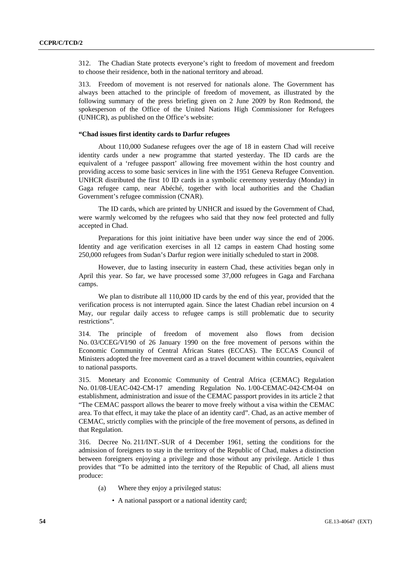312. The Chadian State protects everyone's right to freedom of movement and freedom to choose their residence, both in the national territory and abroad.

313. Freedom of movement is not reserved for nationals alone. The Government has always been attached to the principle of freedom of movement, as illustrated by the following summary of the press briefing given on 2 June 2009 by Ron Redmond, the spokesperson of the Office of the United Nations High Commissioner for Refugees (UNHCR), as published on the Office's website:

### **"Chad issues first identity cards to Darfur refugees**

 About 110,000 Sudanese refugees over the age of 18 in eastern Chad will receive identity cards under a new programme that started yesterday. The ID cards are the equivalent of a 'refugee passport' allowing free movement within the host country and providing access to some basic services in line with the 1951 Geneva Refugee Convention. UNHCR distributed the first 10 ID cards in a symbolic ceremony yesterday (Monday) in Gaga refugee camp, near Abéché, together with local authorities and the Chadian Government's refugee commission (CNAR).

 The ID cards, which are printed by UNHCR and issued by the Government of Chad, were warmly welcomed by the refugees who said that they now feel protected and fully accepted in Chad.

 Preparations for this joint initiative have been under way since the end of 2006. Identity and age verification exercises in all 12 camps in eastern Chad hosting some 250,000 refugees from Sudan's Darfur region were initially scheduled to start in 2008.

 However, due to lasting insecurity in eastern Chad, these activities began only in April this year. So far, we have processed some 37,000 refugees in Gaga and Farchana camps.

 We plan to distribute all 110,000 ID cards by the end of this year, provided that the verification process is not interrupted again. Since the latest Chadian rebel incursion on 4 May, our regular daily access to refugee camps is still problematic due to security restrictions".

314. The principle of freedom of movement also flows from decision No. 03/CCEG/VI/90 of 26 January 1990 on the free movement of persons within the Economic Community of Central African States (ECCAS). The ECCAS Council of Ministers adopted the free movement card as a travel document within countries, equivalent to national passports.

315. Monetary and Economic Community of Central Africa (CEMAC) Regulation No. 01/08-UEAC-042-CM-17 amending Regulation No. 1/00-CEMAC-042-CM-04 on establishment, administration and issue of the CEMAC passport provides in its article 2 that "The CEMAC passport allows the bearer to move freely without a visa within the CEMAC area. To that effect, it may take the place of an identity card". Chad, as an active member of CEMAC, strictly complies with the principle of the free movement of persons, as defined in that Regulation.

316. Decree No. 211/INT.-SUR of 4 December 1961, setting the conditions for the admission of foreigners to stay in the territory of the Republic of Chad, makes a distinction between foreigners enjoying a privilege and those without any privilege. Article 1 thus provides that "To be admitted into the territory of the Republic of Chad, all aliens must produce:

- (a) Where they enjoy a privileged status:
	- A national passport or a national identity card;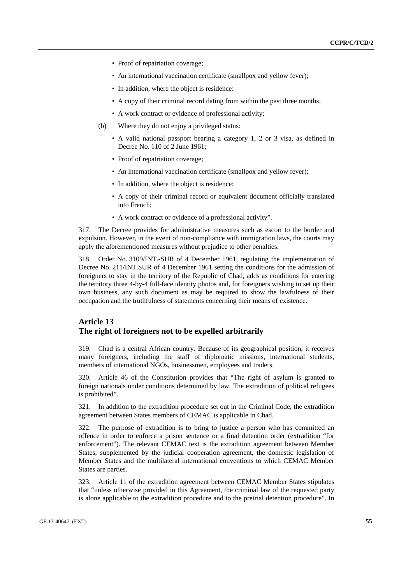- Proof of repatriation coverage;
- An international vaccination certificate (smallpox and yellow fever);
- In addition, where the object is residence:
- A copy of their criminal record dating from within the past three months;
- A work contract or evidence of professional activity;
- (b) Where they do not enjoy a privileged status:
	- A valid national passport bearing a category 1, 2 or 3 visa, as defined in Decree No. 110 of 2 June 1961;
	- Proof of repatriation coverage;
	- An international vaccination certificate (smallpox and yellow fever);
	- In addition, where the object is residence:
	- A copy of their criminal record or equivalent document officially translated into French;
	- A work contract or evidence of a professional activity".

317. The Decree provides for administrative measures such as escort to the border and expulsion. However, in the event of non-compliance with immigration laws, the courts may apply the aforementioned measures without prejudice to other penalties.

318. Order No. 3109/INT.-SUR of 4 December 1961, regulating the implementation of Decree No. 211/INT.SUR of 4 December 1961 setting the conditions for the admission of foreigners to stay in the territory of the Republic of Chad, adds as conditions for entering the territory three 4-by-4 full-face identity photos and, for foreigners wishing to set up their own business, any such document as may be required to show the lawfulness of their occupation and the truthfulness of statements concerning their means of existence.

# **Article 13 The right of foreigners not to be expelled arbitrarily**

319. Chad is a central African country. Because of its geographical position, it receives many foreigners, including the staff of diplomatic missions, international students, members of international NGOs, businessmen, employees and traders.

320. Article 46 of the Constitution provides that "The right of asylum is granted to foreign nationals under conditions determined by law. The extradition of political refugees is prohibited".

321. In addition to the extradition procedure set out in the Criminal Code, the extradition agreement between States members of CEMAC is applicable in Chad.

322. The purpose of extradition is to bring to justice a person who has committed an offence in order to enforce a prison sentence or a final detention order (extradition "for enforcement"). The relevant CEMAC text is the extradition agreement between Member States, supplemented by the judicial cooperation agreement, the domestic legislation of Member States and the multilateral international conventions to which CEMAC Member States are parties.

323. Article 11 of the extradition agreement between CEMAC Member States stipulates that "unless otherwise provided in this Agreement, the criminal law of the requested party is alone applicable to the extradition procedure and to the pretrial detention procedure". In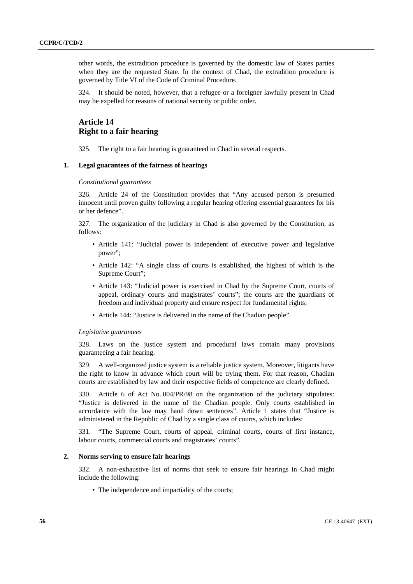other words, the extradition procedure is governed by the domestic law of States parties when they are the requested State. In the context of Chad, the extradition procedure is governed by Title VI of the Code of Criminal Procedure.

324. It should be noted, however, that a refugee or a foreigner lawfully present in Chad may be expelled for reasons of national security or public order.

# **Article 14 Right to a fair hearing**

325. The right to a fair hearing is guaranteed in Chad in several respects.

## **1. Legal guarantees of the fairness of hearings**

#### *Constitutional guarantees*

326. Article 24 of the Constitution provides that "Any accused person is presumed innocent until proven guilty following a regular hearing offering essential guarantees for his or her defence".

327. The organization of the judiciary in Chad is also governed by the Constitution, as follows:

- Article 141: "Judicial power is independent of executive power and legislative power";
- Article 142: "A single class of courts is established, the highest of which is the Supreme Court";
- Article 143: "Judicial power is exercised in Chad by the Supreme Court, courts of appeal, ordinary courts and magistrates' courts"; the courts are the guardians of freedom and individual property and ensure respect for fundamental rights;
- Article 144: "Justice is delivered in the name of the Chadian people".

### *Legislative guarantees*

328. Laws on the justice system and procedural laws contain many provisions guaranteeing a fair hearing.

329. A well-organized justice system is a reliable justice system. Moreover, litigants have the right to know in advance which court will be trying them. For that reason, Chadian courts are established by law and their respective fields of competence are clearly defined.

330. Article 6 of Act No. 004/PR/98 on the organization of the judiciary stipulates: "Justice is delivered in the name of the Chadian people. Only courts established in accordance with the law may hand down sentences". Article 1 states that "Justice is administered in the Republic of Chad by a single class of courts, which includes:

331. "The Supreme Court, courts of appeal, criminal courts, courts of first instance, labour courts, commercial courts and magistrates' courts".

### **2. Norms serving to ensure fair hearings**

332. A non-exhaustive list of norms that seek to ensure fair hearings in Chad might include the following:

• The independence and impartiality of the courts;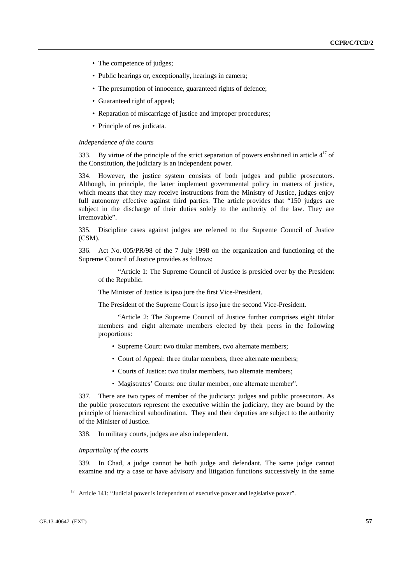- The competence of judges;
- Public hearings or, exceptionally, hearings in camera;
- The presumption of innocence, guaranteed rights of defence;
- Guaranteed right of appeal;
- Reparation of miscarriage of justice and improper procedures;
- Principle of res judicata.

### *Independence of the courts*

333. By virtue of the principle of the strict separation of powers enshrined in article  $4^{17}$  of the Constitution, the judiciary is an independent power.

334. However, the justice system consists of both judges and public prosecutors. Although, in principle, the latter implement governmental policy in matters of justice, which means that they may receive instructions from the Ministry of Justice, judges enjoy full autonomy effective against third parties. The article provides that "150 judges are subject in the discharge of their duties solely to the authority of the law. They are irremovable".

335. Discipline cases against judges are referred to the Supreme Council of Justice (CSM).

336. Act No. 005/PR/98 of the 7 July 1998 on the organization and functioning of the Supreme Council of Justice provides as follows:

 "Article 1: The Supreme Council of Justice is presided over by the President of the Republic.

The Minister of Justice is ipso jure the first Vice-President.

The President of the Supreme Court is ipso jure the second Vice-President.

"Article 2: The Supreme Council of Justice further comprises eight titular members and eight alternate members elected by their peers in the following proportions:

- Supreme Court: two titular members, two alternate members;
- Court of Appeal: three titular members, three alternate members;
- Courts of Justice: two titular members, two alternate members;
- Magistrates' Courts: one titular member, one alternate member".

337. There are two types of member of the judiciary: judges and public prosecutors. As the public prosecutors represent the executive within the judiciary, they are bound by the principle of hierarchical subordination. They and their deputies are subject to the authority of the Minister of Justice.

338. In military courts, judges are also independent.

### *Impartiality of the courts*

339. In Chad, a judge cannot be both judge and defendant. The same judge cannot examine and try a case or have advisory and litigation functions successively in the same

<sup>&</sup>lt;sup>17</sup> Article 141: "Judicial power is independent of executive power and legislative power".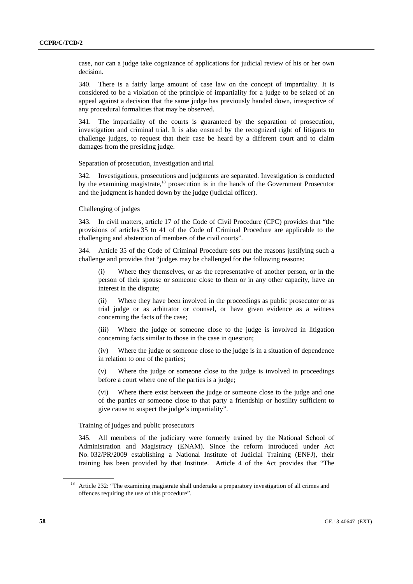case, nor can a judge take cognizance of applications for judicial review of his or her own decision.

340. There is a fairly large amount of case law on the concept of impartiality. It is considered to be a violation of the principle of impartiality for a judge to be seized of an appeal against a decision that the same judge has previously handed down, irrespective of any procedural formalities that may be observed.

341. The impartiality of the courts is guaranteed by the separation of prosecution, investigation and criminal trial. It is also ensured by the recognized right of litigants to challenge judges, to request that their case be heard by a different court and to claim damages from the presiding judge.

### Separation of prosecution, investigation and trial

342. Investigations, prosecutions and judgments are separated. Investigation is conducted by the examining magistrate,<sup>18</sup> prosecution is in the hands of the Government Prosecutor and the judgment is handed down by the judge (judicial officer).

# Challenging of judges

343. In civil matters, article 17 of the Code of Civil Procedure (CPC) provides that "the provisions of articles 35 to 41 of the Code of Criminal Procedure are applicable to the challenging and abstention of members of the civil courts".

344. Article 35 of the Code of Criminal Procedure sets out the reasons justifying such a challenge and provides that "judges may be challenged for the following reasons:

 (i) Where they themselves, or as the representative of another person, or in the person of their spouse or someone close to them or in any other capacity, have an interest in the dispute;

 (ii) Where they have been involved in the proceedings as public prosecutor or as trial judge or as arbitrator or counsel, or have given evidence as a witness concerning the facts of the case;

 (iii) Where the judge or someone close to the judge is involved in litigation concerning facts similar to those in the case in question;

 (iv) Where the judge or someone close to the judge is in a situation of dependence in relation to one of the parties;

 (v) Where the judge or someone close to the judge is involved in proceedings before a court where one of the parties is a judge;

 (vi) Where there exist between the judge or someone close to the judge and one of the parties or someone close to that party a friendship or hostility sufficient to give cause to suspect the judge's impartiality".

## Training of judges and public prosecutors

345. All members of the judiciary were formerly trained by the National School of Administration and Magistracy (ENAM). Since the reform introduced under Act No. 032/PR/2009 establishing a National Institute of Judicial Training (ENFJ), their training has been provided by that Institute. Article 4 of the Act provides that "The

<sup>&</sup>lt;sup>18</sup> Article 232: "The examining magistrate shall undertake a preparatory investigation of all crimes and offences requiring the use of this procedure".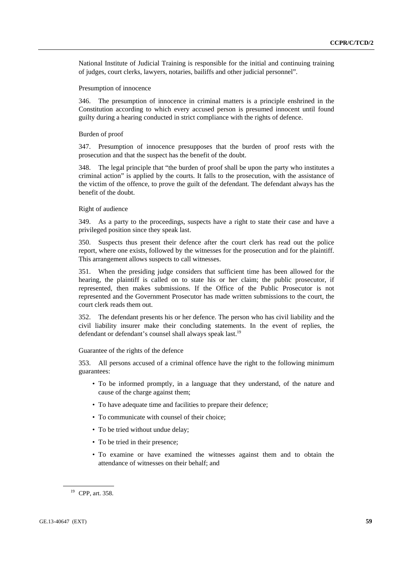National Institute of Judicial Training is responsible for the initial and continuing training of judges, court clerks, lawyers, notaries, bailiffs and other judicial personnel".

#### Presumption of innocence

346. The presumption of innocence in criminal matters is a principle enshrined in the Constitution according to which every accused person is presumed innocent until found guilty during a hearing conducted in strict compliance with the rights of defence.

### Burden of proof

347. Presumption of innocence presupposes that the burden of proof rests with the prosecution and that the suspect has the benefit of the doubt.

348. The legal principle that "the burden of proof shall be upon the party who institutes a criminal action" is applied by the courts. It falls to the prosecution, with the assistance of the victim of the offence, to prove the guilt of the defendant. The defendant always has the benefit of the doubt.

## Right of audience

349. As a party to the proceedings, suspects have a right to state their case and have a privileged position since they speak last.

350. Suspects thus present their defence after the court clerk has read out the police report, where one exists, followed by the witnesses for the prosecution and for the plaintiff. This arrangement allows suspects to call witnesses.

351. When the presiding judge considers that sufficient time has been allowed for the hearing, the plaintiff is called on to state his or her claim; the public prosecutor, if represented, then makes submissions. If the Office of the Public Prosecutor is not represented and the Government Prosecutor has made written submissions to the court, the court clerk reads them out.

352. The defendant presents his or her defence. The person who has civil liability and the civil liability insurer make their concluding statements. In the event of replies, the defendant or defendant's counsel shall always speak last.<sup>19</sup>

Guarantee of the rights of the defence

353. All persons accused of a criminal offence have the right to the following minimum guarantees:

- To be informed promptly, in a language that they understand, of the nature and cause of the charge against them;
- To have adequate time and facilities to prepare their defence;
- To communicate with counsel of their choice;
- To be tried without undue delay;
- To be tried in their presence;
- To examine or have examined the witnesses against them and to obtain the attendance of witnesses on their behalf; and

<sup>19</sup> CPP, art. 358.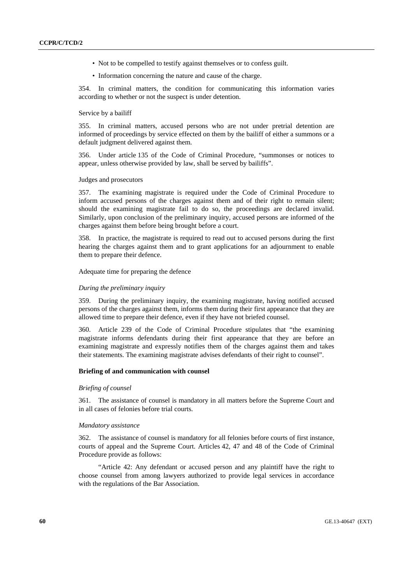- Not to be compelled to testify against themselves or to confess guilt.
- Information concerning the nature and cause of the charge.

354. In criminal matters, the condition for communicating this information varies according to whether or not the suspect is under detention.

### Service by a bailiff

355. In criminal matters, accused persons who are not under pretrial detention are informed of proceedings by service effected on them by the bailiff of either a summons or a default judgment delivered against them.

356. Under article 135 of the Code of Criminal Procedure, "summonses or notices to appear, unless otherwise provided by law, shall be served by bailiffs".

## Judges and prosecutors

357. The examining magistrate is required under the Code of Criminal Procedure to inform accused persons of the charges against them and of their right to remain silent; should the examining magistrate fail to do so, the proceedings are declared invalid. Similarly, upon conclusion of the preliminary inquiry, accused persons are informed of the charges against them before being brought before a court.

358. In practice, the magistrate is required to read out to accused persons during the first hearing the charges against them and to grant applications for an adjournment to enable them to prepare their defence.

Adequate time for preparing the defence

### *During the preliminary inquiry*

359. During the preliminary inquiry, the examining magistrate, having notified accused persons of the charges against them, informs them during their first appearance that they are allowed time to prepare their defence, even if they have not briefed counsel.

360. Article 239 of the Code of Criminal Procedure stipulates that "the examining magistrate informs defendants during their first appearance that they are before an examining magistrate and expressly notifies them of the charges against them and takes their statements. The examining magistrate advises defendants of their right to counsel".

#### **Briefing of and communication with counsel**

### *Briefing of counsel*

361. The assistance of counsel is mandatory in all matters before the Supreme Court and in all cases of felonies before trial courts.

#### *Mandatory assistance*

362. The assistance of counsel is mandatory for all felonies before courts of first instance, courts of appeal and the Supreme Court. Articles 42, 47 and 48 of the Code of Criminal Procedure provide as follows:

 "Article 42: Any defendant or accused person and any plaintiff have the right to choose counsel from among lawyers authorized to provide legal services in accordance with the regulations of the Bar Association.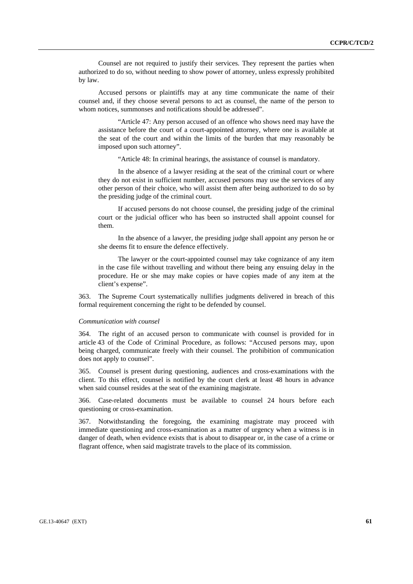Counsel are not required to justify their services. They represent the parties when authorized to do so, without needing to show power of attorney, unless expressly prohibited by law.

 Accused persons or plaintiffs may at any time communicate the name of their counsel and, if they choose several persons to act as counsel, the name of the person to whom notices, summonses and notifications should be addressed".

 "Article 47: Any person accused of an offence who shows need may have the assistance before the court of a court-appointed attorney, where one is available at the seat of the court and within the limits of the burden that may reasonably be imposed upon such attorney".

"Article 48: In criminal hearings, the assistance of counsel is mandatory.

 In the absence of a lawyer residing at the seat of the criminal court or where they do not exist in sufficient number, accused persons may use the services of any other person of their choice, who will assist them after being authorized to do so by the presiding judge of the criminal court.

 If accused persons do not choose counsel, the presiding judge of the criminal court or the judicial officer who has been so instructed shall appoint counsel for them.

 In the absence of a lawyer, the presiding judge shall appoint any person he or she deems fit to ensure the defence effectively.

 The lawyer or the court-appointed counsel may take cognizance of any item in the case file without travelling and without there being any ensuing delay in the procedure. He or she may make copies or have copies made of any item at the client's expense".

363. The Supreme Court systematically nullifies judgments delivered in breach of this formal requirement concerning the right to be defended by counsel.

#### *Communication with counsel*

364. The right of an accused person to communicate with counsel is provided for in article 43 of the Code of Criminal Procedure, as follows: "Accused persons may, upon being charged, communicate freely with their counsel. The prohibition of communication does not apply to counsel".

365. Counsel is present during questioning, audiences and cross-examinations with the client. To this effect, counsel is notified by the court clerk at least 48 hours in advance when said counsel resides at the seat of the examining magistrate.

366. Case-related documents must be available to counsel 24 hours before each questioning or cross-examination.

367. Notwithstanding the foregoing, the examining magistrate may proceed with immediate questioning and cross-examination as a matter of urgency when a witness is in danger of death, when evidence exists that is about to disappear or, in the case of a crime or flagrant offence, when said magistrate travels to the place of its commission.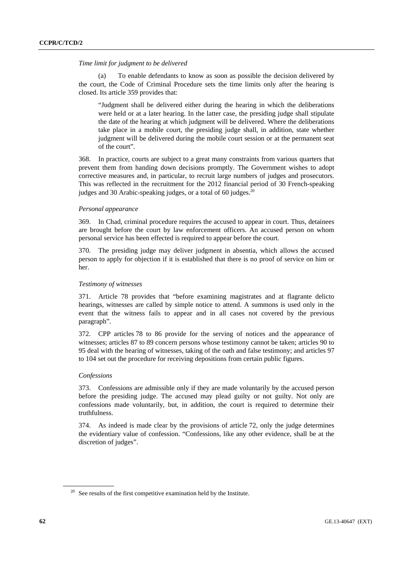#### *Time limit for judgment to be delivered*

To enable defendants to know as soon as possible the decision delivered by the court, the Code of Criminal Procedure sets the time limits only after the hearing is closed. Its article 359 provides that:

"Judgment shall be delivered either during the hearing in which the deliberations were held or at a later hearing. In the latter case, the presiding judge shall stipulate the date of the hearing at which judgment will be delivered. Where the deliberations take place in a mobile court, the presiding judge shall, in addition, state whether judgment will be delivered during the mobile court session or at the permanent seat of the court".

368. In practice, courts are subject to a great many constraints from various quarters that prevent them from handing down decisions promptly. The Government wishes to adopt corrective measures and, in particular, to recruit large numbers of judges and prosecutors. This was reflected in the recruitment for the 2012 financial period of 30 French-speaking judges and 30 Arabic-speaking judges, or a total of 60 judges.<sup>20</sup>

## *Personal appearance*

369. In Chad, criminal procedure requires the accused to appear in court. Thus, detainees are brought before the court by law enforcement officers. An accused person on whom personal service has been effected is required to appear before the court.

370. The presiding judge may deliver judgment in absentia, which allows the accused person to apply for objection if it is established that there is no proof of service on him or her.

## *Testimony of witnesses*

371. Article 78 provides that "before examining magistrates and at flagrante delicto hearings, witnesses are called by simple notice to attend. A summons is used only in the event that the witness fails to appear and in all cases not covered by the previous paragraph".

372. CPP articles 78 to 86 provide for the serving of notices and the appearance of witnesses; articles 87 to 89 concern persons whose testimony cannot be taken; articles 90 to 95 deal with the hearing of witnesses, taking of the oath and false testimony; and articles 97 to 104 set out the procedure for receiving depositions from certain public figures.

#### *Confessions*

373. Confessions are admissible only if they are made voluntarily by the accused person before the presiding judge. The accused may plead guilty or not guilty. Not only are confessions made voluntarily, but, in addition, the court is required to determine their truthfulness.

374. As indeed is made clear by the provisions of article 72, only the judge determines the evidentiary value of confession. "Confessions, like any other evidence, shall be at the discretion of judges".

 $20$  See results of the first competitive examination held by the Institute.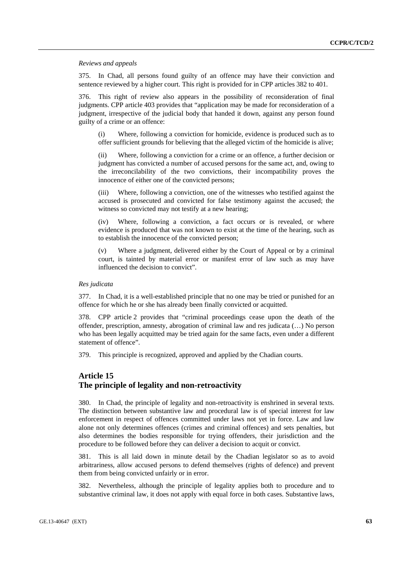*Reviews and appeals* 

375. In Chad, all persons found guilty of an offence may have their conviction and sentence reviewed by a higher court. This right is provided for in CPP articles 382 to 401.

376. This right of review also appears in the possibility of reconsideration of final judgments. CPP article 403 provides that "application may be made for reconsideration of a judgment, irrespective of the judicial body that handed it down, against any person found guilty of a crime or an offence:

 (i) Where, following a conviction for homicide, evidence is produced such as to offer sufficient grounds for believing that the alleged victim of the homicide is alive;

 (ii) Where, following a conviction for a crime or an offence, a further decision or judgment has convicted a number of accused persons for the same act, and, owing to the irreconcilability of the two convictions, their incompatibility proves the innocence of either one of the convicted persons;

 (iii) Where, following a conviction, one of the witnesses who testified against the accused is prosecuted and convicted for false testimony against the accused; the witness so convicted may not testify at a new hearing;

 (iv) Where, following a conviction, a fact occurs or is revealed, or where evidence is produced that was not known to exist at the time of the hearing, such as to establish the innocence of the convicted person;

 (v) Where a judgment, delivered either by the Court of Appeal or by a criminal court, is tainted by material error or manifest error of law such as may have influenced the decision to convict".

### *Res judicata*

377. In Chad, it is a well-established principle that no one may be tried or punished for an offence for which he or she has already been finally convicted or acquitted.

378. CPP article 2 provides that "criminal proceedings cease upon the death of the offender, prescription, amnesty, abrogation of criminal law and res judicata (…) No person who has been legally acquitted may be tried again for the same facts, even under a different statement of offence".

379. This principle is recognized, approved and applied by the Chadian courts.

# **Article 15 The principle of legality and non-retroactivity**

380. In Chad, the principle of legality and non-retroactivity is enshrined in several texts. The distinction between substantive law and procedural law is of special interest for law enforcement in respect of offences committed under laws not yet in force. Law and law alone not only determines offences (crimes and criminal offences) and sets penalties, but also determines the bodies responsible for trying offenders, their jurisdiction and the procedure to be followed before they can deliver a decision to acquit or convict.

381. This is all laid down in minute detail by the Chadian legislator so as to avoid arbitrariness, allow accused persons to defend themselves (rights of defence) and prevent them from being convicted unfairly or in error.

382. Nevertheless, although the principle of legality applies both to procedure and to substantive criminal law, it does not apply with equal force in both cases. Substantive laws,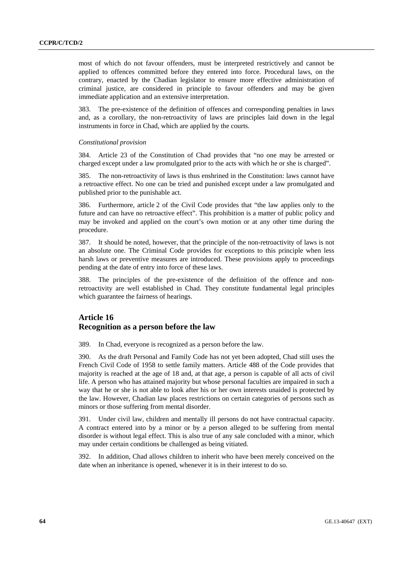most of which do not favour offenders, must be interpreted restrictively and cannot be applied to offences committed before they entered into force. Procedural laws, on the contrary, enacted by the Chadian legislator to ensure more effective administration of criminal justice, are considered in principle to favour offenders and may be given immediate application and an extensive interpretation.

383. The pre-existence of the definition of offences and corresponding penalties in laws and, as a corollary, the non-retroactivity of laws are principles laid down in the legal instruments in force in Chad, which are applied by the courts.

#### *Constitutional provision*

384. Article 23 of the Constitution of Chad provides that "no one may be arrested or charged except under a law promulgated prior to the acts with which he or she is charged".

385. The non-retroactivity of laws is thus enshrined in the Constitution: laws cannot have a retroactive effect. No one can be tried and punished except under a law promulgated and published prior to the punishable act.

386. Furthermore, article 2 of the Civil Code provides that "the law applies only to the future and can have no retroactive effect". This prohibition is a matter of public policy and may be invoked and applied on the court's own motion or at any other time during the procedure.

387. It should be noted, however, that the principle of the non-retroactivity of laws is not an absolute one. The Criminal Code provides for exceptions to this principle when less harsh laws or preventive measures are introduced. These provisions apply to proceedings pending at the date of entry into force of these laws.

388. The principles of the pre-existence of the definition of the offence and nonretroactivity are well established in Chad. They constitute fundamental legal principles which guarantee the fairness of hearings.

# **Article 16 Recognition as a person before the law**

389. In Chad, everyone is recognized as a person before the law.

390. As the draft Personal and Family Code has not yet been adopted, Chad still uses the French Civil Code of 1958 to settle family matters. Article 488 of the Code provides that majority is reached at the age of 18 and, at that age, a person is capable of all acts of civil life. A person who has attained majority but whose personal faculties are impaired in such a way that he or she is not able to look after his or her own interests unaided is protected by the law. However, Chadian law places restrictions on certain categories of persons such as minors or those suffering from mental disorder.

391. Under civil law, children and mentally ill persons do not have contractual capacity. A contract entered into by a minor or by a person alleged to be suffering from mental disorder is without legal effect. This is also true of any sale concluded with a minor, which may under certain conditions be challenged as being vitiated.

392. In addition, Chad allows children to inherit who have been merely conceived on the date when an inheritance is opened, whenever it is in their interest to do so.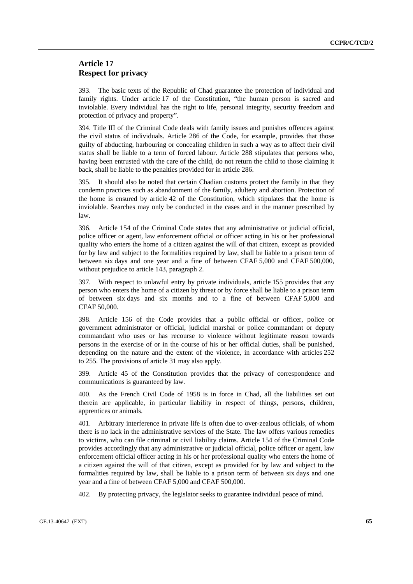# **Article 17 Respect for privacy**

393. The basic texts of the Republic of Chad guarantee the protection of individual and family rights. Under article 17 of the Constitution, "the human person is sacred and inviolable. Every individual has the right to life, personal integrity, security freedom and protection of privacy and property".

394. Title III of the Criminal Code deals with family issues and punishes offences against the civil status of individuals. Article 286 of the Code, for example, provides that those guilty of abducting, harbouring or concealing children in such a way as to affect their civil status shall be liable to a term of forced labour. Article 288 stipulates that persons who, having been entrusted with the care of the child, do not return the child to those claiming it back, shall be liable to the penalties provided for in article 286.

395. It should also be noted that certain Chadian customs protect the family in that they condemn practices such as abandonment of the family, adultery and abortion. Protection of the home is ensured by article 42 of the Constitution, which stipulates that the home is inviolable. Searches may only be conducted in the cases and in the manner prescribed by law.

396. Article 154 of the Criminal Code states that any administrative or judicial official, police officer or agent, law enforcement official or officer acting in his or her professional quality who enters the home of a citizen against the will of that citizen, except as provided for by law and subject to the formalities required by law, shall be liable to a prison term of between six days and one year and a fine of between CFAF 5,000 and CFAF 500,000, without prejudice to article 143, paragraph 2.

397. With respect to unlawful entry by private individuals, article 155 provides that any person who enters the home of a citizen by threat or by force shall be liable to a prison term of between six days and six months and to a fine of between CFAF 5,000 and CFAF 50,000.

398. Article 156 of the Code provides that a public official or officer, police or government administrator or official, judicial marshal or police commandant or deputy commandant who uses or has recourse to violence without legitimate reason towards persons in the exercise of or in the course of his or her official duties, shall be punished, depending on the nature and the extent of the violence, in accordance with articles 252 to 255. The provisions of article 31 may also apply.

399. Article 45 of the Constitution provides that the privacy of correspondence and communications is guaranteed by law.

400. As the French Civil Code of 1958 is in force in Chad, all the liabilities set out therein are applicable, in particular liability in respect of things, persons, children, apprentices or animals.

401. Arbitrary interference in private life is often due to over-zealous officials, of whom there is no lack in the administrative services of the State. The law offers various remedies to victims, who can file criminal or civil liability claims. Article 154 of the Criminal Code provides accordingly that any administrative or judicial official, police officer or agent, law enforcement official officer acting in his or her professional quality who enters the home of a citizen against the will of that citizen, except as provided for by law and subject to the formalities required by law, shall be liable to a prison term of between six days and one year and a fine of between CFAF 5,000 and CFAF 500,000.

402. By protecting privacy, the legislator seeks to guarantee individual peace of mind.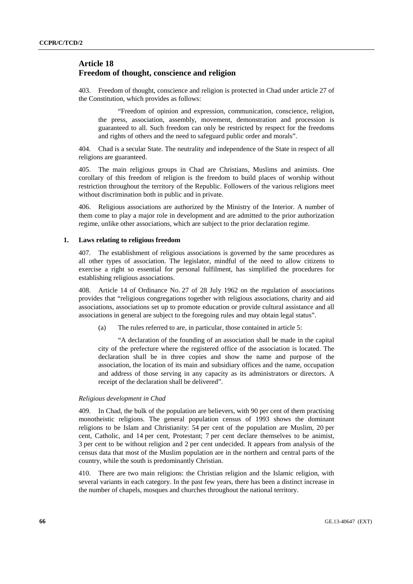# **Article 18 Freedom of thought, conscience and religion**

403. Freedom of thought, conscience and religion is protected in Chad under article 27 of the Constitution, which provides as follows:

 "Freedom of opinion and expression, communication, conscience, religion, the press, association, assembly, movement, demonstration and procession is guaranteed to all. Such freedom can only be restricted by respect for the freedoms and rights of others and the need to safeguard public order and morals".

404. Chad is a secular State. The neutrality and independence of the State in respect of all religions are guaranteed.

405. The main religious groups in Chad are Christians, Muslims and animists. One corollary of this freedom of religion is the freedom to build places of worship without restriction throughout the territory of the Republic. Followers of the various religions meet without discrimination both in public and in private.

406. Religious associations are authorized by the Ministry of the Interior. A number of them come to play a major role in development and are admitted to the prior authorization regime, unlike other associations, which are subject to the prior declaration regime.

# **1. Laws relating to religious freedom**

407. The establishment of religious associations is governed by the same procedures as all other types of association. The legislator, mindful of the need to allow citizens to exercise a right so essential for personal fulfilment, has simplified the procedures for establishing religious associations.

408. Article 14 of Ordinance No. 27 of 28 July 1962 on the regulation of associations provides that "religious congregations together with religious associations, charity and aid associations, associations set up to promote education or provide cultural assistance and all associations in general are subject to the foregoing rules and may obtain legal status".

(a) The rules referred to are, in particular, those contained in article 5:

 "A declaration of the founding of an association shall be made in the capital city of the prefecture where the registered office of the association is located. The declaration shall be in three copies and show the name and purpose of the association, the location of its main and subsidiary offices and the name, occupation and address of those serving in any capacity as its administrators or directors. A receipt of the declaration shall be delivered".

## *Religious development in Chad*

409. In Chad, the bulk of the population are believers, with 90 per cent of them practising monotheistic religions. The general population census of 1993 shows the dominant religions to be Islam and Christianity: 54 per cent of the population are Muslim, 20 per cent, Catholic, and 14 per cent, Protestant; 7 per cent declare themselves to be animist, 3 per cent to be without religion and 2 per cent undecided. It appears from analysis of the census data that most of the Muslim population are in the northern and central parts of the country, while the south is predominantly Christian.

410. There are two main religions: the Christian religion and the Islamic religion, with several variants in each category. In the past few years, there has been a distinct increase in the number of chapels, mosques and churches throughout the national territory.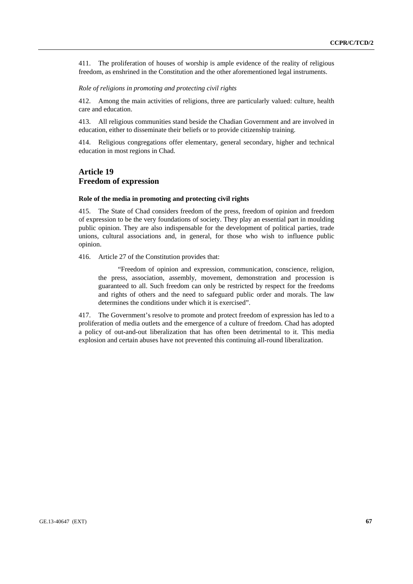411. The proliferation of houses of worship is ample evidence of the reality of religious freedom, as enshrined in the Constitution and the other aforementioned legal instruments.

## *Role of religions in promoting and protecting civil rights*

412. Among the main activities of religions, three are particularly valued: culture, health care and education.

413. All religious communities stand beside the Chadian Government and are involved in education, either to disseminate their beliefs or to provide citizenship training.

414. Religious congregations offer elementary, general secondary, higher and technical education in most regions in Chad.

# **Article 19 Freedom of expression**

#### **Role of the media in promoting and protecting civil rights**

415. The State of Chad considers freedom of the press, freedom of opinion and freedom of expression to be the very foundations of society. They play an essential part in moulding public opinion. They are also indispensable for the development of political parties, trade unions, cultural associations and, in general, for those who wish to influence public opinion.

416. Article 27 of the Constitution provides that:

 "Freedom of opinion and expression, communication, conscience, religion, the press, association, assembly, movement, demonstration and procession is guaranteed to all. Such freedom can only be restricted by respect for the freedoms and rights of others and the need to safeguard public order and morals. The law determines the conditions under which it is exercised".

417. The Government's resolve to promote and protect freedom of expression has led to a proliferation of media outlets and the emergence of a culture of freedom. Chad has adopted a policy of out-and-out liberalization that has often been detrimental to it. This media explosion and certain abuses have not prevented this continuing all-round liberalization.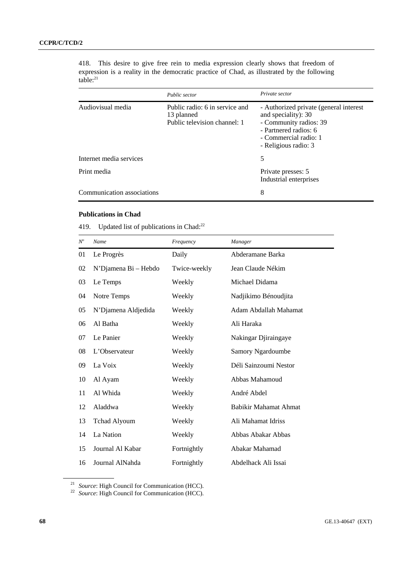418. This desire to give free rein to media expression clearly shows that freedom of expression is a reality in the democratic practice of Chad, as illustrated by the following  $table: <sup>21</sup>$ 

|                            | Public sector                                                                | Private sector                                                                                                                                                    |
|----------------------------|------------------------------------------------------------------------------|-------------------------------------------------------------------------------------------------------------------------------------------------------------------|
| Audiovisual media          | Public radio: 6 in service and<br>13 planned<br>Public television channel: 1 | - Authorized private (general interest<br>and speciality): 30<br>- Community radios: 39<br>- Partnered radios: 6<br>- Commercial radio: 1<br>- Religious radio: 3 |
| Internet media services    |                                                                              | 5                                                                                                                                                                 |
| Print media                |                                                                              | Private presses: 5<br>Industrial enterprises                                                                                                                      |
| Communication associations |                                                                              | 8                                                                                                                                                                 |

# **Publications in Chad**

419. Updated list of publications in Chad:<sup>22</sup>

| $N^o$ | Name                 | Frequency    | Manager               |
|-------|----------------------|--------------|-----------------------|
| 01    | Le Progrès           | Daily        | Abderamane Barka      |
| 02    | N'Djamena Bi - Hebdo | Twice-weekly | Jean Claude Nékim     |
| 03    | Le Temps             | Weekly       | Michael Didama        |
| 04    | Notre Temps          | Weekly       | Nadjikimo Bénoudjita  |
| 05    | N'Djamena Aldjedida  | Weekly       | Adam Abdallah Mahamat |
| 06    | Al Batha             | Weekly       | Ali Haraka            |
| 07    | Le Panier            | Weekly       | Nakingar Djiraingaye  |
| 08    | L'Observateur        | Weekly       | Samory Ngardoumbe     |
| 09    | La Voix              | Weekly       | Déli Sainzoumi Nestor |
| 10    | Al Ayam              | Weekly       | Abbas Mahamoud        |
| 11    | Al Whida             | Weekly       | André Abdel           |
| 12    | Aladdwa              | Weekly       | Babikir Mahamat Ahmat |
| 13    | <b>Tchad Alyoum</b>  | Weekly       | Ali Mahamat Idriss    |
| 14    | La Nation            | Weekly       | Abbas Abakar Abbas    |
| 15    | Journal Al Kabar     | Fortnightly  | Abakar Mahamad        |
| 16    | Journal AlNahda      | Fortnightly  | Abdelhack Ali Issai   |

<sup>21</sup>*Source*: High Council for Communication (HCC). 22 *Source*: High Council for Communication (HCC).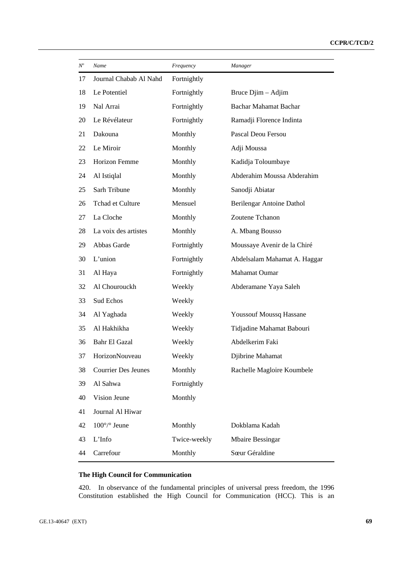| $N^o$ | Name                         | Frequency    | Manager                        |
|-------|------------------------------|--------------|--------------------------------|
| 17    | Journal Chabab Al Nahd       | Fortnightly  |                                |
| 18    | Le Potentiel                 | Fortnightly  | Bruce Djim - Adjim             |
| 19    | Nal Arrai                    | Fortnightly  | Bachar Mahamat Bachar          |
| 20    | Le Révélateur                | Fortnightly  | Ramadji Florence Indinta       |
| 21    | Dakouna                      | Monthly      | Pascal Deou Fersou             |
| 22    | Le Miroir                    | Monthly      | Adji Moussa                    |
| 23    | Horizon Femme                | Monthly      | Kadidja Toloumbaye             |
| 24    | Al Istiqlal                  | Monthly      | Abderahim Moussa Abderahim     |
| 25    | Sarh Tribune                 | Monthly      | Sanodji Abiatar                |
| 26    | Tchad et Culture             | Mensuel      | Berilengar Antoine Dathol      |
| 27    | La Cloche                    | Monthly      | Zoutene Tchanon                |
| 28    | La voix des artistes         | Monthly      | A. Mbang Bousso                |
| 29    | Abbas Garde                  | Fortnightly  | Moussaye Avenir de la Chiré    |
| 30    | L'union                      | Fortnightly  | Abdelsalam Mahamat A. Haggar   |
| 31    | Al Haya                      | Fortnightly  | Mahamat Oumar                  |
| 32    | Al Chourouckh                | Weekly       | Abderamane Yaya Saleh          |
| 33    | Sud Echos                    | Weekly       |                                |
| 34    | Al Yaghada                   | Weekly       | <b>Youssouf Moussq Hassane</b> |
| 35    | Al Hakhikha                  | Weekly       | Tidjadine Mahamat Babouri      |
| 36    | Bahr El Gazal                | Weekly       | Abdelkerim Faki                |
| 37    | HorizonNouveau               | Weekly       | Djibrine Mahamat               |
| 38    | <b>Courrier Des Jeunes</b>   | Monthly      | Rachelle Magloire Koumbele     |
| 39    | Al Sahwa                     | Fortnightly  |                                |
| 40    | Vision Jeune                 | Monthly      |                                |
| 41    | Journal Al Hiwar             |              |                                |
| 42    | $100^{\circ}/^{\circ}$ Jeune | Monthly      | Dokblama Kadah                 |
| 43    | L'Info                       | Twice-weekly | <b>Mbaire Bessingar</b>        |
| 44    | Carrefour                    | Monthly      | Sœur Géraldine                 |

# **The High Council for Communication**

420. In observance of the fundamental principles of universal press freedom, the 1996 Constitution established the High Council for Communication (HCC). This is an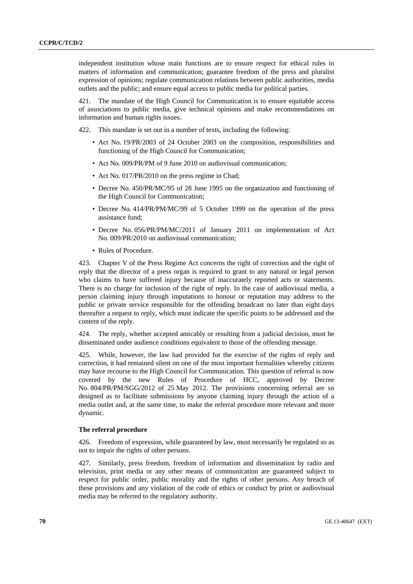independent institution whose main functions are to ensure respect for ethical rules in matters of information and communication; guarantee freedom of the press and pluralist expression of opinions; regulate communication relations between public authorities, media outlets and the public; and ensure equal access to public media for political parties.

421. The mandate of the High Council for Communication is to ensure equitable access of associations to public media, give technical opinions and make recommendations on information and human rights issues.

422. This mandate is set out in a number of texts, including the following:

- Act No. 19/PR/2003 of 24 October 2003 on the composition, responsibilities and functioning of the High Council for Communication;
- Act No. 009/PR/PM of 9 June 2010 on audiovisual communication;
- Act No. 017/PR/2010 on the press regime in Chad;
- Decree No. 450/PR/MC/95 of 28 June 1995 on the organization and functioning of the High Council for Communication;
- Decree No. 414/PR/PM/MC/99 of 5 October 1999 on the operation of the press assistance fund;
- Decree No. 056/PR/PM/MC/2011 of January 2011 on implementation of Act No. 009/PR/2010 on audiovisual communication;
- Rules of Procedure.

423. Chapter V of the Press Regime Act concerns the right of correction and the right of reply that the director of a press organ is required to grant to any natural or legal person who claims to have suffered injury because of inaccurately reported acts or statements. There is no charge for inclusion of the right of reply. In the case of audiovisual media, a person claiming injury through imputations to honour or reputation may address to the public or private service responsible for the offending broadcast no later than eight days thereafter a request to reply, which must indicate the specific points to be addressed and the content of the reply.

424. The reply, whether accepted amicably or resulting from a judicial decision, must be disseminated under audience conditions equivalent to those of the offending message.

425. While, however, the law had provided for the exercise of the rights of reply and correction, it had remained silent on one of the most important formalities whereby citizens may have recourse to the High Council for Communication. This question of referral is now covered by the new Rules of Procedure of HCC, approved by Decree No. 804/PR/PM/SGG/2012 of 25 May 2012. The provisions concerning referral are so designed as to facilitate submissions by anyone claiming injury through the action of a media outlet and, at the same time, to make the referral procedure more relevant and more dynamic.

# **The referral procedure**

426. Freedom of expression, while guaranteed by law, must necessarily be regulated so as not to impair the rights of other persons.

427. Similarly, press freedom, freedom of information and dissemination by radio and television, print media or any other means of communication are guaranteed subject to respect for public order, public morality and the rights of other persons. Any breach of these provisions and any violation of the code of ethics or conduct by print or audiovisual media may be referred to the regulatory authority.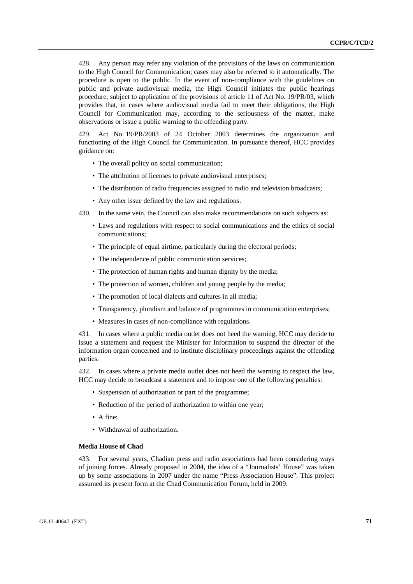428. Any person may refer any violation of the provisions of the laws on communication to the High Council for Communication; cases may also be referred to it automatically. The procedure is open to the public. In the event of non-compliance with the guidelines on public and private audiovisual media, the High Council initiates the public hearings procedure, subject to application of the provisions of article 11 of Act No. 19/PR/03, which provides that, in cases where audiovisual media fail to meet their obligations, the High Council for Communication may, according to the seriousness of the matter, make observations or issue a public warning to the offending party.

429. Act No. 19/PR/2003 of 24 October 2003 determines the organization and functioning of the High Council for Communication. In pursuance thereof, HCC provides guidance on:

- The overall policy on social communication;
- The attribution of licenses to private audiovisual enterprises;
- The distribution of radio frequencies assigned to radio and television broadcasts;
- Any other issue defined by the law and regulations.
- 430. In the same vein, the Council can also make recommendations on such subjects as:
	- Laws and regulations with respect to social communications and the ethics of social communications;
	- The principle of equal airtime, particularly during the electoral periods;
	- The independence of public communication services;
	- The protection of human rights and human dignity by the media;
	- The protection of women, children and young people by the media;
	- The promotion of local dialects and cultures in all media;
	- Transparency, pluralism and balance of programmes in communication enterprises;
	- Measures in cases of non-compliance with regulations.

431. In cases where a public media outlet does not heed the warning, HCC may decide to issue a statement and request the Minister for Information to suspend the director of the information organ concerned and to institute disciplinary proceedings against the offending parties.

432. In cases where a private media outlet does not heed the warning to respect the law, HCC may decide to broadcast a statement and to impose one of the following penalties:

- Suspension of authorization or part of the programme;
- Reduction of the period of authorization to within one year;
- A fine;
- Withdrawal of authorization.

## **Media House of Chad**

433. For several years, Chadian press and radio associations had been considering ways of joining forces. Already proposed in 2004, the idea of a "Journalists' House" was taken up by some associations in 2007 under the name "Press Association House". This project assumed its present form at the Chad Communication Forum, held in 2009.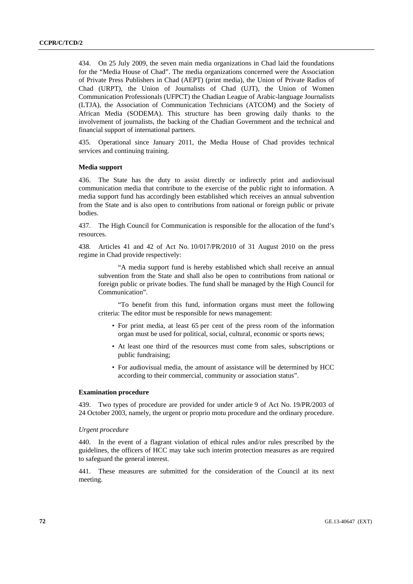434. On 25 July 2009, the seven main media organizations in Chad laid the foundations for the "Media House of Chad". The media organizations concerned were the Association of Private Press Publishers in Chad (AEPT) (print media), the Union of Private Radios of Chad (URPT), the Union of Journalists of Chad (UJT), the Union of Women Communication Professionals (UFPCT) the Chadian League of Arabic-language Journalists (LTJA), the Association of Communication Technicians (ATCOM) and the Society of African Media (SODEMA). This structure has been growing daily thanks to the involvement of journalists, the backing of the Chadian Government and the technical and financial support of international partners.

435. Operational since January 2011, the Media House of Chad provides technical services and continuing training.

## **Media support**

436. The State has the duty to assist directly or indirectly print and audiovisual communication media that contribute to the exercise of the public right to information. A media support fund has accordingly been established which receives an annual subvention from the State and is also open to contributions from national or foreign public or private bodies.

437. The High Council for Communication is responsible for the allocation of the fund's resources.

438. Articles 41 and 42 of Act No. 10/017/PR/2010 of 31 August 2010 on the press regime in Chad provide respectively:

 "A media support fund is hereby established which shall receive an annual subvention from the State and shall also be open to contributions from national or foreign public or private bodies. The fund shall be managed by the High Council for Communication".

 "To benefit from this fund, information organs must meet the following criteria: The editor must be responsible for news management:

- For print media, at least 65 per cent of the press room of the information organ must be used for political, social, cultural, economic or sports news;
- At least one third of the resources must come from sales, subscriptions or public fundraising;
- For audiovisual media, the amount of assistance will be determined by HCC according to their commercial, community or association status".

## **Examination procedure**

439. Two types of procedure are provided for under article 9 of Act No. 19/PR/2003 of 24 October 2003, namely, the urgent or proprio motu procedure and the ordinary procedure.

### *Urgent procedure*

440. In the event of a flagrant violation of ethical rules and/or rules prescribed by the guidelines, the officers of HCC may take such interim protection measures as are required to safeguard the general interest.

441. These measures are submitted for the consideration of the Council at its next meeting.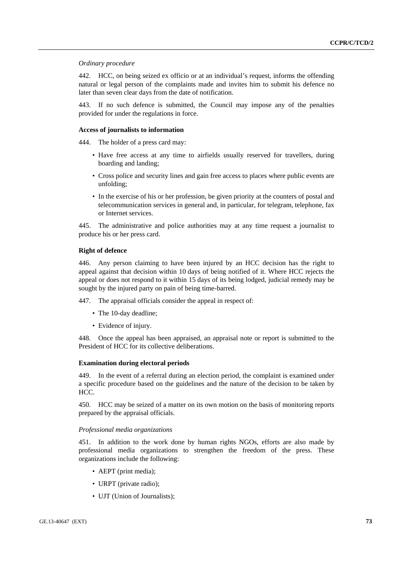## *Ordinary procedure*

442. HCC, on being seized ex officio or at an individual's request, informs the offending natural or legal person of the complaints made and invites him to submit his defence no later than seven clear days from the date of notification.

443. If no such defence is submitted, the Council may impose any of the penalties provided for under the regulations in force.

#### **Access of journalists to information**

444. The holder of a press card may:

- Have free access at any time to airfields usually reserved for travellers, during boarding and landing;
- Cross police and security lines and gain free access to places where public events are unfolding;
- In the exercise of his or her profession, be given priority at the counters of postal and telecommunication services in general and, in particular, for telegram, telephone, fax or Internet services.

445. The administrative and police authorities may at any time request a journalist to produce his or her press card.

#### **Right of defence**

446. Any person claiming to have been injured by an HCC decision has the right to appeal against that decision within 10 days of being notified of it. Where HCC rejects the appeal or does not respond to it within 15 days of its being lodged, judicial remedy may be sought by the injured party on pain of being time-barred.

447. The appraisal officials consider the appeal in respect of:

- The 10-day deadline;
- Evidence of injury.

448. Once the appeal has been appraised, an appraisal note or report is submitted to the President of HCC for its collective deliberations.

#### **Examination during electoral periods**

449. In the event of a referral during an election period, the complaint is examined under a specific procedure based on the guidelines and the nature of the decision to be taken by HCC.

450. HCC may be seized of a matter on its own motion on the basis of monitoring reports prepared by the appraisal officials.

### *Professional media organizations*

451. In addition to the work done by human rights NGOs, efforts are also made by professional media organizations to strengthen the freedom of the press. These organizations include the following:

- AEPT (print media);
- URPT (private radio);
- UJT (Union of Journalists);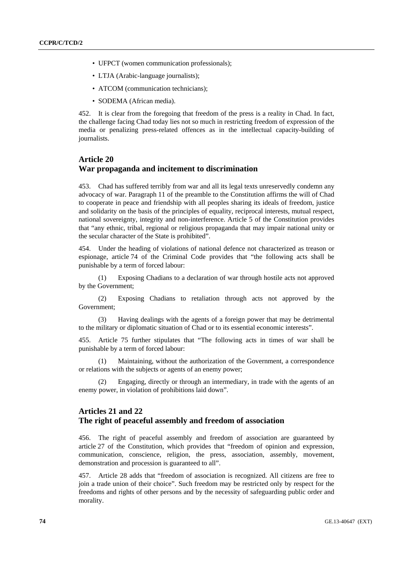- UFPCT (women communication professionals);
- LTJA (Arabic-language journalists):
- ATCOM (communication technicians):
- SODEMA (African media).

452. It is clear from the foregoing that freedom of the press is a reality in Chad. In fact, the challenge facing Chad today lies not so much in restricting freedom of expression of the media or penalizing press-related offences as in the intellectual capacity-building of journalists.

# **Article 20 War propaganda and incitement to discrimination**

453. Chad has suffered terribly from war and all its legal texts unreservedly condemn any advocacy of war. Paragraph 11 of the preamble to the Constitution affirms the will of Chad to cooperate in peace and friendship with all peoples sharing its ideals of freedom, justice and solidarity on the basis of the principles of equality, reciprocal interests, mutual respect, national sovereignty, integrity and non-interference. Article 5 of the Constitution provides that "any ethnic, tribal, regional or religious propaganda that may impair national unity or the secular character of the State is prohibited".

454. Under the heading of violations of national defence not characterized as treason or espionage, article 74 of the Criminal Code provides that "the following acts shall be punishable by a term of forced labour:

 (1) Exposing Chadians to a declaration of war through hostile acts not approved by the Government;

 (2) Exposing Chadians to retaliation through acts not approved by the Government;

 (3) Having dealings with the agents of a foreign power that may be detrimental to the military or diplomatic situation of Chad or to its essential economic interests".

455. Article 75 further stipulates that "The following acts in times of war shall be punishable by a term of forced labour:

 (1) Maintaining, without the authorization of the Government, a correspondence or relations with the subjects or agents of an enemy power;

 (2) Engaging, directly or through an intermediary, in trade with the agents of an enemy power, in violation of prohibitions laid down".

# **Articles 21 and 22 The right of peaceful assembly and freedom of association**

456. The right of peaceful assembly and freedom of association are guaranteed by article 27 of the Constitution, which provides that "freedom of opinion and expression, communication, conscience, religion, the press, association, assembly, movement, demonstration and procession is guaranteed to all".

457. Article 28 adds that "freedom of association is recognized. All citizens are free to join a trade union of their choice". Such freedom may be restricted only by respect for the freedoms and rights of other persons and by the necessity of safeguarding public order and morality.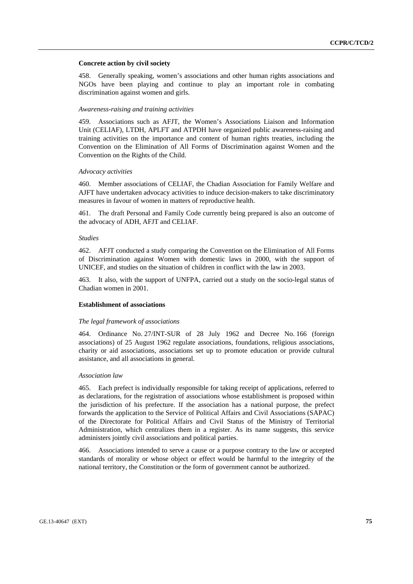### **Concrete action by civil society**

458. Generally speaking, women's associations and other human rights associations and NGOs have been playing and continue to play an important role in combating discrimination against women and girls.

### *Awareness-raising and training activities*

459. Associations such as AFJT, the Women's Associations Liaison and Information Unit (CELIAF), LTDH, APLFT and ATPDH have organized public awareness-raising and training activities on the importance and content of human rights treaties, including the Convention on the Elimination of All Forms of Discrimination against Women and the Convention on the Rights of the Child.

### *Advocacy activities*

460. Member associations of CELIAF, the Chadian Association for Family Welfare and AJFT have undertaken advocacy activities to induce decision-makers to take discriminatory measures in favour of women in matters of reproductive health.

461. The draft Personal and Family Code currently being prepared is also an outcome of the advocacy of ADH, AFJT and CELIAF.

#### *Studies*

462. AFJT conducted a study comparing the Convention on the Elimination of All Forms of Discrimination against Women with domestic laws in 2000, with the support of UNICEF, and studies on the situation of children in conflict with the law in 2003.

463. It also, with the support of UNFPA, carried out a study on the socio-legal status of Chadian women in 2001.

## **Establishment of associations**

#### *The legal framework of associations*

464. Ordinance No. 27/INT-SUR of 28 July 1962 and Decree No. 166 (foreign associations) of 25 August 1962 regulate associations, foundations, religious associations, charity or aid associations, associations set up to promote education or provide cultural assistance, and all associations in general.

#### *Association law*

465. Each prefect is individually responsible for taking receipt of applications, referred to as declarations, for the registration of associations whose establishment is proposed within the jurisdiction of his prefecture. If the association has a national purpose, the prefect forwards the application to the Service of Political Affairs and Civil Associations (SAPAC) of the Directorate for Political Affairs and Civil Status of the Ministry of Territorial Administration, which centralizes them in a register. As its name suggests, this service administers jointly civil associations and political parties.

466. Associations intended to serve a cause or a purpose contrary to the law or accepted standards of morality or whose object or effect would be harmful to the integrity of the national territory, the Constitution or the form of government cannot be authorized.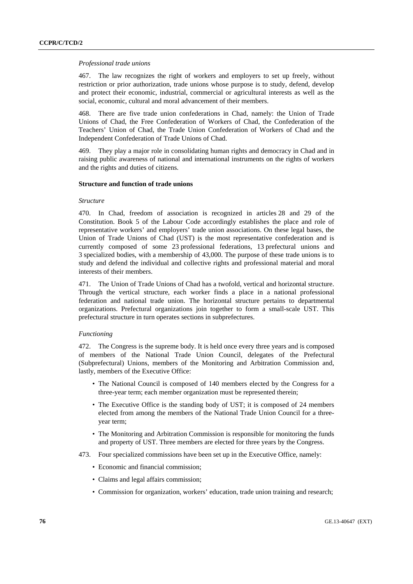### *Professional trade unions*

467. The law recognizes the right of workers and employers to set up freely, without restriction or prior authorization, trade unions whose purpose is to study, defend, develop and protect their economic, industrial, commercial or agricultural interests as well as the social, economic, cultural and moral advancement of their members.

468. There are five trade union confederations in Chad, namely: the Union of Trade Unions of Chad, the Free Confederation of Workers of Chad, the Confederation of the Teachers' Union of Chad, the Trade Union Confederation of Workers of Chad and the Independent Confederation of Trade Unions of Chad.

469. They play a major role in consolidating human rights and democracy in Chad and in raising public awareness of national and international instruments on the rights of workers and the rights and duties of citizens.

# **Structure and function of trade unions**

# *Structure*

470. In Chad, freedom of association is recognized in articles 28 and 29 of the Constitution. Book 5 of the Labour Code accordingly establishes the place and role of representative workers' and employers' trade union associations. On these legal bases, the Union of Trade Unions of Chad (UST) is the most representative confederation and is currently composed of some 23 professional federations, 13 prefectural unions and 3 specialized bodies, with a membership of 43,000. The purpose of these trade unions is to study and defend the individual and collective rights and professional material and moral interests of their members.

471. The Union of Trade Unions of Chad has a twofold, vertical and horizontal structure. Through the vertical structure, each worker finds a place in a national professional federation and national trade union. The horizontal structure pertains to departmental organizations. Prefectural organizations join together to form a small-scale UST. This prefectural structure in turn operates sections in subprefectures.

# *Functioning*

472. The Congress is the supreme body. It is held once every three years and is composed of members of the National Trade Union Council, delegates of the Prefectural (Subprefectural) Unions, members of the Monitoring and Arbitration Commission and, lastly, members of the Executive Office:

- The National Council is composed of 140 members elected by the Congress for a three-year term; each member organization must be represented therein;
- The Executive Office is the standing body of UST; it is composed of 24 members elected from among the members of the National Trade Union Council for a threeyear term;
- The Monitoring and Arbitration Commission is responsible for monitoring the funds and property of UST. Three members are elected for three years by the Congress.
- 473. Four specialized commissions have been set up in the Executive Office, namely:
	- Economic and financial commission;
	- Claims and legal affairs commission;
	- Commission for organization, workers' education, trade union training and research;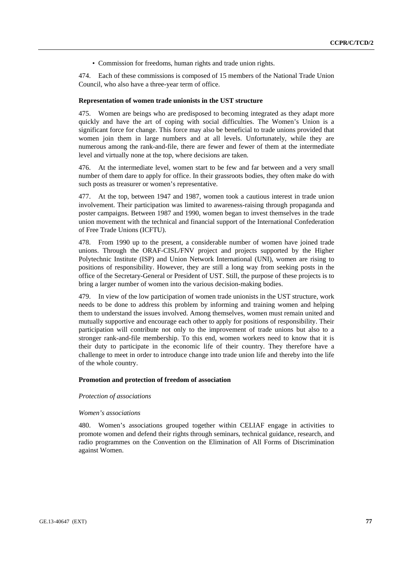• Commission for freedoms, human rights and trade union rights.

474. Each of these commissions is composed of 15 members of the National Trade Union Council, who also have a three-year term of office.

#### **Representation of women trade unionists in the UST structure**

475. Women are beings who are predisposed to becoming integrated as they adapt more quickly and have the art of coping with social difficulties. The Women's Union is a significant force for change. This force may also be beneficial to trade unions provided that women join them in large numbers and at all levels. Unfortunately, while they are numerous among the rank-and-file, there are fewer and fewer of them at the intermediate level and virtually none at the top, where decisions are taken.

476. At the intermediate level, women start to be few and far between and a very small number of them dare to apply for office. In their grassroots bodies, they often make do with such posts as treasurer or women's representative.

477. At the top, between 1947 and 1987, women took a cautious interest in trade union involvement. Their participation was limited to awareness-raising through propaganda and poster campaigns. Between 1987 and 1990, women began to invest themselves in the trade union movement with the technical and financial support of the International Confederation of Free Trade Unions (ICFTU).

478. From 1990 up to the present, a considerable number of women have joined trade unions. Through the ORAF-CISL/FNV project and projects supported by the Higher Polytechnic Institute (ISP) and Union Network International (UNI), women are rising to positions of responsibility. However, they are still a long way from seeking posts in the office of the Secretary-General or President of UST. Still, the purpose of these projects is to bring a larger number of women into the various decision-making bodies.

479. In view of the low participation of women trade unionists in the UST structure, work needs to be done to address this problem by informing and training women and helping them to understand the issues involved. Among themselves, women must remain united and mutually supportive and encourage each other to apply for positions of responsibility. Their participation will contribute not only to the improvement of trade unions but also to a stronger rank-and-file membership. To this end, women workers need to know that it is their duty to participate in the economic life of their country. They therefore have a challenge to meet in order to introduce change into trade union life and thereby into the life of the whole country.

## **Promotion and protection of freedom of association**

### *Protection of associations*

# *Women's associations*

480. Women's associations grouped together within CELIAF engage in activities to promote women and defend their rights through seminars, technical guidance, research, and radio programmes on the Convention on the Elimination of All Forms of Discrimination against Women.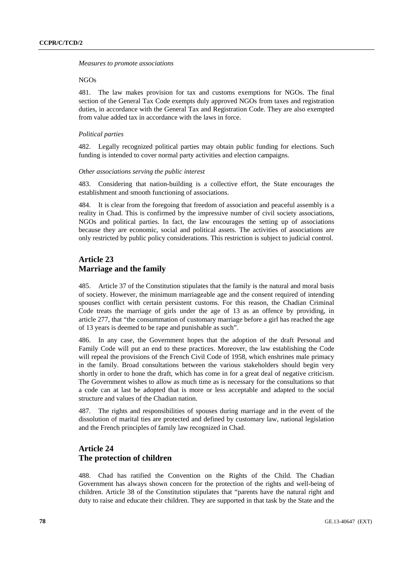#### *Measures to promote associations*

# NGOs

481. The law makes provision for tax and customs exemptions for NGOs. The final section of the General Tax Code exempts duly approved NGOs from taxes and registration duties, in accordance with the General Tax and Registration Code. They are also exempted from value added tax in accordance with the laws in force.

#### *Political parties*

482. Legally recognized political parties may obtain public funding for elections. Such funding is intended to cover normal party activities and election campaigns.

## *Other associations serving the public interest*

483. Considering that nation-building is a collective effort, the State encourages the establishment and smooth functioning of associations.

484. It is clear from the foregoing that freedom of association and peaceful assembly is a reality in Chad. This is confirmed by the impressive number of civil society associations, NGOs and political parties. In fact, the law encourages the setting up of associations because they are economic, social and political assets. The activities of associations are only restricted by public policy considerations. This restriction is subject to judicial control.

# **Article 23 Marriage and the family**

485. Article 37 of the Constitution stipulates that the family is the natural and moral basis of society. However, the minimum marriageable age and the consent required of intending spouses conflict with certain persistent customs. For this reason, the Chadian Criminal Code treats the marriage of girls under the age of 13 as an offence by providing, in article 277, that "the consummation of customary marriage before a girl has reached the age of 13 years is deemed to be rape and punishable as such".

486. In any case, the Government hopes that the adoption of the draft Personal and Family Code will put an end to these practices. Moreover, the law establishing the Code will repeal the provisions of the French Civil Code of 1958, which enshrines male primacy in the family. Broad consultations between the various stakeholders should begin very shortly in order to hone the draft, which has come in for a great deal of negative criticism. The Government wishes to allow as much time as is necessary for the consultations so that a code can at last be adopted that is more or less acceptable and adapted to the social structure and values of the Chadian nation.

487. The rights and responsibilities of spouses during marriage and in the event of the dissolution of marital ties are protected and defined by customary law, national legislation and the French principles of family law recognized in Chad.

# **Article 24 The protection of children**

488. Chad has ratified the Convention on the Rights of the Child. The Chadian Government has always shown concern for the protection of the rights and well-being of children. Article 38 of the Constitution stipulates that "parents have the natural right and duty to raise and educate their children. They are supported in that task by the State and the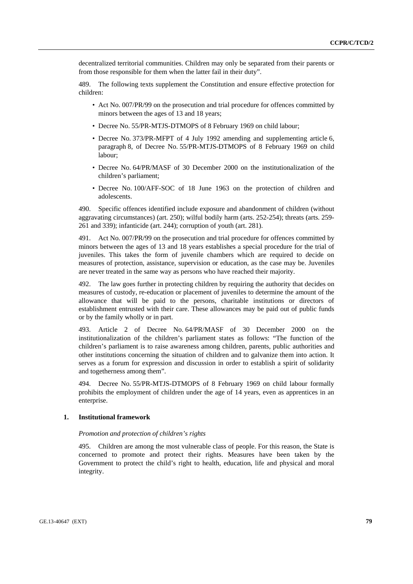decentralized territorial communities. Children may only be separated from their parents or from those responsible for them when the latter fail in their duty".

489. The following texts supplement the Constitution and ensure effective protection for children:

- Act No. 007/PR/99 on the prosecution and trial procedure for offences committed by minors between the ages of 13 and 18 years;
- Decree No. 55/PR-MTJS-DTMOPS of 8 February 1969 on child labour;
- Decree No. 373/PR-MFPT of 4 July 1992 amending and supplementing article 6, paragraph 8, of Decree No. 55/PR-MTJS-DTMOPS of 8 February 1969 on child labour;
- Decree No. 64/PR/MASF of 30 December 2000 on the institutionalization of the children's parliament;
- Decree No. 100/AFF-SOC of 18 June 1963 on the protection of children and adolescents.

490. Specific offences identified include exposure and abandonment of children (without aggravating circumstances) (art. 250); wilful bodily harm (arts. 252-254); threats (arts. 259- 261 and 339); infanticide (art. 244); corruption of youth (art. 281).

491. Act No. 007/PR/99 on the prosecution and trial procedure for offences committed by minors between the ages of 13 and 18 years establishes a special procedure for the trial of juveniles. This takes the form of juvenile chambers which are required to decide on measures of protection, assistance, supervision or education, as the case may be. Juveniles are never treated in the same way as persons who have reached their majority.

492. The law goes further in protecting children by requiring the authority that decides on measures of custody, re-education or placement of juveniles to determine the amount of the allowance that will be paid to the persons, charitable institutions or directors of establishment entrusted with their care. These allowances may be paid out of public funds or by the family wholly or in part.

493. Article 2 of Decree No. 64/PR/MASF of 30 December 2000 on the institutionalization of the children's parliament states as follows: "The function of the children's parliament is to raise awareness among children, parents, public authorities and other institutions concerning the situation of children and to galvanize them into action. It serves as a forum for expression and discussion in order to establish a spirit of solidarity and togetherness among them".

494. Decree No. 55/PR-MTJS-DTMOPS of 8 February 1969 on child labour formally prohibits the employment of children under the age of 14 years, even as apprentices in an enterprise.

# **1. Institutional framework**

### *Promotion and protection of children's rights*

495. Children are among the most vulnerable class of people. For this reason, the State is concerned to promote and protect their rights. Measures have been taken by the Government to protect the child's right to health, education, life and physical and moral integrity.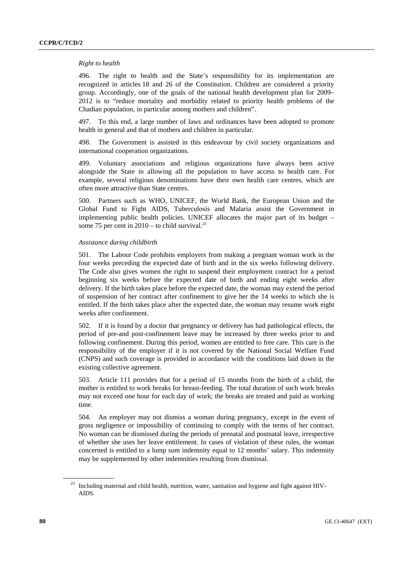## *Right to health*

496. The right to health and the State's responsibility for its implementation are recognized in articles 18 and 26 of the Constitution. Children are considered a priority group. Accordingly, one of the goals of the national health development plan for 2009– 2012 is to "reduce mortality and morbidity related to priority health problems of the Chadian population, in particular among mothers and children".

497. To this end, a large number of laws and ordinances have been adopted to promote health in general and that of mothers and children in particular.

498. The Government is assisted in this endeavour by civil society organizations and international cooperation organizations.

499. Voluntary associations and religious organizations have always been active alongside the State in allowing all the population to have access to health care. For example, several religious denominations have their own health care centres, which are often more attractive than State centres.

500. Partners such as WHO, UNICEF, the World Bank, the European Union and the Global Fund to Fight AIDS, Tuberculosis and Malaria assist the Government in implementing public health policies. UNICEF allocates the major part of its budget – some 75 per cent in  $2010 -$  to child survival.<sup>23</sup>

## *Assistance during childbirth*

501. The Labour Code prohibits employers from making a pregnant woman work in the four weeks preceding the expected date of birth and in the six weeks following delivery. The Code also gives women the right to suspend their employment contract for a period beginning six weeks before the expected date of birth and ending eight weeks after delivery. If the birth takes place before the expected date, the woman may extend the period of suspension of her contract after confinement to give her the 14 weeks to which she is entitled. If the birth takes place after the expected date, the woman may resume work eight weeks after confinement.

502. If it is found by a doctor that pregnancy or delivery has had pathological effects, the period of pre-and post-confinement leave may be increased by three weeks prior to and following confinement. During this period, women are entitled to free care. This care is the responsibility of the employer if it is not covered by the National Social Welfare Fund (CNPS) and such coverage is provided in accordance with the conditions laid down in the existing collective agreement.

503. Article 111 provides that for a period of 15 months from the birth of a child, the mother is entitled to work breaks for breast-feeding. The total duration of such work breaks may not exceed one hour for each day of work; the breaks are treated and paid as working time.

504. An employer may not dismiss a woman during pregnancy, except in the event of gross negligence or impossibility of continuing to comply with the terms of her contract. No woman can be dismissed during the periods of prenatal and postnatal leave, irrespective of whether she uses her leave entitlement. In cases of violation of these rules, the woman concerned is entitled to a lump sum indemnity equal to 12 months' salary. This indemnity may be supplemented by other indemnities resulting from dismissal.

<sup>&</sup>lt;sup>23</sup> Including maternal and child health, nutrition, water, sanitation and hygiene and fight against HIV-AIDS.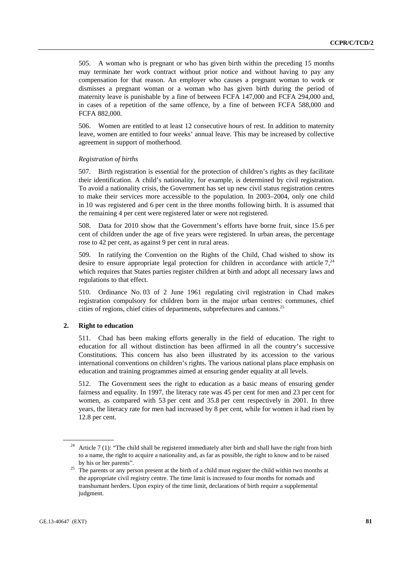505. A woman who is pregnant or who has given birth within the preceding 15 months may terminate her work contract without prior notice and without having to pay any compensation for that reason. An employer who causes a pregnant woman to work or dismisses a pregnant woman or a woman who has given birth during the period of maternity leave is punishable by a fine of between FCFA 147,000 and FCFA 294,000 and, in cases of a repetition of the same offence, by a fine of between FCFA 588,000 and FCFA 882,000.

506. Women are entitled to at least 12 consecutive hours of rest. In addition to maternity leave, women are entitled to four weeks' annual leave. This may be increased by collective agreement in support of motherhood.

### *Registration of births*

507. Birth registration is essential for the protection of children's rights as they facilitate their identification. A child's nationality, for example, is determined by civil registration. To avoid a nationality crisis, the Government has set up new civil status registration centres to make their services more accessible to the population. In 2003–2004, only one child in 10 was registered and 6 per cent in the three months following birth. It is assumed that the remaining 4 per cent were registered later or were not registered.

508. Data for 2010 show that the Government's efforts have borne fruit, since 15.6 per cent of children under the age of five years were registered. In urban areas, the percentage rose to 42 per cent, as against 9 per cent in rural areas.

509. In ratifying the Convention on the Rights of the Child, Chad wished to show its desire to ensure appropriate legal protection for children in accordance with article  $7<sup>24</sup>$ which requires that States parties register children at birth and adopt all necessary laws and regulations to that effect.

510. Ordinance No. 03 of 2 June 1961 regulating civil registration in Chad makes registration compulsory for children born in the major urban centres: communes, chief cities of regions, chief cities of departments, subprefectures and cantons.25

## **2. Right to education**

511. Chad has been making efforts generally in the field of education. The right to education for all without distinction has been affirmed in all the country's successive Constitutions. This concern has also been illustrated by its accession to the various international conventions on children's rights. The various national plans place emphasis on education and training programmes aimed at ensuring gender equality at all levels.

512. The Government sees the right to education as a basic means of ensuring gender fairness and equality. In 1997, the literacy rate was 45 per cent for men and 23 per cent for women, as compared with 53 per cent and 35.8 per cent respectively in 2001. In three years, the literacy rate for men had increased by 8 per cent, while for women it had risen by 12.8 per cent.

Article 7 (1): "The child shall be registered immediately after birth and shall have the right from birth to a name, the right to acquire a nationality and, as far as possible, the right to know and to be raised

by his or her parents".<br><sup>25</sup> The parents or any person present at the birth of a child must register the child within two months at the appropriate civil registry centre. The time limit is increased to four months for nomads and transhumant herders. Upon expiry of the time limit, declarations of birth require a supplemental judgment.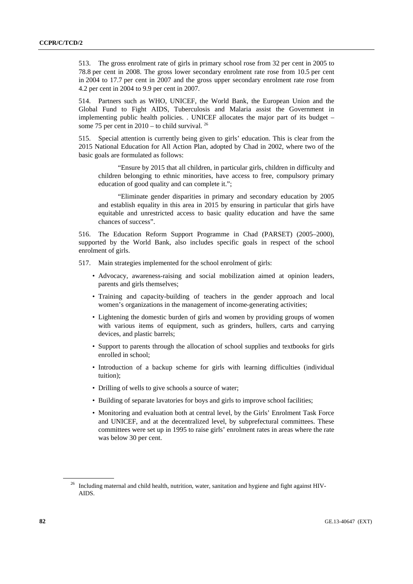513. The gross enrolment rate of girls in primary school rose from 32 per cent in 2005 to 78.8 per cent in 2008. The gross lower secondary enrolment rate rose from 10.5 per cent in 2004 to 17.7 per cent in 2007 and the gross upper secondary enrolment rate rose from 4.2 per cent in 2004 to 9.9 per cent in 2007.

514. Partners such as WHO, UNICEF, the World Bank, the European Union and the Global Fund to Fight AIDS, Tuberculosis and Malaria assist the Government in implementing public health policies. . UNICEF allocates the major part of its budget – some 75 per cent in  $2010 -$  to child survival. <sup>26</sup>

515. Special attention is currently being given to girls' education. This is clear from the 2015 National Education for All Action Plan, adopted by Chad in 2002, where two of the basic goals are formulated as follows:

 "Ensure by 2015 that all children, in particular girls, children in difficulty and children belonging to ethnic minorities, have access to free, compulsory primary education of good quality and can complete it.";

 "Eliminate gender disparities in primary and secondary education by 2005 and establish equality in this area in 2015 by ensuring in particular that girls have equitable and unrestricted access to basic quality education and have the same chances of success".

516. The Education Reform Support Programme in Chad (PARSET) (2005–2000), supported by the World Bank, also includes specific goals in respect of the school enrolment of girls.

517. Main strategies implemented for the school enrolment of girls:

- Advocacy, awareness-raising and social mobilization aimed at opinion leaders, parents and girls themselves;
- Training and capacity-building of teachers in the gender approach and local women's organizations in the management of income-generating activities;
- Lightening the domestic burden of girls and women by providing groups of women with various items of equipment, such as grinders, hullers, carts and carrying devices, and plastic barrels;
- Support to parents through the allocation of school supplies and textbooks for girls enrolled in school;
- Introduction of a backup scheme for girls with learning difficulties (individual tuition);
- Drilling of wells to give schools a source of water;
- Building of separate lavatories for boys and girls to improve school facilities;
- Monitoring and evaluation both at central level, by the Girls' Enrolment Task Force and UNICEF, and at the decentralized level, by subprefectural committees. These committees were set up in 1995 to raise girls' enrolment rates in areas where the rate was below 30 per cent.

<sup>&</sup>lt;sup>26</sup> Including maternal and child health, nutrition, water, sanitation and hygiene and fight against HIV-AIDS.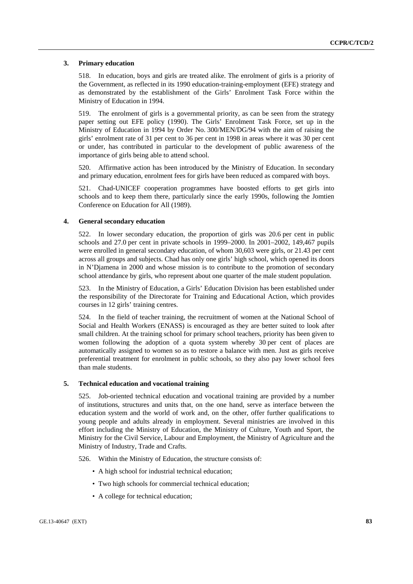## **3. Primary education**

518. In education, boys and girls are treated alike. The enrolment of girls is a priority of the Government, as reflected in its 1990 education-training-employment (EFE) strategy and as demonstrated by the establishment of the Girls' Enrolment Task Force within the Ministry of Education in 1994.

519. The enrolment of girls is a governmental priority, as can be seen from the strategy paper setting out EFE policy (1990). The Girls' Enrolment Task Force, set up in the Ministry of Education in 1994 by Order No. 300/MEN/DG/94 with the aim of raising the girls' enrolment rate of 31 per cent to 36 per cent in 1998 in areas where it was 30 per cent or under, has contributed in particular to the development of public awareness of the importance of girls being able to attend school.

520. Affirmative action has been introduced by the Ministry of Education. In secondary and primary education, enrolment fees for girls have been reduced as compared with boys.

521. Chad-UNICEF cooperation programmes have boosted efforts to get girls into schools and to keep them there, particularly since the early 1990s, following the Jomtien Conference on Education for All (1989).

### **4. General secondary education**

522. In lower secondary education, the proportion of girls was 20.6 per cent in public schools and 27.0 per cent in private schools in 1999–2000. In 2001–2002, 149,467 pupils were enrolled in general secondary education, of whom 30,603 were girls, or 21.43 per cent across all groups and subjects. Chad has only one girls' high school, which opened its doors in N'Djamena in 2000 and whose mission is to contribute to the promotion of secondary school attendance by girls, who represent about one quarter of the male student population.

523. In the Ministry of Education, a Girls' Education Division has been established under the responsibility of the Directorate for Training and Educational Action, which provides courses in 12 girls' training centres.

524. In the field of teacher training, the recruitment of women at the National School of Social and Health Workers (ENASS) is encouraged as they are better suited to look after small children. At the training school for primary school teachers, priority has been given to women following the adoption of a quota system whereby 30 per cent of places are automatically assigned to women so as to restore a balance with men. Just as girls receive preferential treatment for enrolment in public schools, so they also pay lower school fees than male students.

# **5. Technical education and vocational training**

525. Job-oriented technical education and vocational training are provided by a number of institutions, structures and units that, on the one hand, serve as interface between the education system and the world of work and, on the other, offer further qualifications to young people and adults already in employment. Several ministries are involved in this effort including the Ministry of Education, the Ministry of Culture, Youth and Sport, the Ministry for the Civil Service, Labour and Employment, the Ministry of Agriculture and the Ministry of Industry, Trade and Crafts.

526. Within the Ministry of Education, the structure consists of:

- A high school for industrial technical education;
- Two high schools for commercial technical education;
- A college for technical education;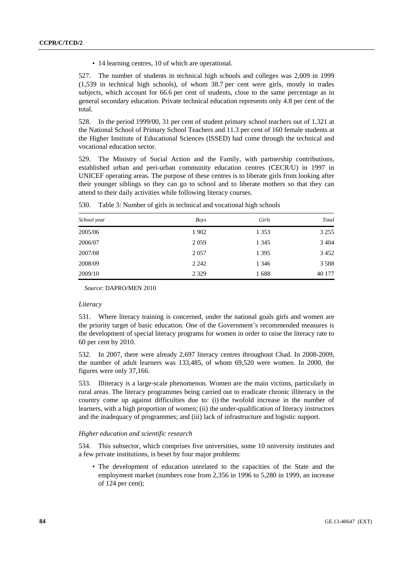• 14 learning centres, 10 of which are operational.

527. The number of students in technical high schools and colleges was 2,009 in 1999 (1,539 in technical high schools), of whom 38.7 per cent were girls, mostly in trades subjects, which account for 66.6 per cent of students, close to the same percentage as in general secondary education. Private technical education represents only 4.8 per cent of the total.

528. In the period 1999/00, 31 per cent of student primary school teachers out of 1,321 at the National School of Primary School Teachers and 11.3 per cent of 160 female students at the Higher Institute of Educational Sciences (ISSED) had come through the technical and vocational education sector.

529. The Ministry of Social Action and the Family, with partnership contributions, established urban and peri-urban community education centres (CECR/U) in 1997 in UNICEF operating areas. The purpose of these centres is to liberate girls from looking after their younger siblings so they can go to school and to liberate mothers so that they can attend to their daily activities while following literacy courses.

|             |         | Girls   | Total   |
|-------------|---------|---------|---------|
| School year | Boys    |         |         |
| 2005/06     | 1902    | 1 3 5 3 | 3 2 5 5 |
| 2006/07     | 2059    | 1 3 4 5 | 3 4 0 4 |
| 2007/08     | 2 0 5 7 | 1 3 9 5 | 3 4 5 2 |
| 2008/09     | 2 2 4 2 | 1 3 4 6 | 3588    |
| 2009/10     | 2 3 2 9 | 1688    | 40 177  |

530. Table 3: Number of girls in technical and vocational high schools

*Source*: DAPRO/MEN 2010

#### *Literacy*

531. Where literacy training is concerned, under the national goals girls and women are the priority target of basic education. One of the Government's recommended measures is the development of special literacy programs for women in order to raise the literacy rate to 60 per cent by 2010.

532. In 2007, there were already 2,697 literacy centres throughout Chad. In 2008-2009, the number of adult learners was 133,485, of whom 69,520 were women. In 2000, the figures were only 37,166.

533. Illiteracy is a large-scale phenomenon. Women are the main victims, particularly in rural areas. The literacy programmes being carried out to eradicate chronic illiteracy in the country come up against difficulties due to: (i) the twofold increase in the number of learners, with a high proportion of women; (ii) the under-qualification of literacy instructors and the inadequacy of programmes; and (iii) lack of infrastructure and logistic support.

#### *Higher education and scientific research*

534. This subsector, which comprises five universities, some 10 university institutes and a few private institutions, is beset by four major problems:

• The development of education unrelated to the capacities of the State and the employment market (numbers rose from 2,356 in 1996 to 5,280 in 1999, an increase of 124 per cent);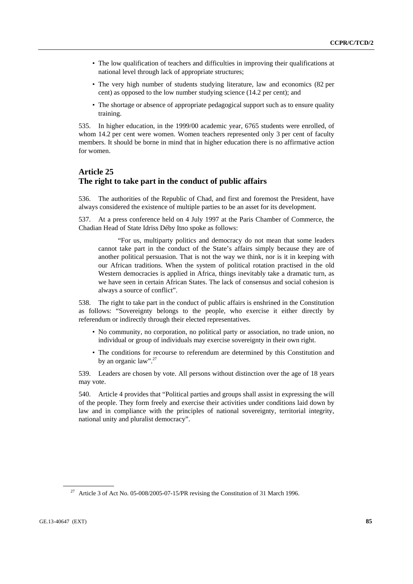- The low qualification of teachers and difficulties in improving their qualifications at national level through lack of appropriate structures;
- The very high number of students studying literature, law and economics (82 per cent) as opposed to the low number studying science (14.2 per cent); and
- The shortage or absence of appropriate pedagogical support such as to ensure quality training.

535. In higher education, in the 1999/00 academic year, 6765 students were enrolled, of whom 14.2 per cent were women. Women teachers represented only 3 per cent of faculty members. It should be borne in mind that in higher education there is no affirmative action for women.

# **Article 25 The right to take part in the conduct of public affairs**

536. The authorities of the Republic of Chad, and first and foremost the President, have always considered the existence of multiple parties to be an asset for its development.

537. At a press conference held on 4 July 1997 at the Paris Chamber of Commerce, the Chadian Head of State Idriss Déby Itno spoke as follows:

 "For us, multiparty politics and democracy do not mean that some leaders cannot take part in the conduct of the State's affairs simply because they are of another political persuasion. That is not the way we think, nor is it in keeping with our African traditions. When the system of political rotation practised in the old Western democracies is applied in Africa, things inevitably take a dramatic turn, as we have seen in certain African States. The lack of consensus and social cohesion is always a source of conflict".

538. The right to take part in the conduct of public affairs is enshrined in the Constitution as follows: "Sovereignty belongs to the people, who exercise it either directly by referendum or indirectly through their elected representatives.

- No community, no corporation, no political party or association, no trade union, no individual or group of individuals may exercise sovereignty in their own right.
- The conditions for recourse to referendum are determined by this Constitution and by an organic law".<sup>27</sup>

539. Leaders are chosen by vote. All persons without distinction over the age of 18 years may vote.

540. Article 4 provides that "Political parties and groups shall assist in expressing the will of the people. They form freely and exercise their activities under conditions laid down by law and in compliance with the principles of national sovereignty, territorial integrity, national unity and pluralist democracy".

<sup>&</sup>lt;sup>27</sup> Article 3 of Act No. 05-008/2005-07-15/PR revising the Constitution of 31 March 1996.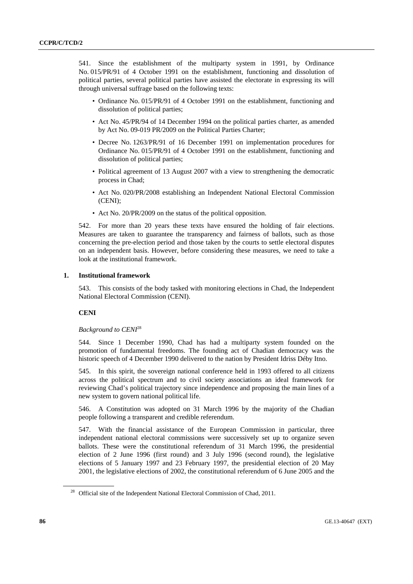541. Since the establishment of the multiparty system in 1991, by Ordinance No. 015/PR/91 of 4 October 1991 on the establishment, functioning and dissolution of political parties, several political parties have assisted the electorate in expressing its will through universal suffrage based on the following texts:

- Ordinance No. 015/PR/91 of 4 October 1991 on the establishment, functioning and dissolution of political parties;
- Act No. 45/PR/94 of 14 December 1994 on the political parties charter, as amended by Act No. 09-019 PR/2009 on the Political Parties Charter;
- Decree No. 1263/PR/91 of 16 December 1991 on implementation procedures for Ordinance No. 015/PR/91 of 4 October 1991 on the establishment, functioning and dissolution of political parties;
- Political agreement of 13 August 2007 with a view to strengthening the democratic process in Chad;
- Act No. 020/PR/2008 establishing an Independent National Electoral Commission (CENI);
- Act No. 20/PR/2009 on the status of the political opposition.

542. For more than 20 years these texts have ensured the holding of fair elections. Measures are taken to guarantee the transparency and fairness of ballots, such as those concerning the pre-election period and those taken by the courts to settle electoral disputes on an independent basis. However, before considering these measures, we need to take a look at the institutional framework.

## **1. Institutional framework**

543. This consists of the body tasked with monitoring elections in Chad, the Independent National Electoral Commission (CENI).

## **CENI**

## *Background to CENI*<sup>28</sup>

544. Since 1 December 1990, Chad has had a multiparty system founded on the promotion of fundamental freedoms. The founding act of Chadian democracy was the historic speech of 4 December 1990 delivered to the nation by President Idriss Déby Itno.

545. In this spirit, the sovereign national conference held in 1993 offered to all citizens across the political spectrum and to civil society associations an ideal framework for reviewing Chad's political trajectory since independence and proposing the main lines of a new system to govern national political life.

546. A Constitution was adopted on 31 March 1996 by the majority of the Chadian people following a transparent and credible referendum.

547. With the financial assistance of the European Commission in particular, three independent national electoral commissions were successively set up to organize seven ballots. These were the constitutional referendum of 31 March 1996, the presidential election of 2 June 1996 (first round) and 3 July 1996 (second round), the legislative elections of 5 January 1997 and 23 February 1997, the presidential election of 20 May 2001, the legislative elections of 2002, the constitutional referendum of 6 June 2005 and the

<sup>&</sup>lt;sup>28</sup> Official site of the Independent National Electoral Commission of Chad, 2011.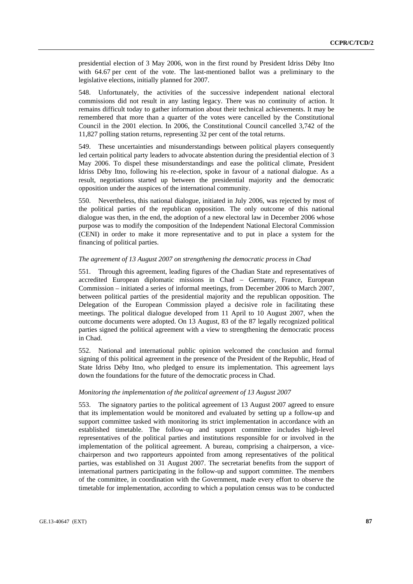presidential election of 3 May 2006, won in the first round by President Idriss Déby Itno with 64.67 per cent of the vote. The last-mentioned ballot was a preliminary to the legislative elections, initially planned for 2007.

548. Unfortunately, the activities of the successive independent national electoral commissions did not result in any lasting legacy. There was no continuity of action. It remains difficult today to gather information about their technical achievements. It may be remembered that more than a quarter of the votes were cancelled by the Constitutional Council in the 2001 election. In 2006, the Constitutional Council cancelled 3,742 of the 11,827 polling station returns, representing 32 per cent of the total returns.

549. These uncertainties and misunderstandings between political players consequently led certain political party leaders to advocate abstention during the presidential election of 3 May 2006. To dispel these misunderstandings and ease the political climate, President Idriss Déby Itno, following his re-election, spoke in favour of a national dialogue. As a result, negotiations started up between the presidential majority and the democratic opposition under the auspices of the international community.

550. Nevertheless, this national dialogue, initiated in July 2006, was rejected by most of the political parties of the republican opposition. The only outcome of this national dialogue was then, in the end, the adoption of a new electoral law in December 2006 whose purpose was to modify the composition of the Independent National Electoral Commission (CENI) in order to make it more representative and to put in place a system for the financing of political parties.

## *The agreement of 13 August 2007 on strengthening the democratic process in Chad*

551. Through this agreement, leading figures of the Chadian State and representatives of accredited European diplomatic missions in Chad – Germany, France, European Commission – initiated a series of informal meetings, from December 2006 to March 2007, between political parties of the presidential majority and the republican opposition. The Delegation of the European Commission played a decisive role in facilitating these meetings. The political dialogue developed from 11 April to 10 August 2007, when the outcome documents were adopted. On 13 August, 83 of the 87 legally recognized political parties signed the political agreement with a view to strengthening the democratic process in Chad.

552. National and international public opinion welcomed the conclusion and formal signing of this political agreement in the presence of the President of the Republic, Head of State Idriss Déby Itno, who pledged to ensure its implementation. This agreement lays down the foundations for the future of the democratic process in Chad.

## *Monitoring the implementation of the political agreement of 13 August 2007*

553. The signatory parties to the political agreement of 13 August 2007 agreed to ensure that its implementation would be monitored and evaluated by setting up a follow-up and support committee tasked with monitoring its strict implementation in accordance with an established timetable. The follow-up and support committee includes high-level representatives of the political parties and institutions responsible for or involved in the implementation of the political agreement. A bureau, comprising a chairperson, a vicechairperson and two rapporteurs appointed from among representatives of the political parties, was established on 31 August 2007. The secretariat benefits from the support of international partners participating in the follow-up and support committee. The members of the committee, in coordination with the Government, made every effort to observe the timetable for implementation, according to which a population census was to be conducted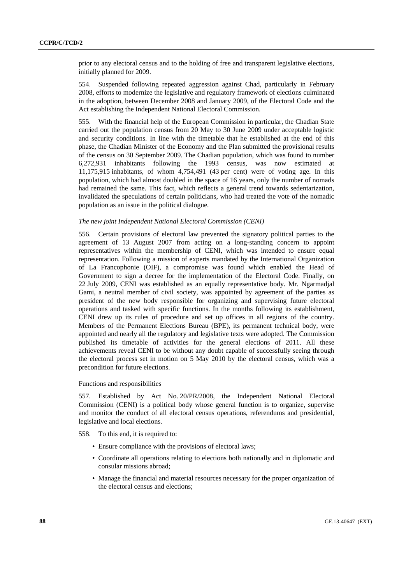prior to any electoral census and to the holding of free and transparent legislative elections, initially planned for 2009.

554. Suspended following repeated aggression against Chad, particularly in February 2008, efforts to modernize the legislative and regulatory framework of elections culminated in the adoption, between December 2008 and January 2009, of the Electoral Code and the Act establishing the Independent National Electoral Commission.

555. With the financial help of the European Commission in particular, the Chadian State carried out the population census from 20 May to 30 June 2009 under acceptable logistic and security conditions. In line with the timetable that he established at the end of this phase, the Chadian Minister of the Economy and the Plan submitted the provisional results of the census on 30 September 2009. The Chadian population, which was found to number 6,272,931 inhabitants following the 1993 census, was now estimated at 11,175,915 inhabitants, of whom 4,754,491 (43 per cent) were of voting age. In this population, which had almost doubled in the space of 16 years, only the number of nomads had remained the same. This fact, which reflects a general trend towards sedentarization, invalidated the speculations of certain politicians, who had treated the vote of the nomadic population as an issue in the political dialogue.

## *The new joint Independent National Electoral Commission (CENI)*

556. Certain provisions of electoral law prevented the signatory political parties to the agreement of 13 August 2007 from acting on a long-standing concern to appoint representatives within the membership of CENI, which was intended to ensure equal representation. Following a mission of experts mandated by the International Organization of La Francophonie (OIF), a compromise was found which enabled the Head of Government to sign a decree for the implementation of the Electoral Code. Finally, on 22 July 2009, CENI was established as an equally representative body. Mr. Ngarmadjal Gami, a neutral member of civil society, was appointed by agreement of the parties as president of the new body responsible for organizing and supervising future electoral operations and tasked with specific functions. In the months following its establishment, CENI drew up its rules of procedure and set up offices in all regions of the country. Members of the Permanent Elections Bureau (BPE), its permanent technical body, were appointed and nearly all the regulatory and legislative texts were adopted. The Commission published its timetable of activities for the general elections of 2011. All these achievements reveal CENI to be without any doubt capable of successfully seeing through the electoral process set in motion on 5 May 2010 by the electoral census, which was a precondition for future elections.

## Functions and responsibilities

557. Established by Act No. 20/PR/2008, the Independent National Electoral Commission (CENI) is a political body whose general function is to organize, supervise and monitor the conduct of all electoral census operations, referendums and presidential, legislative and local elections.

- 558. To this end, it is required to:
	- Ensure compliance with the provisions of electoral laws;
	- Coordinate all operations relating to elections both nationally and in diplomatic and consular missions abroad;
	- Manage the financial and material resources necessary for the proper organization of the electoral census and elections;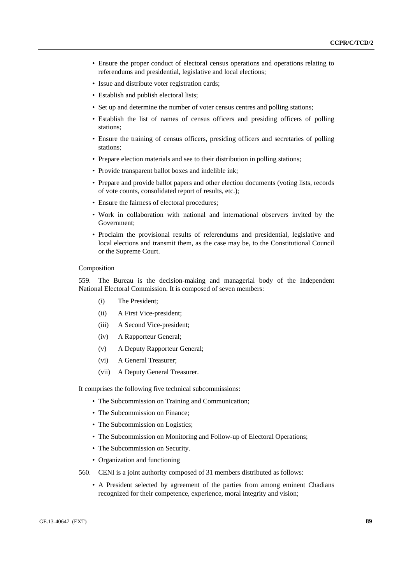- Ensure the proper conduct of electoral census operations and operations relating to referendums and presidential, legislative and local elections;
- Issue and distribute voter registration cards;
- Establish and publish electoral lists;
- Set up and determine the number of voter census centres and polling stations;
- Establish the list of names of census officers and presiding officers of polling stations;
- Ensure the training of census officers, presiding officers and secretaries of polling stations;
- Prepare election materials and see to their distribution in polling stations;
- Provide transparent ballot boxes and indelible ink;
- Prepare and provide ballot papers and other election documents (voting lists, records of vote counts, consolidated report of results, etc.);
- Ensure the fairness of electoral procedures;
- Work in collaboration with national and international observers invited by the Government;
- Proclaim the provisional results of referendums and presidential, legislative and local elections and transmit them, as the case may be, to the Constitutional Council or the Supreme Court.

### Composition

559. The Bureau is the decision-making and managerial body of the Independent National Electoral Commission. It is composed of seven members:

- (i) The President;
- (ii) A First Vice-president;
- (iii) A Second Vice-president;
- (iv) A Rapporteur General;
- (v) A Deputy Rapporteur General;
- (vi) A General Treasurer;
- (vii) A Deputy General Treasurer.

It comprises the following five technical subcommissions:

- The Subcommission on Training and Communication;
- The Subcommission on Finance;
- The Subcommission on Logistics;
- The Subcommission on Monitoring and Follow-up of Electoral Operations;
- The Subcommission on Security.
- Organization and functioning
- 560. CENI is a joint authority composed of 31 members distributed as follows:
	- A President selected by agreement of the parties from among eminent Chadians recognized for their competence, experience, moral integrity and vision;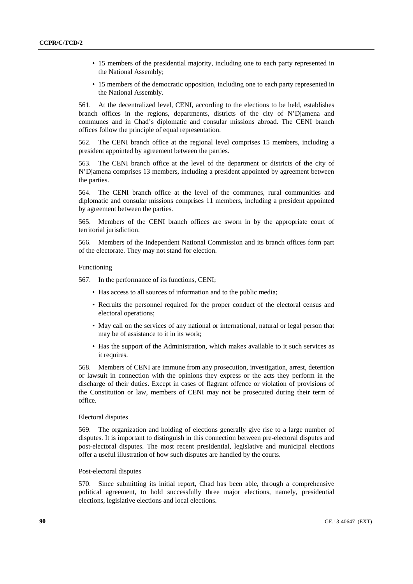- 15 members of the presidential majority, including one to each party represented in the National Assembly;
- 15 members of the democratic opposition, including one to each party represented in the National Assembly.

561. At the decentralized level, CENI, according to the elections to be held, establishes branch offices in the regions, departments, districts of the city of N'Djamena and communes and in Chad's diplomatic and consular missions abroad. The CENI branch offices follow the principle of equal representation.

562. The CENI branch office at the regional level comprises 15 members, including a president appointed by agreement between the parties.

563. The CENI branch office at the level of the department or districts of the city of N'Djamena comprises 13 members, including a president appointed by agreement between the parties.

564. The CENI branch office at the level of the communes, rural communities and diplomatic and consular missions comprises 11 members, including a president appointed by agreement between the parties.

565. Members of the CENI branch offices are sworn in by the appropriate court of territorial jurisdiction.

566. Members of the Independent National Commission and its branch offices form part of the electorate. They may not stand for election.

#### Functioning

567. In the performance of its functions, CENI;

- Has access to all sources of information and to the public media;
- Recruits the personnel required for the proper conduct of the electoral census and electoral operations;
- May call on the services of any national or international, natural or legal person that may be of assistance to it in its work;
- Has the support of the Administration, which makes available to it such services as it requires.

568. Members of CENI are immune from any prosecution, investigation, arrest, detention or lawsuit in connection with the opinions they express or the acts they perform in the discharge of their duties. Except in cases of flagrant offence or violation of provisions of the Constitution or law, members of CENI may not be prosecuted during their term of office.

#### Electoral disputes

569. The organization and holding of elections generally give rise to a large number of disputes. It is important to distinguish in this connection between pre-electoral disputes and post-electoral disputes. The most recent presidential, legislative and municipal elections offer a useful illustration of how such disputes are handled by the courts.

## Post-electoral disputes

570. Since submitting its initial report, Chad has been able, through a comprehensive political agreement, to hold successfully three major elections, namely, presidential elections, legislative elections and local elections.